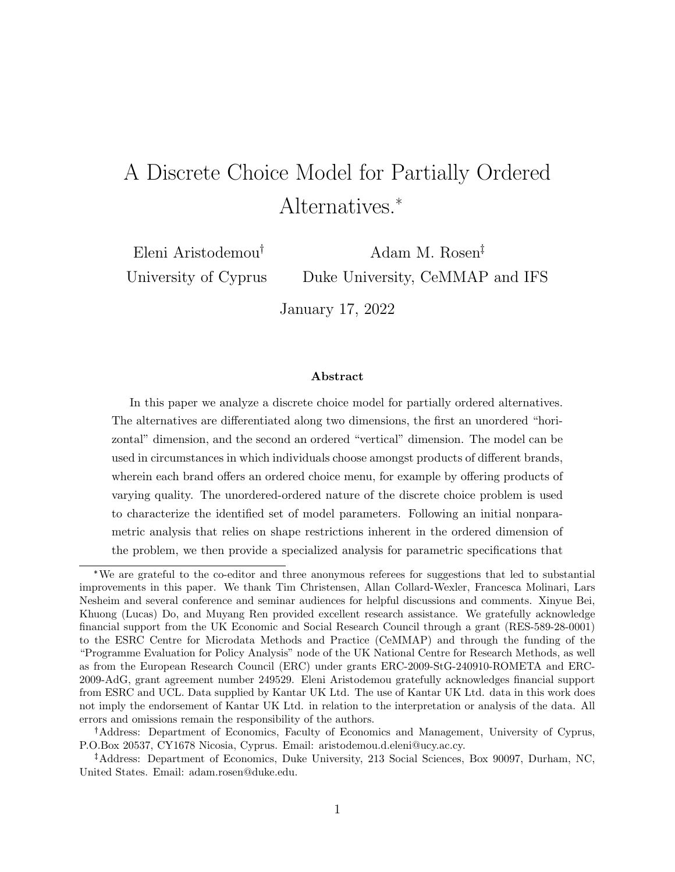# A Discrete Choice Model for Partially Ordered Alternatives.\*

Eleni Aristodemou University of Cyprus

Adam M. Rosen Duke University, CeMMAP and IFS

January 17, 2022

#### Abstract

In this paper we analyze a discrete choice model for partially ordered alternatives. The alternatives are differentiated along two dimensions, the first an unordered "horizontal" dimension, and the second an ordered "vertical" dimension. The model can be used in circumstances in which individuals choose amongst products of different brands, wherein each brand offers an ordered choice menu, for example by offering products of varying quality. The unordered-ordered nature of the discrete choice problem is used to characterize the identified set of model parameters. Following an initial nonparametric analysis that relies on shape restrictions inherent in the ordered dimension of the problem, we then provide a specialized analysis for parametric specifications that

Address: Department of Economics, Faculty of Economics and Management, University of Cyprus, P.O.Box 20537, CY1678 Nicosia, Cyprus. Email: aristodemou.d.eleni@ucy.ac.cy.

<sup>\*</sup>We are grateful to the co-editor and three anonymous referees for suggestions that led to substantial improvements in this paper. We thank Tim Christensen, Allan Collard-Wexler, Francesca Molinari, Lars Nesheim and several conference and seminar audiences for helpful discussions and comments. Xinyue Bei, Khuong (Lucas) Do, and Muyang Ren provided excellent research assistance. We gratefully acknowledge financial support from the UK Economic and Social Research Council through a grant (RES-589-28-0001) to the ESRC Centre for Microdata Methods and Practice (CeMMAP) and through the funding of the "Programme Evaluation for Policy Analysis" node of the UK National Centre for Research Methods, as well as from the European Research Council (ERC) under grants ERC-2009-StG-240910-ROMETA and ERC-2009-AdG, grant agreement number 249529. Eleni Aristodemou gratefully acknowledges financial support from ESRC and UCL. Data supplied by Kantar UK Ltd. The use of Kantar UK Ltd. data in this work does not imply the endorsement of Kantar UK Ltd. in relation to the interpretation or analysis of the data. All errors and omissions remain the responsibility of the authors.

Address: Department of Economics, Duke University, 213 Social Sciences, Box 90097, Durham, NC, United States. Email: adam.rosen@duke.edu.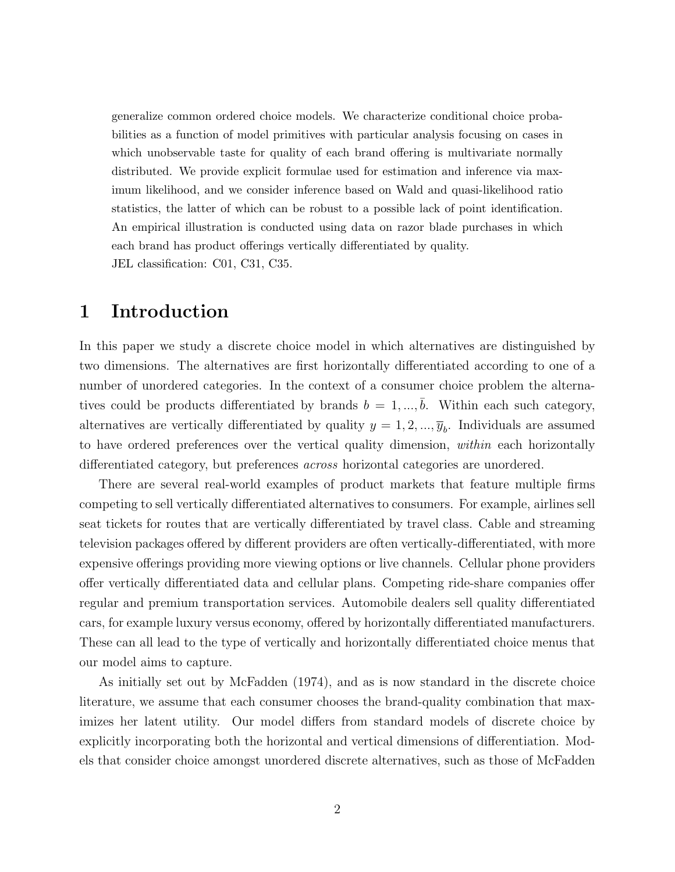generalize common ordered choice models. We characterize conditional choice probabilities as a function of model primitives with particular analysis focusing on cases in which unobservable taste for quality of each brand offering is multivariate normally distributed. We provide explicit formulae used for estimation and inference via maximum likelihood, and we consider inference based on Wald and quasi-likelihood ratio statistics, the latter of which can be robust to a possible lack of point identification. An empirical illustration is conducted using data on razor blade purchases in which each brand has product offerings vertically differentiated by quality. JEL classification: C01, C31, C35.

## 1 Introduction

In this paper we study a discrete choice model in which alternatives are distinguished by two dimensions. The alternatives are first horizontally differentiated according to one of a number of unordered categories. In the context of a consumer choice problem the alternatives could be products differentiated by brands  $b = 1, ..., \overline{b}$ . Within each such category, alternatives are vertically differentiated by quality  $y = 1, 2, ..., \overline{y}_b$ . Individuals are assumed to have ordered preferences over the vertical quality dimension, within each horizontally differentiated category, but preferences across horizontal categories are unordered.

There are several real-world examples of product markets that feature multiple firms competing to sell vertically differentiated alternatives to consumers. For example, airlines sell seat tickets for routes that are vertically differentiated by travel class. Cable and streaming television packages offered by different providers are often vertically-differentiated, with more expensive offerings providing more viewing options or live channels. Cellular phone providers offer vertically differentiated data and cellular plans. Competing ride-share companies offer regular and premium transportation services. Automobile dealers sell quality differentiated cars, for example luxury versus economy, offered by horizontally differentiated manufacturers. These can all lead to the type of vertically and horizontally differentiated choice menus that our model aims to capture.

As initially set out by McFadden (1974), and as is now standard in the discrete choice literature, we assume that each consumer chooses the brand-quality combination that maximizes her latent utility. Our model differs from standard models of discrete choice by explicitly incorporating both the horizontal and vertical dimensions of differentiation. Models that consider choice amongst unordered discrete alternatives, such as those of McFadden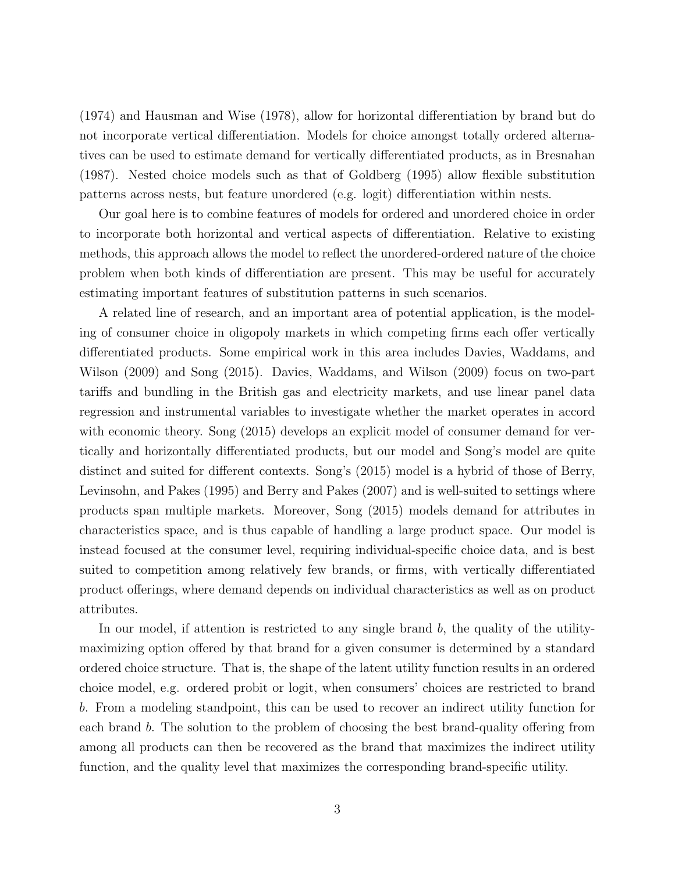(1974) and Hausman and Wise (1978), allow for horizontal differentiation by brand but do not incorporate vertical differentiation. Models for choice amongst totally ordered alternatives can be used to estimate demand for vertically differentiated products, as in Bresnahan (1987). Nested choice models such as that of Goldberg (1995) allow flexible substitution patterns across nests, but feature unordered (e.g. logit) differentiation within nests.

Our goal here is to combine features of models for ordered and unordered choice in order to incorporate both horizontal and vertical aspects of differentiation. Relative to existing methods, this approach allows the model to reflect the unordered-ordered nature of the choice problem when both kinds of differentiation are present. This may be useful for accurately estimating important features of substitution patterns in such scenarios.

A related line of research, and an important area of potential application, is the modeling of consumer choice in oligopoly markets in which competing firms each offer vertically differentiated products. Some empirical work in this area includes Davies, Waddams, and Wilson (2009) and Song (2015). Davies, Waddams, and Wilson (2009) focus on two-part tariffs and bundling in the British gas and electricity markets, and use linear panel data regression and instrumental variables to investigate whether the market operates in accord with economic theory. Song (2015) develops an explicit model of consumer demand for vertically and horizontally differentiated products, but our model and Song's model are quite distinct and suited for different contexts. Song's (2015) model is a hybrid of those of Berry, Levinsohn, and Pakes (1995) and Berry and Pakes (2007) and is well-suited to settings where products span multiple markets. Moreover, Song (2015) models demand for attributes in characteristics space, and is thus capable of handling a large product space. Our model is instead focused at the consumer level, requiring individual-specific choice data, and is best suited to competition among relatively few brands, or firms, with vertically differentiated product offerings, where demand depends on individual characteristics as well as on product attributes.

In our model, if attention is restricted to any single brand  $b$ , the quality of the utilitymaximizing option offered by that brand for a given consumer is determined by a standard ordered choice structure. That is, the shape of the latent utility function results in an ordered choice model, e.g. ordered probit or logit, when consumers' choices are restricted to brand b. From a modeling standpoint, this can be used to recover an indirect utility function for each brand b. The solution to the problem of choosing the best brand-quality offering from among all products can then be recovered as the brand that maximizes the indirect utility function, and the quality level that maximizes the corresponding brand-specific utility.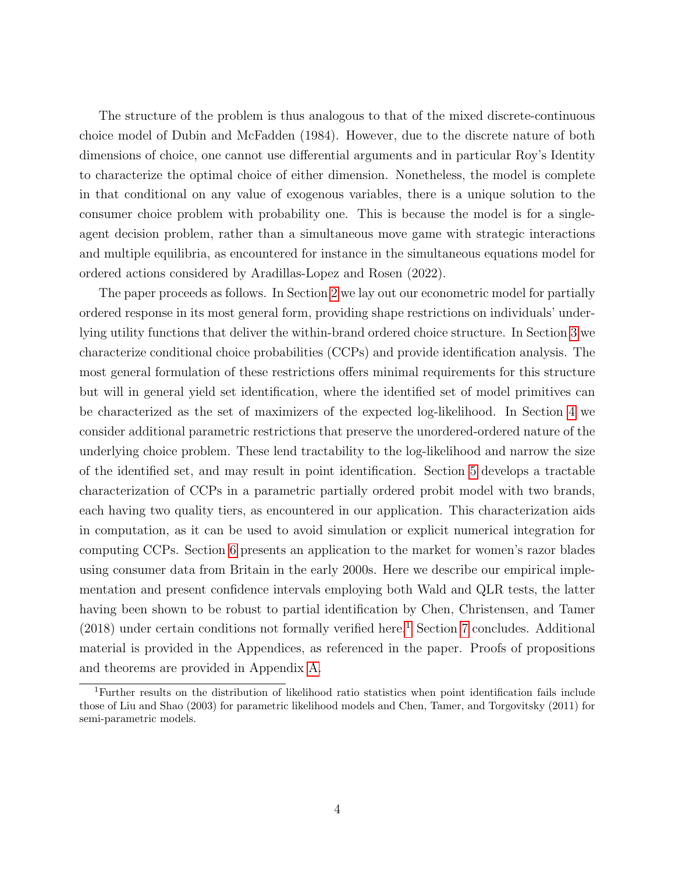The structure of the problem is thus analogous to that of the mixed discrete-continuous choice model of Dubin and McFadden (1984). However, due to the discrete nature of both dimensions of choice, one cannot use differential arguments and in particular Roy's Identity to characterize the optimal choice of either dimension. Nonetheless, the model is complete in that conditional on any value of exogenous variables, there is a unique solution to the consumer choice problem with probability one. This is because the model is for a singleagent decision problem, rather than a simultaneous move game with strategic interactions and multiple equilibria, as encountered for instance in the simultaneous equations model for ordered actions considered by Aradillas-Lopez and Rosen (2022).

The paper proceeds as follows. In Section [2](#page-4-0) we lay out our econometric model for partially ordered response in its most general form, providing shape restrictions on individuals' underlying utility functions that deliver the within-brand ordered choice structure. In Section [3](#page-7-0) we characterize conditional choice probabilities (CCPs) and provide identification analysis. The most general formulation of these restrictions offers minimal requirements for this structure but will in general yield set identification, where the identified set of model primitives can be characterized as the set of maximizers of the expected log-likelihood. In Section [4](#page-9-0) we consider additional parametric restrictions that preserve the unordered-ordered nature of the underlying choice problem. These lend tractability to the log-likelihood and narrow the size of the identified set, and may result in point identification. Section [5](#page-17-0) develops a tractable characterization of CCPs in a parametric partially ordered probit model with two brands, each having two quality tiers, as encountered in our application. This characterization aids in computation, as it can be used to avoid simulation or explicit numerical integration for computing CCPs. Section [6](#page-19-0) presents an application to the market for women's razor blades using consumer data from Britain in the early 2000s. Here we describe our empirical implementation and present confidence intervals employing both Wald and QLR tests, the latter having been shown to be robust to partial identification by Chen, Christensen, and Tamer  $(2018)$  $(2018)$  $(2018)$  under certain conditions not formally verified here.<sup>1</sup> Section [7](#page-29-0) concludes. Additional material is provided in the Appendices, as referenced in the paper. Proofs of propositions and theorems are provided in Appendix [A.](#page-30-0)

<span id="page-3-0"></span><sup>1</sup>Further results on the distribution of likelihood ratio statistics when point identification fails include those of Liu and Shao (2003) for parametric likelihood models and Chen, Tamer, and Torgovitsky (2011) for semi-parametric models.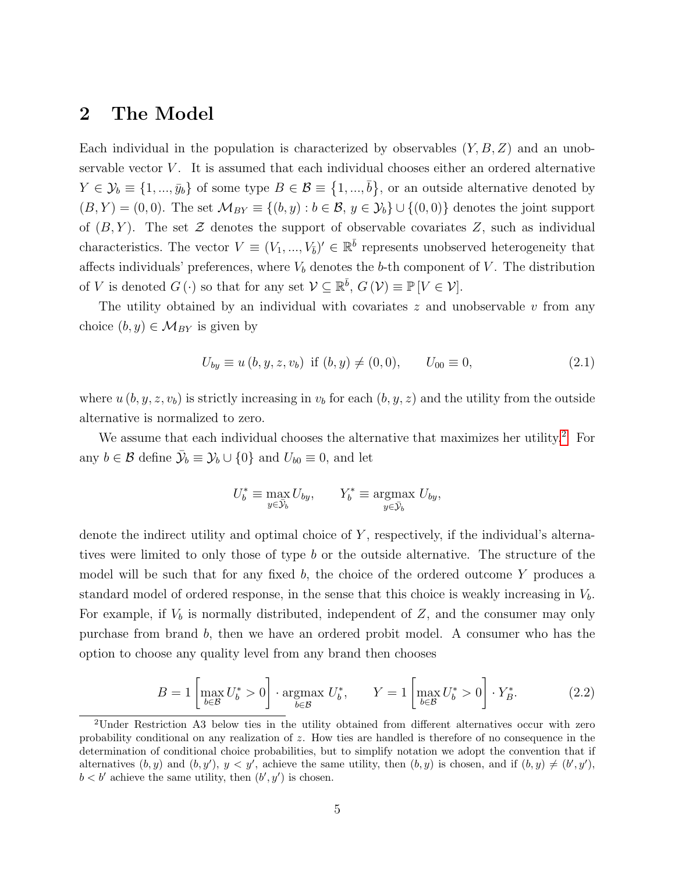## <span id="page-4-0"></span>2 The Model

Each individual in the population is characterized by observables  $(Y, B, Z)$  and an unobservable vector  $V$ . It is assumed that each individual chooses either an ordered alternative  $Y \in \mathcal{Y}_b \equiv \{1, ..., \bar{y}_b\}$  of some type  $B \in \mathcal{B} \equiv \{1, ..., \bar{b}\}\$ , or an outside alternative denoted by  $(B, Y) = (0, 0)$ . The set  $\mathcal{M}_{BY} \equiv \{(b, y) : b \in \mathcal{B}, y \in \mathcal{Y}_b\} \cup \{(0, 0)\}\$  denotes the joint support of  $(B, Y)$ . The set Z denotes the support of observable covariates Z, such as individual characteristics. The vector  $V \equiv (V_1, ..., V_{\bar{b}})' \in \mathbb{R}^{\bar{b}}$  represents unobserved heterogeneity that affects individuals' preferences, where  $V<sub>b</sub>$  denotes the b-th component of V. The distribution of V is denoted  $G(\cdot)$  so that for any set  $\mathcal{V} \subseteq \mathbb{R}^{\bar{b}}$ ,  $G(\mathcal{V}) \equiv \mathbb{P}[V \in \mathcal{V}]$ .

The utility obtained by an individual with covariates  $z$  and unobservable  $v$  from any choice  $(b, y) \in \mathcal{M}_{BY}$  is given by

<span id="page-4-2"></span>
$$
U_{by} \equiv u(b, y, z, v_b) \text{ if } (b, y) \neq (0, 0), \qquad U_{00} \equiv 0,
$$
\n(2.1)

where  $u (b, y, z, v_b)$  is strictly increasing in  $v_b$  for each  $(b, y, z)$  and the utility from the outside alternative is normalized to zero.

We assume that each individual chooses the alternative that maximizes her utility.<sup>[2](#page-4-1)</sup> For any  $b \in \mathcal{B}$  define  $\bar{\mathcal{Y}}_b \equiv \mathcal{Y}_b \cup \{0\}$  and  $U_{b0} \equiv 0$ , and let

$$
U_b^* \equiv \max_{y \in \bar{\mathcal{Y}}_b} U_{by}, \qquad Y_b^* \equiv \operatorname*{argmax}_{y \in \bar{\mathcal{Y}}_b} U_{by},
$$

denote the indirect utility and optimal choice of  $Y$ , respectively, if the individual's alternatives were limited to only those of type b or the outside alternative. The structure of the model will be such that for any fixed b, the choice of the ordered outcome  $Y$  produces a standard model of ordered response, in the sense that this choice is weakly increasing in  $V<sub>b</sub>$ . For example, if  $V<sub>b</sub>$  is normally distributed, independent of Z, and the consumer may only purchase from brand b, then we have an ordered probit model. A consumer who has the option to choose any quality level from any brand then chooses

$$
B = 1 \left[ \max_{b \in \mathcal{B}} U_b^* > 0 \right] \cdot \operatorname*{argmax}_{b \in \mathcal{B}} U_b^*, \qquad Y = 1 \left[ \max_{b \in \mathcal{B}} U_b^* > 0 \right] \cdot Y_B^*.
$$
 (2.2)

<span id="page-4-1"></span><sup>2</sup>Under Restriction A3 below ties in the utility obtained from different alternatives occur with zero probability conditional on any realization of  $z$ . How ties are handled is therefore of no consequence in the determination of conditional choice probabilities, but to simplify notation we adopt the convention that if alternatives  $(b, y)$  and  $(b, y')$ ,  $y < y'$ , achieve the same utility, then  $(b, y)$  is chosen, and if  $(b, y) \neq (b', y')$ ,  $b < b'$  achieve the same utility, then  $(b', y')$  is chosen.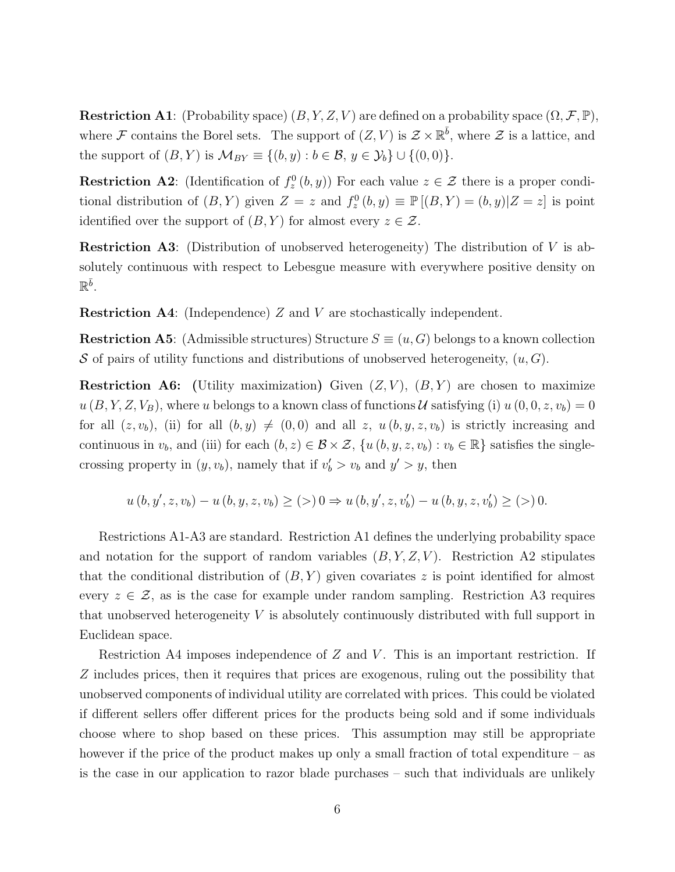**Restriction A1:** (Probability space)  $(B, Y, Z, V)$  are defined on a probability space  $(\Omega, \mathcal{F}, \mathbb{P}),$ where F contains the Borel sets. The support of  $(Z, V)$  is  $\mathcal{Z} \times \mathbb{R}^{\overline{b}}$ , where  $\mathcal{Z}$  is a lattice, and the support of  $(B, Y)$  is  $\mathcal{M}_{BY} \equiv \{(b, y) : b \in \mathcal{B}, y \in \mathcal{Y}_b\} \cup \{(0, 0)\}.$ 

**Restriction A2**: (Identification of  $f_z^0(b, y)$ ) For each value  $z \in \mathcal{Z}$  there is a proper conditional distribution of  $(B, Y)$  given  $Z = z$  and  $f_z^0(b, y) \equiv \mathbb{P}[(B, Y) = (b, y)|Z = z]$  is point identified over the support of  $(B, Y)$  for almost every  $z \in \mathcal{Z}$ .

Restriction A3: (Distribution of unobserved heterogeneity) The distribution of V is absolutely continuous with respect to Lebesgue measure with everywhere positive density on  $\mathbb{R}^{\bar{b}}$ .

Restriction A4: (Independence) Z and V are stochastically independent.

**Restriction A5:** (Admissible structures) Structure  $S \equiv (u, G)$  belongs to a known collection S of pairs of utility functions and distributions of unobserved heterogeneity,  $(u, G)$ .

**Restriction A6:** (Utility maximization) Given  $(Z, V)$ ,  $(B, Y)$  are chosen to maximize  $u(B, Y, Z, V_B)$ , where u belongs to a known class of functions U satisfying (i)  $u(0, 0, z, v_b) = 0$ for all  $(z, v_b)$ , (ii) for all  $(b, y) \neq (0, 0)$  and all z,  $u(b, y, z, v_b)$  is strictly increasing and continuous in  $v_b$ , and (iii) for each  $(b, z) \in \mathcal{B} \times \mathcal{Z}$ ,  $\{u(b, y, z, v_b) : v_b \in \mathbb{R}\}\$  satisfies the singlecrossing property in  $(y, v_b)$ , namely that if  $v'_b > v_b$  and  $y' > y$ , then

$$
u(b, y', z, v_b) - u(b, y, z, v_b) \ge (>) 0 \Rightarrow u(b, y', z, v'_b) - u(b, y, z, v'_b) \ge (>) 0.
$$

Restrictions A1-A3 are standard. Restriction A1 defines the underlying probability space and notation for the support of random variables  $(B, Y, Z, V)$ . Restriction A2 stipulates that the conditional distribution of  $(B, Y)$  given covariates z is point identified for almost every  $z \in \mathcal{Z}$ , as is the case for example under random sampling. Restriction A3 requires that unobserved heterogeneity V is absolutely continuously distributed with full support in Euclidean space.

Restriction A4 imposes independence of  $Z$  and  $V$ . This is an important restriction. If Z includes prices, then it requires that prices are exogenous, ruling out the possibility that unobserved components of individual utility are correlated with prices. This could be violated if different sellers offer different prices for the products being sold and if some individuals choose where to shop based on these prices. This assumption may still be appropriate however if the price of the product makes up only a small fraction of total expenditure – as is the case in our application to razor blade purchases – such that individuals are unlikely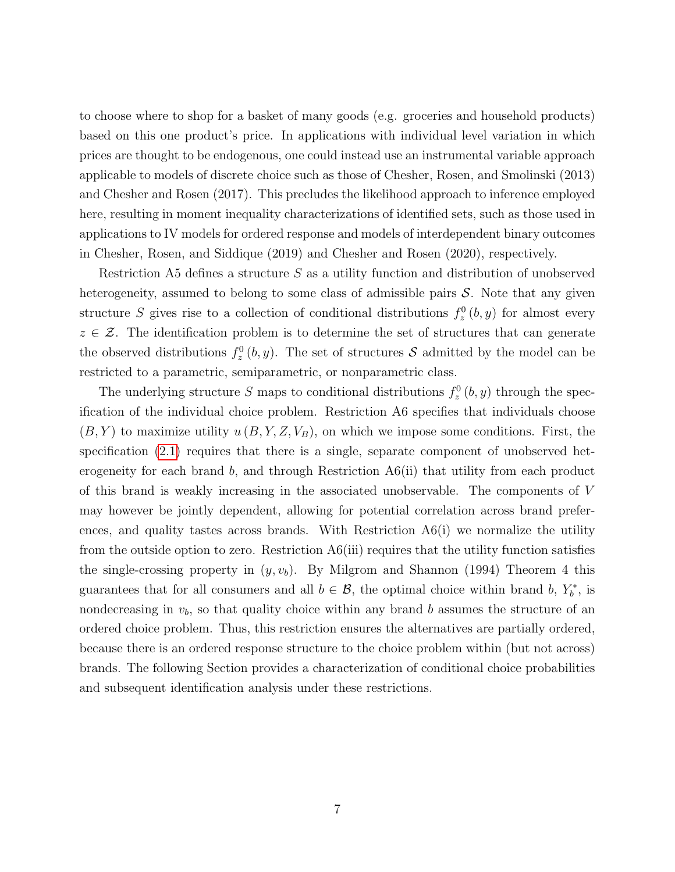to choose where to shop for a basket of many goods (e.g. groceries and household products) based on this one product's price. In applications with individual level variation in which prices are thought to be endogenous, one could instead use an instrumental variable approach applicable to models of discrete choice such as those of Chesher, Rosen, and Smolinski (2013) and Chesher and Rosen (2017). This precludes the likelihood approach to inference employed here, resulting in moment inequality characterizations of identified sets, such as those used in applications to IV models for ordered response and models of interdependent binary outcomes in Chesher, Rosen, and Siddique (2019) and Chesher and Rosen (2020), respectively.

Restriction A5 defines a structure  $S$  as a utility function and distribution of unobserved heterogeneity, assumed to belong to some class of admissible pairs  $S$ . Note that any given structure S gives rise to a collection of conditional distributions  $f_z^0(b, y)$  for almost every  $z \in \mathcal{Z}$ . The identification problem is to determine the set of structures that can generate the observed distributions  $f_z^0(b, y)$ . The set of structures S admitted by the model can be restricted to a parametric, semiparametric, or nonparametric class.

The underlying structure S maps to conditional distributions  $f_z^0(b, y)$  through the specification of the individual choice problem. Restriction A6 specifies that individuals choose  $(B, Y)$  to maximize utility  $u(B, Y, Z, V_B)$ , on which we impose some conditions. First, the specification  $(2.1)$  requires that there is a single, separate component of unobserved heterogeneity for each brand b, and through Restriction  $A6(ii)$  that utility from each product of this brand is weakly increasing in the associated unobservable. The components of V may however be jointly dependent, allowing for potential correlation across brand preferences, and quality tastes across brands. With Restriction  $A6(i)$  we normalize the utility from the outside option to zero. Restriction  $A6(iii)$  requires that the utility function satisfies the single-crossing property in  $(y, v_b)$ . By Milgrom and Shannon (1994) Theorem 4 this guarantees that for all consumers and all  $b \in \mathcal{B}$ , the optimal choice within brand b,  $Y_b^*$ , is nondecreasing in  $v<sub>b</sub>$ , so that quality choice within any brand b assumes the structure of an ordered choice problem. Thus, this restriction ensures the alternatives are partially ordered, because there is an ordered response structure to the choice problem within (but not across) brands. The following Section provides a characterization of conditional choice probabilities and subsequent identification analysis under these restrictions.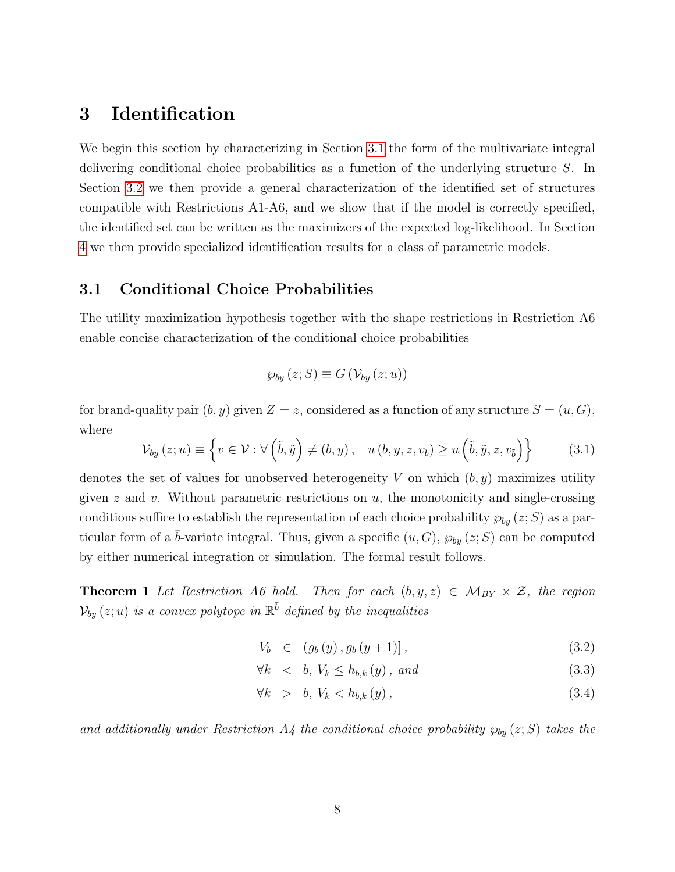## <span id="page-7-0"></span>3 Identification

We begin this section by characterizing in Section [3.1](#page-7-1) the form of the multivariate integral delivering conditional choice probabilities as a function of the underlying structure S. In Section [3.2](#page-8-0) we then provide a general characterization of the identified set of structures compatible with Restrictions A1-A6, and we show that if the model is correctly specified, the identified set can be written as the maximizers of the expected log-likelihood. In Section [4](#page-9-0) we then provide specialized identification results for a class of parametric models.

#### <span id="page-7-1"></span>3.1 Conditional Choice Probabilities

The utility maximization hypothesis together with the shape restrictions in Restriction A6 enable concise characterization of the conditional choice probabilities

$$
\wp_{by}(z;S) \equiv G\left(\mathcal{V}_{by}(z;u)\right)
$$

for brand-quality pair  $(b, y)$  given  $Z = z$ , considered as a function of any structure  $S = (u, G)$ , where

$$
\mathcal{V}_{by}(z;u) \equiv \left\{ v \in \mathcal{V} : \forall \left( \tilde{b}, \tilde{y} \right) \neq (b, y), \quad u(b, y, z, v_b) \geq u \left( \tilde{b}, \tilde{y}, z, v_{\tilde{b}} \right) \right\}
$$
(3.1)

denotes the set of values for unobserved heterogeneity V on which  $(b, y)$  maximizes utility given  $z$  and  $v$ . Without parametric restrictions on  $u$ , the monotonicity and single-crossing conditions suffice to establish the representation of each choice probability  $\wp_{by}(z;S)$  as a particular form of a  $\bar{b}$ -variate integral. Thus, given a specific  $(u, G)$ ,  $\wp_{by}(z; S)$  can be computed by either numerical integration or simulation. The formal result follows.

<span id="page-7-3"></span>**Theorem 1** Let Restriction A6 hold. Then for each  $(b, y, z) \in M_{BY} \times \mathcal{Z}$ , the region  $\mathcal{V}_{by}\left(z;u\right)$  is a convex polytope in  $\mathbb{R}^{\bar{b}}$  defined by the inequalities

<span id="page-7-2"></span>
$$
V_b \in (g_b(y), g_b(y+1)], \qquad (3.2)
$$

$$
\forall k \leq b, V_k \leq h_{b,k}(y), \text{ and} \tag{3.3}
$$

$$
\forall k \quad > \quad b, \ V_k < h_{b,k} \left( y \right), \tag{3.4}
$$

and additionally under Restriction A4 the conditional choice probability  $\wp_{by}(z;S)$  takes the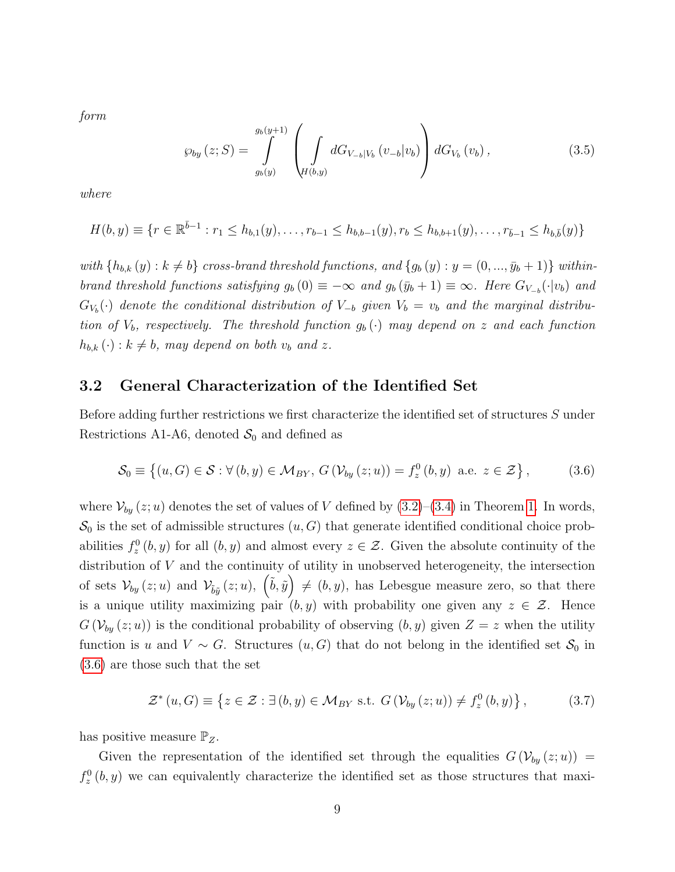form

<span id="page-8-2"></span>
$$
\wp_{by}(z;S) = \int_{g_b(y)}^{g_b(y+1)} \left( \int_{H(b,y)} dG_{V_{-b}|V_b}(v_{-b}|v_b) \right) dG_{V_b}(v_b), \qquad (3.5)
$$

where

$$
H(b,y) \equiv \{r \in \mathbb{R}^{\bar{b}-1} : r_1 \leq h_{b,1}(y), \ldots, r_{b-1} \leq h_{b,b-1}(y), r_b \leq h_{b,b+1}(y), \ldots, r_{\bar{b}-1} \leq h_{b,\bar{b}}(y)\}
$$

with  ${h_{b,k}(y): k \neq b}$  cross-brand threshold functions, and  ${g_b(y): y = (0, ..., y_b + 1)}$  withinbrand threshold functions satisfying  $g_b(0) \equiv -\infty$  and  $g_b(\bar{y}_b + 1) \equiv \infty$ . Here  $G_{V_{-b}}(\cdot|v_b)$  and  $G_{V_b}(\cdot)$  denote the conditional distribution of  $V_{-b}$  given  $V_b = v_b$  and the marginal distribution of  $V_b$ , respectively. The threshold function  $g_b(\cdot)$  may depend on z and each function  $h_{b,k}(\cdot) : k \neq b$ , may depend on both  $v_b$  and z.

#### <span id="page-8-0"></span>3.2 General Characterization of the Identified Set

Before adding further restrictions we first characterize the identified set of structures S under Restrictions A1-A6, denoted  $S_0$  and defined as

<span id="page-8-1"></span>
$$
S_0 \equiv \left\{ (u, G) \in S : \forall (b, y) \in M_{BY}, G\left(\mathcal{V}_{by}(z; u)\right) = f_z^0(b, y) \text{ a.e. } z \in \mathcal{Z} \right\},\tag{3.6}
$$

where  $\mathcal{V}_{by}(z; u)$  denotes the set of values of V defined by  $(3.2)$ – $(3.4)$  in Theorem [1.](#page-7-3) In words,  $\mathcal{S}_0$  is the set of admissible structures  $(u, G)$  that generate identified conditional choice probabilities  $f_z^0(b, y)$  for all  $(b, y)$  and almost every  $z \in \mathcal{Z}$ . Given the absolute continuity of the distribution of  $V$  and the continuity of utility in unobserved heterogeneity, the intersection of sets  $\mathcal{V}_{by}(z; u)$  and  $\mathcal{V}_{\tilde{b}\tilde{y}}(z; u), (\tilde{b}, \tilde{y}) \neq (b, y)$ , has Lebesgue measure zero, so that there is a unique utility maximizing pair  $(b, y)$  with probability one given any  $z \in \mathcal{Z}$ . Hence  $G(\mathcal{V}_{by}(z; u))$  is the conditional probability of observing  $(b, y)$  given  $Z = z$  when the utility function is u and  $V \sim G$ . Structures  $(u, G)$  that do not belong in the identified set  $S_0$  in [\(3.6\)](#page-8-1) are those such that the set

<span id="page-8-3"></span>
$$
\mathcal{Z}^*(u, G) \equiv \left\{ z \in \mathcal{Z} : \exists (b, y) \in \mathcal{M}_{BY} \text{ s.t. } G\left(\mathcal{V}_{by}(z; u)\right) \neq f_z^0(b, y) \right\},\tag{3.7}
$$

has positive measure  $\mathbb{P}_Z$ .

Given the representation of the identified set through the equalities  $G(V_{by}(z; u))$  $f_z^0(b, y)$  we can equivalently characterize the identified set as those structures that maxi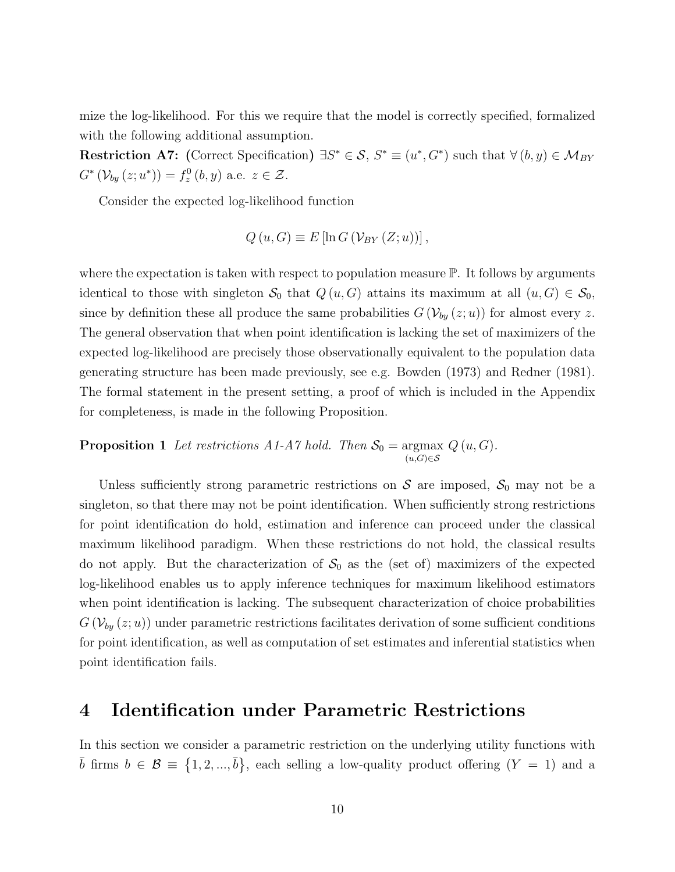mize the log-likelihood. For this we require that the model is correctly specified, formalized with the following additional assumption.

Restriction A7: (Correct Specification)  $\exists S^* \in \mathcal{S}, S^* \equiv (u^*, G^*)$  such that  $\forall (b, y) \in \mathcal{M}_{BY}$  $G^{*}(\mathcal{V}_{by}(z;u^{*})) = f_{z}^{0}(b,y)$  a.e.  $z \in \mathcal{Z}$ .

Consider the expected log-likelihood function

$$
Q(u, G) \equiv E[\ln G\left(\mathcal{V}_{BY}(Z; u)\right)],
$$

where the expectation is taken with respect to population measure  $\mathbb{P}$ . It follows by arguments identical to those with singleton  $S_0$  that  $Q(u, G)$  attains its maximum at all  $(u, G) \in S_0$ , since by definition these all produce the same probabilities  $G(\mathcal{V}_{by}(z; u))$  for almost every z. The general observation that when point identification is lacking the set of maximizers of the expected log-likelihood are precisely those observationally equivalent to the population data generating structure has been made previously, see e.g. Bowden (1973) and Redner (1981). The formal statement in the present setting, a proof of which is included in the Appendix for completeness, is made in the following Proposition.

<span id="page-9-1"></span>**Proposition 1** Let restrictions A1-A7 hold. Then  $S_0 = \text{argmax}$  $(u,G) \in \mathcal{S}$  $Q(u, G)$ .

Unless sufficiently strong parametric restrictions on  $S$  are imposed,  $S_0$  may not be a singleton, so that there may not be point identification. When sufficiently strong restrictions for point identification do hold, estimation and inference can proceed under the classical maximum likelihood paradigm. When these restrictions do not hold, the classical results do not apply. But the characterization of  $S_0$  as the (set of) maximizers of the expected log-likelihood enables us to apply inference techniques for maximum likelihood estimators when point identification is lacking. The subsequent characterization of choice probabilities  $G(\mathcal{V}_{by}(z; u))$  under parametric restrictions facilitates derivation of some sufficient conditions for point identification, as well as computation of set estimates and inferential statistics when point identification fails.

### <span id="page-9-0"></span>4 Identification under Parametric Restrictions

In this section we consider a parametric restriction on the underlying utility functions with  $\bar{b}$  firms  $b \in \mathcal{B} \equiv \{1, 2, ..., \bar{b}\},\$ each selling a low-quality product offering  $(Y = 1)$  and a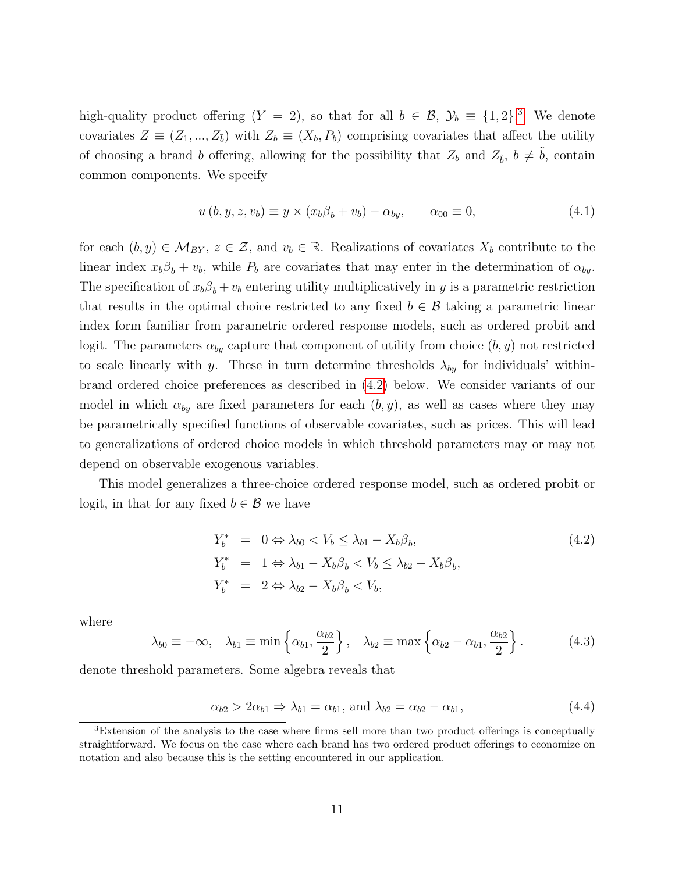high-quality product offering  $(Y = 2)$ , so that for all  $b \in \mathcal{B}$ ,  $\mathcal{Y}_b \equiv \{1, 2\}$ .<sup>[3](#page-10-0)</sup> We denote covariates  $Z \equiv (Z_1, ..., Z_{\bar{b}})$  with  $Z_b \equiv (X_b, P_b)$  comprising covariates that affect the utility of choosing a brand b offering, allowing for the possibility that  $Z_b$  and  $Z_{\tilde{b}}$ ,  $b \neq \tilde{b}$ , contain common components. We specify

<span id="page-10-3"></span>
$$
u(b, y, z, v_b) \equiv y \times (x_b \beta_b + v_b) - \alpha_{by}, \qquad \alpha_{00} \equiv 0,
$$
\n
$$
(4.1)
$$

for each  $(b, y) \in \mathcal{M}_{BY}$ ,  $z \in \mathcal{Z}$ , and  $v_b \in \mathbb{R}$ . Realizations of covariates  $X_b$  contribute to the linear index  $x_b\beta_b + v_b$ , while  $P_b$  are covariates that may enter in the determination of  $\alpha_{by}$ . The specification of  $x_b \beta_b + v_b$  entering utility multiplicatively in y is a parametric restriction that results in the optimal choice restricted to any fixed  $b \in \mathcal{B}$  taking a parametric linear index form familiar from parametric ordered response models, such as ordered probit and logit. The parameters  $\alpha_{by}$  capture that component of utility from choice  $(b, y)$  not restricted to scale linearly with y. These in turn determine thresholds  $\lambda_{by}$  for individuals' withinbrand ordered choice preferences as described in [\(4.2\)](#page-10-1) below. We consider variants of our model in which  $\alpha_{by}$  are fixed parameters for each  $(b, y)$ , as well as cases where they may be parametrically specified functions of observable covariates, such as prices. This will lead to generalizations of ordered choice models in which threshold parameters may or may not depend on observable exogenous variables.

This model generalizes a three-choice ordered response model, such as ordered probit or logit, in that for any fixed  $b \in \mathcal{B}$  we have

<span id="page-10-1"></span>
$$
Y_b^* = 0 \Leftrightarrow \lambda_{b0} < V_b \le \lambda_{b1} - X_b \beta_b,
$$
\n
$$
Y_b^* = 1 \Leftrightarrow \lambda_{b1} - X_b \beta_b < V_b \le \lambda_{b2} - X_b \beta_b,
$$
\n
$$
Y_b^* = 2 \Leftrightarrow \lambda_{b2} - X_b \beta_b < V_b,
$$
\n
$$
(4.2)
$$

where

<span id="page-10-4"></span>
$$
\lambda_{b0} \equiv -\infty, \quad \lambda_{b1} \equiv \min\left\{\alpha_{b1}, \frac{\alpha_{b2}}{2}\right\}, \quad \lambda_{b2} \equiv \max\left\{\alpha_{b2} - \alpha_{b1}, \frac{\alpha_{b2}}{2}\right\}.
$$
 (4.3)

denote threshold parameters. Some algebra reveals that

<span id="page-10-2"></span>
$$
\alpha_{b2} > 2\alpha_{b1} \Rightarrow \lambda_{b1} = \alpha_{b1}, \text{ and } \lambda_{b2} = \alpha_{b2} - \alpha_{b1}, \tag{4.4}
$$

<span id="page-10-0"></span><sup>3</sup>Extension of the analysis to the case where firms sell more than two product offerings is conceptually straightforward. We focus on the case where each brand has two ordered product offerings to economize on notation and also because this is the setting encountered in our application.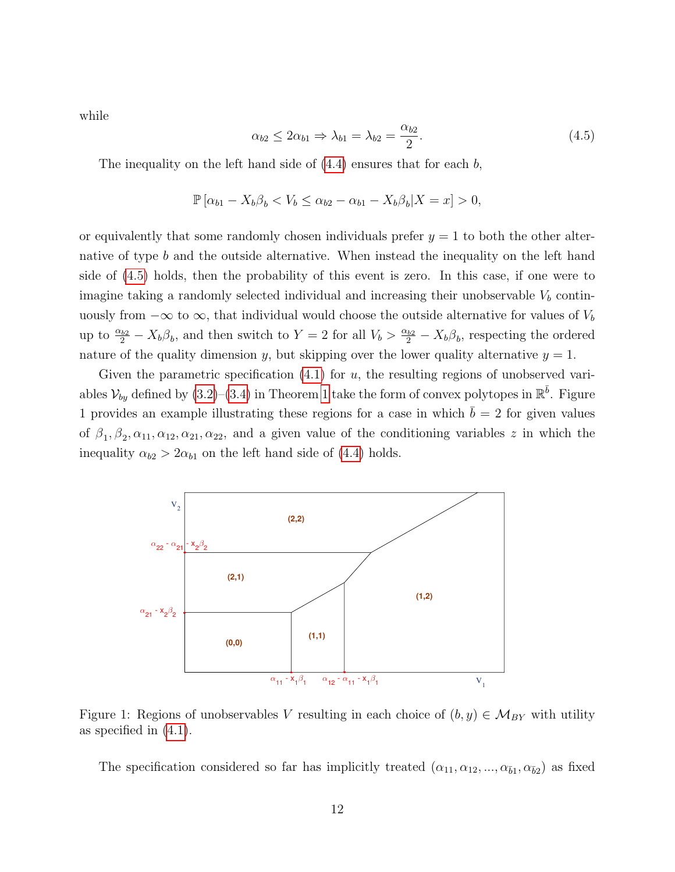while

<span id="page-11-0"></span>
$$
\alpha_{b2} \le 2\alpha_{b1} \Rightarrow \lambda_{b1} = \lambda_{b2} = \frac{\alpha_{b2}}{2}.
$$
\n(4.5)

The inequality on the left hand side of  $(4.4)$  ensures that for each b,

$$
\mathbb{P}\left[\alpha_{b1}-X_b\beta_b < V_b \le \alpha_{b2}-\alpha_{b1}-X_b\beta_b|X=x\right] > 0,
$$

or equivalently that some randomly chosen individuals prefer  $y = 1$  to both the other alternative of type b and the outside alternative. When instead the inequality on the left hand side of [\(4.5\)](#page-11-0) holds, then the probability of this event is zero. In this case, if one were to imagine taking a randomly selected individual and increasing their unobservable  $V<sub>b</sub>$  continuously from  $-\infty$  to  $\infty$ , that individual would choose the outside alternative for values of  $V_b$ up to  $\frac{\alpha_{b2}}{2} - X_b \beta_b$ , and then switch to  $Y = 2$  for all  $V_b > \frac{\alpha_{b2}}{2} - X_b \beta_b$ , respecting the ordered nature of the quality dimension y, but skipping over the lower quality alternative  $y = 1$ .

Given the parametric specification  $(4.1)$  for u, the resulting regions of unobserved variables  $\mathcal{V}_{by}$  defined by  $(3.2)$ – $(3.4)$  in Theorem [1](#page-7-3) take the form of convex polytopes in  $\mathbb{R}^{\bar{b}}$ . Figure 1 provides an example illustrating these regions for a case in which  $\bar{b} = 2$  for given values of  $\beta_1, \beta_2, \alpha_{11}, \alpha_{12}, \alpha_{21}, \alpha_{22}$ , and a given value of the conditioning variables z in which the inequality  $\alpha_{b2} > 2\alpha_{b1}$  on the left hand side of [\(4.4\)](#page-10-2) holds.



Figure 1: Regions of unobservables V resulting in each choice of  $(b, y) \in \mathcal{M}_{BY}$  with utility as specified in [\(4.1\)](#page-10-3).

The specification considered so far has implicitly treated  $(\alpha_{11}, \alpha_{12}, ..., \alpha_{\bar{b}1}, \alpha_{\bar{b}2})$  as fixed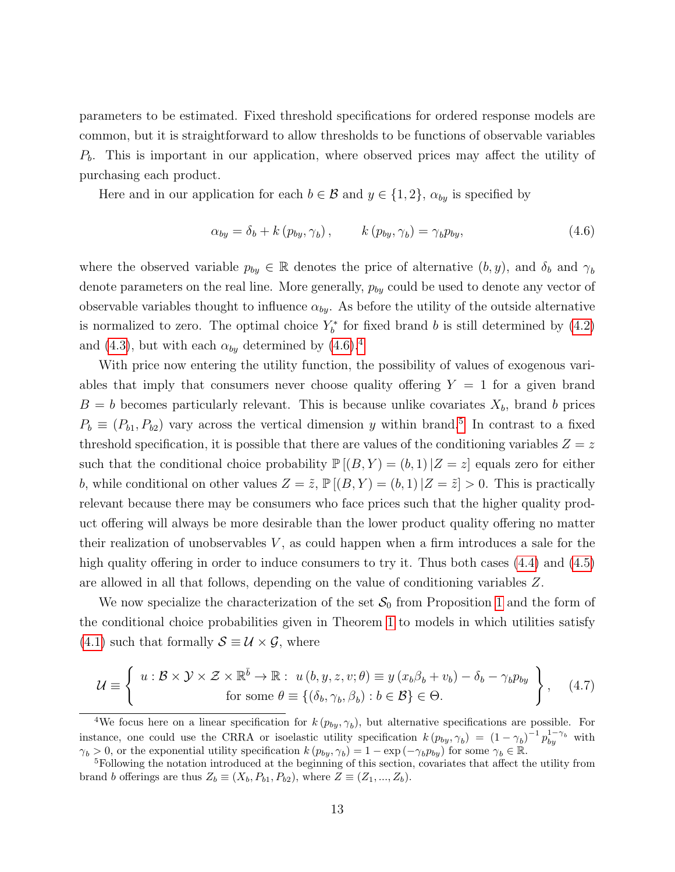parameters to be estimated. Fixed threshold specifications for ordered response models are common, but it is straightforward to allow thresholds to be functions of observable variables  $P<sub>b</sub>$ . This is important in our application, where observed prices may affect the utility of purchasing each product.

Here and in our application for each  $b \in \mathcal{B}$  and  $y \in \{1, 2\}$ ,  $\alpha_{by}$  is specified by

<span id="page-12-0"></span>
$$
\alpha_{by} = \delta_b + k (p_{by}, \gamma_b), \qquad k (p_{by}, \gamma_b) = \gamma_b p_{by}, \qquad (4.6)
$$

where the observed variable  $p_{by} \in \mathbb{R}$  denotes the price of alternative  $(b, y)$ , and  $\delta_b$  and  $\gamma_b$ denote parameters on the real line. More generally,  $p_{by}$  could be used to denote any vector of observable variables thought to influence  $\alpha_{by}$ . As before the utility of the outside alternative is normalized to zero. The optimal choice  $Y_b^*$  for fixed brand b is still determined by [\(4.2\)](#page-10-1) and [\(4.3\)](#page-10-4), but with each  $\alpha_{by}$  determined by [\(4.6\)](#page-12-0).<sup>[4](#page-12-1)</sup>

With price now entering the utility function, the possibility of values of exogenous variables that imply that consumers never choose quality offering  $Y = 1$  for a given brand  $B = b$  becomes particularly relevant. This is because unlike covariates  $X_b$ , brand b prices  $P_b \equiv (P_{b1}, P_{b2})$  vary across the vertical dimension y within brand.<sup>[5](#page-12-2)</sup> In contrast to a fixed threshold specification, it is possible that there are values of the conditioning variables  $Z = z$ such that the conditional choice probability  $\mathbb{P}[(B, Y) = (b, 1)|Z = z]$  equals zero for either b, while conditional on other values  $Z = \tilde{z}$ ,  $\mathbb{P}[(B, Y) = (b, 1)|Z = \tilde{z}| > 0$ . This is practically relevant because there may be consumers who face prices such that the higher quality product offering will always be more desirable than the lower product quality offering no matter their realization of unobservables  $V$ , as could happen when a firm introduces a sale for the high quality offering in order to induce consumers to try it. Thus both cases  $(4.4)$  and  $(4.5)$ are allowed in all that follows, depending on the value of conditioning variables Z.

We now specialize the characterization of the set  $S_0$  from Proposition [1](#page-9-1) and the form of the conditional choice probabilities given in Theorem [1](#page-7-3) to models in which utilities satisfy [\(4.1\)](#page-10-3) such that formally  $S \equiv U \times \mathcal{G}$ , where

<span id="page-12-3"></span>
$$
\mathcal{U} \equiv \left\{ \begin{array}{c} u: \mathcal{B} \times \mathcal{Y} \times \mathcal{Z} \times \mathbb{R}^{\bar{b}} \to \mathbb{R}: \ u\left(b, y, z, v; \theta\right) \equiv y\left(x_b \beta_b + v_b\right) - \delta_b - \gamma_b p_{by} \\ \text{for some } \theta \equiv \left\{(\delta_b, \gamma_b, \beta_b): b \in \mathcal{B} \right\} \in \Theta. \end{array} \right\}, \quad (4.7)
$$

<span id="page-12-1"></span><sup>&</sup>lt;sup>4</sup>We focus here on a linear specification for  $k(p_{by}, \gamma_b)$ , but alternative specifications are possible. For instance, one could use the CRRA or isoelastic utility specification  $k (p_{by}, \gamma_b) = (1 - \gamma_b)^{-1} p_{by}^{1 - \gamma_b}$  with  $\gamma_b > 0$ , or the exponential utility specification  $k(p_{by}, \gamma_b) = 1 - \exp(-\gamma_b p_{by})$  for some  $\gamma_b \in \mathbb{R}$ .

<span id="page-12-2"></span><sup>5</sup>Following the notation introduced at the beginning of this section, covariates that affect the utility from brand b offerings are thus  $Z_b \equiv (X_b, P_{b1}, P_{b2})$ , where  $Z \equiv (Z_1, ..., Z_b)$ .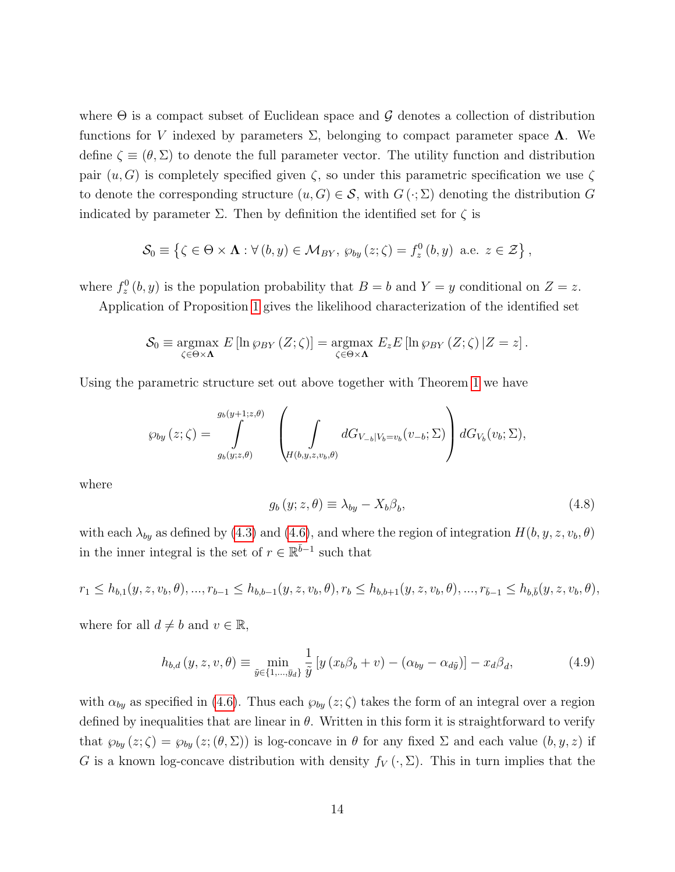where  $\Theta$  is a compact subset of Euclidean space and  $\mathcal G$  denotes a collection of distribution functions for V indexed by parameters Σ, belonging to compact parameter space Λ. We define  $\zeta \equiv (\theta, \Sigma)$  to denote the full parameter vector. The utility function and distribution pair  $(u, G)$  is completely specified given  $\zeta$ , so under this parametric specification we use  $\zeta$ to denote the corresponding structure  $(u, G) \in \mathcal{S}$ , with  $G(\cdot; \Sigma)$  denoting the distribution G indicated by parameter  $\Sigma$ . Then by definition the identified set for  $\zeta$  is

$$
\mathcal{S}_0 \equiv \left\{ \zeta \in \Theta \times \mathbf{\Lambda} : \forall (b, y) \in \mathcal{M}_{BY}, \, \wp_{by}(z; \zeta) = f_z^0(b, y) \text{ a.e. } z \in \mathcal{Z} \right\},\
$$

where  $f_z^0(b, y)$  is the population probability that  $B = b$  and  $Y = y$  conditional on  $Z = z$ .

Application of Proposition [1](#page-9-1) gives the likelihood characterization of the identified set

$$
\mathcal{S}_0 \equiv \underset{\zeta \in \Theta \times \mathbf{\Lambda}}{\operatorname{argmax}} E[\ln \wp_{BY}(Z;\zeta)] = \underset{\zeta \in \Theta \times \mathbf{\Lambda}}{\operatorname{argmax}} E_z E[\ln \wp_{BY}(Z;\zeta) | Z = z].
$$

Using the parametric structure set out above together with Theorem [1](#page-7-3) we have

$$
\wp_{by}(z;\zeta) = \int\limits_{g_{b}(y;z,\theta)}^{g_{b}(y+1;z,\theta)} \left( \int\limits_{H(b,y,z,v_{b},\theta)} dG_{V_{-b}|V_{b}=v_{b}}(v_{-b};\Sigma) \right) dG_{V_{b}}(v_{b};\Sigma),
$$

where

<span id="page-13-0"></span>
$$
g_b(y; z, \theta) \equiv \lambda_{by} - X_b \beta_b, \qquad (4.8)
$$

with each  $\lambda_{by}$  as defined by [\(4.3\)](#page-10-4) and [\(4.6\)](#page-12-0), and where the region of integration  $H(b, y, z, v_b, \theta)$ in the inner integral is the set of  $r \in \mathbb{R}^{\bar{b}-1}$  such that

$$
r_1 \leq h_{b,1}(y, z, v_b, \theta), \dots, r_{b-1} \leq h_{b,b-1}(y, z, v_b, \theta), r_b \leq h_{b,b+1}(y, z, v_b, \theta), \dots, r_{b-1} \leq h_{b,b}(y, z, v_b, \theta),
$$

where for all  $d \neq b$  and  $v \in \mathbb{R}$ ,

<span id="page-13-1"></span>
$$
h_{b,d}(y,z,v,\theta) \equiv \min_{\tilde{y}\in\{1,\dots,\tilde{y}_d\}} \frac{1}{\tilde{y}} \left[ y \left( x_b \beta_b + v \right) - \left( \alpha_{by} - \alpha_{d\tilde{y}} \right) \right] - x_d \beta_d, \tag{4.9}
$$

with  $\alpha_{by}$  as specified in [\(4.6\)](#page-12-0). Thus each  $\wp_{by}(z;\zeta)$  takes the form of an integral over a region defined by inequalities that are linear in  $\theta$ . Written in this form it is straightforward to verify that  $\wp_{by}(z;\zeta) = \wp_{by}(z;(\theta,\Sigma))$  is log-concave in  $\theta$  for any fixed  $\Sigma$  and each value  $(b, y, z)$  if G is a known log-concave distribution with density  $f_V(\cdot, \Sigma)$ . This in turn implies that the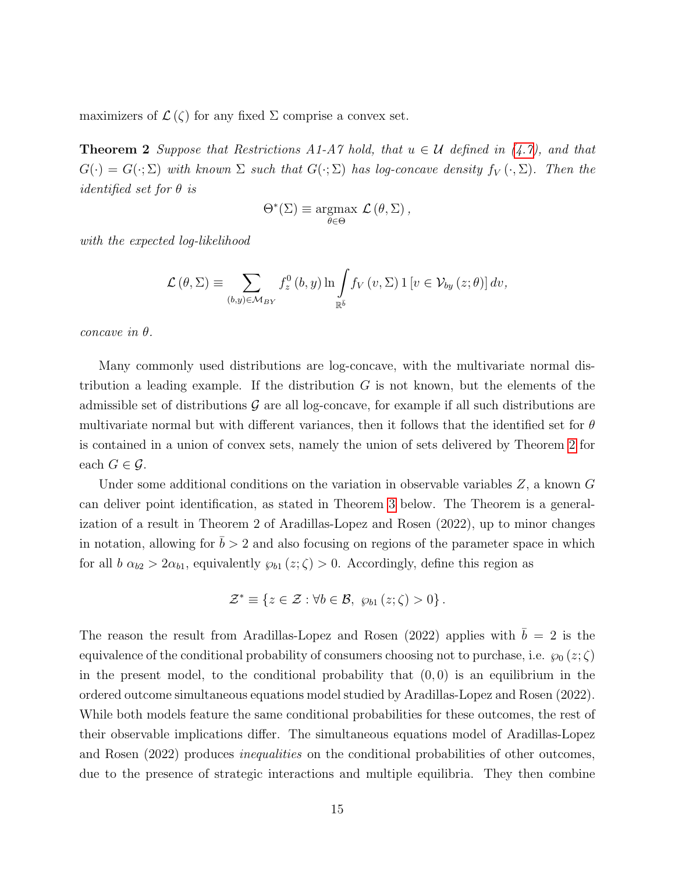<span id="page-14-0"></span>maximizers of  $\mathcal{L}(\zeta)$  for any fixed  $\Sigma$  comprise a convex set.

**Theorem 2** Suppose that Restrictions A1-A7 hold, that  $u \in U$  defined in [\(4.7\)](#page-12-3), and that  $G(\cdot) = G(\cdot;\Sigma)$  with known  $\Sigma$  such that  $G(\cdot;\Sigma)$  has log-concave density  $f_V(\cdot;\Sigma)$ . Then the *identified set for*  $\theta$  *is* 

$$
\Theta^*(\Sigma) \equiv \underset{\theta \in \Theta}{\operatorname{argmax}} \mathcal{L}(\theta, \Sigma),
$$

with the expected log-likelihood

$$
\mathcal{L}(\theta, \Sigma) \equiv \sum_{(b,y)\in \mathcal{M}_{BY}} f_z^0(b, y) \ln \int_{\mathbb{R}^{\bar{b}}} f_V(v, \Sigma) \mathbb{1}[v \in \mathcal{V}_{by}(z; \theta)] dv,
$$

concave in θ.

Many commonly used distributions are log-concave, with the multivariate normal distribution a leading example. If the distribution  $G$  is not known, but the elements of the admissible set of distributions  $\mathcal G$  are all log-concave, for example if all such distributions are multivariate normal but with different variances, then it follows that the identified set for  $\theta$ is contained in a union of convex sets, namely the union of sets delivered by Theorem [2](#page-14-0) for each  $G \in \mathcal{G}$ .

Under some additional conditions on the variation in observable variables  $Z$ , a known  $G$ can deliver point identification, as stated in Theorem [3](#page-15-0) below. The Theorem is a generalization of a result in Theorem 2 of Aradillas-Lopez and Rosen (2022), up to minor changes in notation, allowing for  $\bar{b} > 2$  and also focusing on regions of the parameter space in which for all  $b \alpha_{b2} > 2\alpha_{b1}$ , equivalently  $\wp_{b1}(z;\zeta) > 0$ . Accordingly, define this region as

$$
\mathcal{Z}^* \equiv \{ z \in \mathcal{Z} : \forall b \in \mathcal{B}, \ \wp_{b1}(z; \zeta) > 0 \}.
$$

The reason the result from Aradillas-Lopez and Rosen (2022) applies with  $\bar{b} = 2$  is the equivalence of the conditional probability of consumers choosing not to purchase, i.e.  $\wp_0(z;\zeta)$ in the present model, to the conditional probability that  $(0, 0)$  is an equilibrium in the ordered outcome simultaneous equations model studied by Aradillas-Lopez and Rosen (2022). While both models feature the same conditional probabilities for these outcomes, the rest of their observable implications differ. The simultaneous equations model of Aradillas-Lopez and Rosen (2022) produces inequalities on the conditional probabilities of other outcomes, due to the presence of strategic interactions and multiple equilibria. They then combine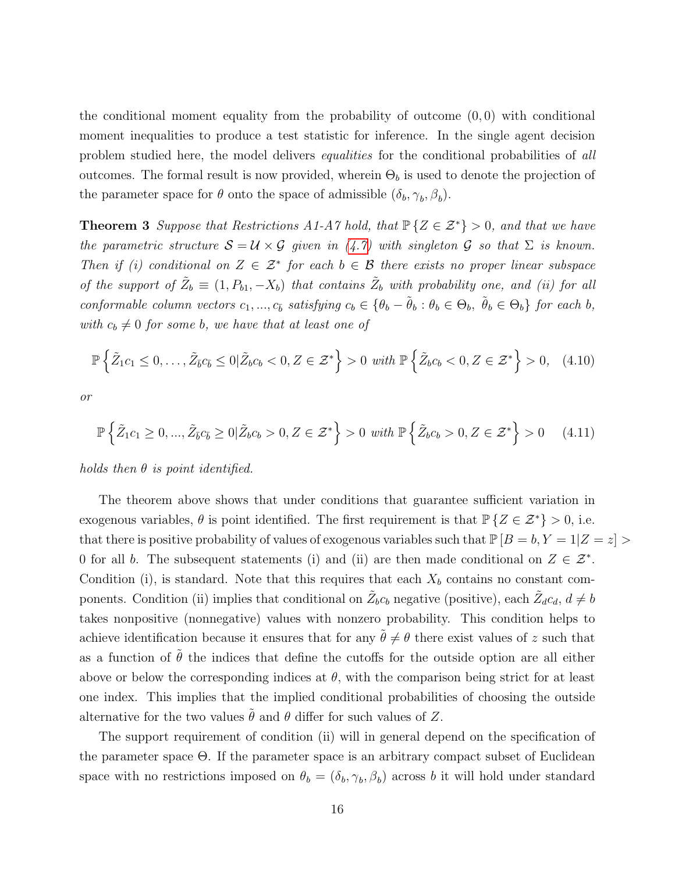the conditional moment equality from the probability of outcome  $(0, 0)$  with conditional moment inequalities to produce a test statistic for inference. In the single agent decision problem studied here, the model delivers equalities for the conditional probabilities of all outcomes. The formal result is now provided, wherein  $\Theta_b$  is used to denote the projection of the parameter space for  $\theta$  onto the space of admissible  $(\delta_b, \gamma_b, \beta_b)$ .

<span id="page-15-0"></span>**Theorem 3** Suppose that Restrictions A1-A7 hold, that  $\mathbb{P}\{Z \in \mathcal{Z}^*\} > 0$ , and that we have the parametric structure  $S = U \times G$  given in [\(4.7\)](#page-12-3) with singleton G so that  $\Sigma$  is known. Then if (i) conditional on  $Z \in \mathcal{Z}^*$  for each  $b \in \mathcal{B}$  there exists no proper linear subspace of the support of  $\tilde{Z}_b \equiv (1, P_{b1}, -X_b)$  that contains  $\tilde{Z}_b$  with probability one, and (ii) for all conformable column vectors  $c_1, ..., c_{\bar{b}}$  satisfying  $c_b \in {\theta_b - \tilde{\theta}_b : \theta_b \in \Theta_b}$ ,  $\tilde{\theta}_b \in \Theta_b}$  for each b, with  $c_b \neq 0$  for some b, we have that at least one of

<span id="page-15-1"></span>
$$
\mathbb{P}\left\{\tilde{Z}_1c_1 \leq 0,\ldots,\tilde{Z}_{\bar{b}}c_{\bar{b}} \leq 0|\tilde{Z}_bc_b < 0, Z \in \mathcal{Z}^*\right\} > 0 \text{ with } \mathbb{P}\left\{\tilde{Z}_bc_b < 0, Z \in \mathcal{Z}^*\right\} > 0,\quad(4.10)
$$

or

$$
\mathbb{P}\left\{\tilde{Z}_1c_1 \ge 0, \dots, \tilde{Z}_{\bar{b}}c_{\bar{b}} \ge 0 \mid \tilde{Z}_bc_b > 0, Z \in \mathcal{Z}^*\right\} > 0 \text{ with } \mathbb{P}\left\{\tilde{Z}_bc_b > 0, Z \in \mathcal{Z}^*\right\} > 0 \quad (4.11)
$$

holds then  $\theta$  is point identified.

The theorem above shows that under conditions that guarantee sufficient variation in exogenous variables,  $\theta$  is point identified. The first requirement is that  $\mathbb{P}\{Z \in \mathcal{Z}^*\} > 0$ , i.e. that there is positive probability of values of exogenous variables such that  $\mathbb{P}[B = b, Y = 1 | Z = z] >$ 0 for all b. The subsequent statements (i) and (ii) are then made conditional on  $Z \in \mathcal{Z}^*$ . Condition (i), is standard. Note that this requires that each  $X_b$  contains no constant components. Condition (ii) implies that conditional on  $\tilde{Z}_{b}c_b$  negative (positive), each  $\tilde{Z}_{d}c_d$ ,  $d \neq b$ takes nonpositive (nonnegative) values with nonzero probability. This condition helps to achieve identification because it ensures that for any  $\tilde{\theta} \neq \theta$  there exist values of z such that as a function of  $\hat{\theta}$  the indices that define the cutoffs for the outside option are all either above or below the corresponding indices at  $\theta$ , with the comparison being strict for at least one index. This implies that the implied conditional probabilities of choosing the outside alternative for the two values  $\tilde{\theta}$  and  $\theta$  differ for such values of Z.

The support requirement of condition (ii) will in general depend on the specification of the parameter space  $\Theta$ . If the parameter space is an arbitrary compact subset of Euclidean space with no restrictions imposed on  $\theta_b = (\delta_b, \gamma_b, \beta_b)$  across b it will hold under standard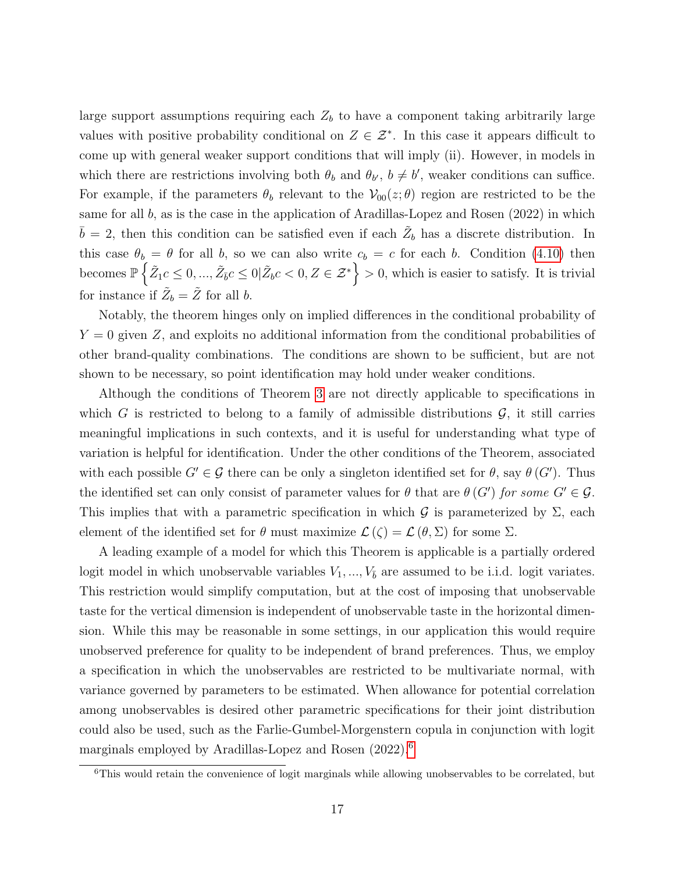large support assumptions requiring each  $Z_b$  to have a component taking arbitrarily large values with positive probability conditional on  $Z \in \mathcal{Z}^*$ . In this case it appears difficult to come up with general weaker support conditions that will imply (ii). However, in models in which there are restrictions involving both  $\theta_b$  and  $\theta_{b'}$ ,  $b \neq b'$ , weaker conditions can suffice. For example, if the parameters  $\theta_b$  relevant to the  $\mathcal{V}_{00}(z;\theta)$  region are restricted to be the same for all  $b$ , as is the case in the application of Aradillas-Lopez and Rosen (2022) in which  $\bar{b} = 2$ , then this condition can be satisfied even if each  $\tilde{Z}_b$  has a discrete distribution. In this case  $\theta_b = \theta$  for all b, so we can also write  $c_b = c$  for each b. Condition [\(4.10\)](#page-15-1) then becomes  $\mathbb{P}\left\{\tilde{Z}_1 c \leq 0, ..., \tilde{Z}_{\bar{b}} c \leq 0 | \tilde{Z}_b c < 0, Z \in \mathcal{Z}^*\right\} > 0$ , which is easier to satisfy. It is trivial for instance if  $\tilde{Z}_b = \tilde{Z}$  for all b.

Notably, the theorem hinges only on implied differences in the conditional probability of  $Y = 0$  given Z, and exploits no additional information from the conditional probabilities of other brand-quality combinations. The conditions are shown to be sufficient, but are not shown to be necessary, so point identification may hold under weaker conditions.

Although the conditions of Theorem [3](#page-15-0) are not directly applicable to specifications in which G is restricted to belong to a family of admissible distributions  $\mathcal{G}$ , it still carries meaningful implications in such contexts, and it is useful for understanding what type of variation is helpful for identification. Under the other conditions of the Theorem, associated with each possible  $G' \in \mathcal{G}$  there can be only a singleton identified set for  $\theta$ , say  $\theta(G')$ . Thus the identified set can only consist of parameter values for  $\theta$  that are  $\theta$  (G') for some  $G' \in \mathcal{G}$ . This implies that with a parametric specification in which G is parameterized by  $\Sigma$ , each element of the identified set for  $\theta$  must maximize  $\mathcal{L}(\zeta) = \mathcal{L}(\theta, \Sigma)$  for some  $\Sigma$ .

A leading example of a model for which this Theorem is applicable is a partially ordered logit model in which unobservable variables  $V_1, ..., V_{\bar{b}}$  are assumed to be i.i.d. logit variates. This restriction would simplify computation, but at the cost of imposing that unobservable taste for the vertical dimension is independent of unobservable taste in the horizontal dimension. While this may be reasonable in some settings, in our application this would require unobserved preference for quality to be independent of brand preferences. Thus, we employ a specification in which the unobservables are restricted to be multivariate normal, with variance governed by parameters to be estimated. When allowance for potential correlation among unobservables is desired other parametric specifications for their joint distribution could also be used, such as the Farlie-Gumbel-Morgenstern copula in conjunction with logit marginals employed by Aradillas-Lopez and Rosen (2022).<sup>[6](#page-16-0)</sup>

<span id="page-16-0"></span><sup>&</sup>lt;sup>6</sup>This would retain the convenience of logit marginals while allowing unobservables to be correlated, but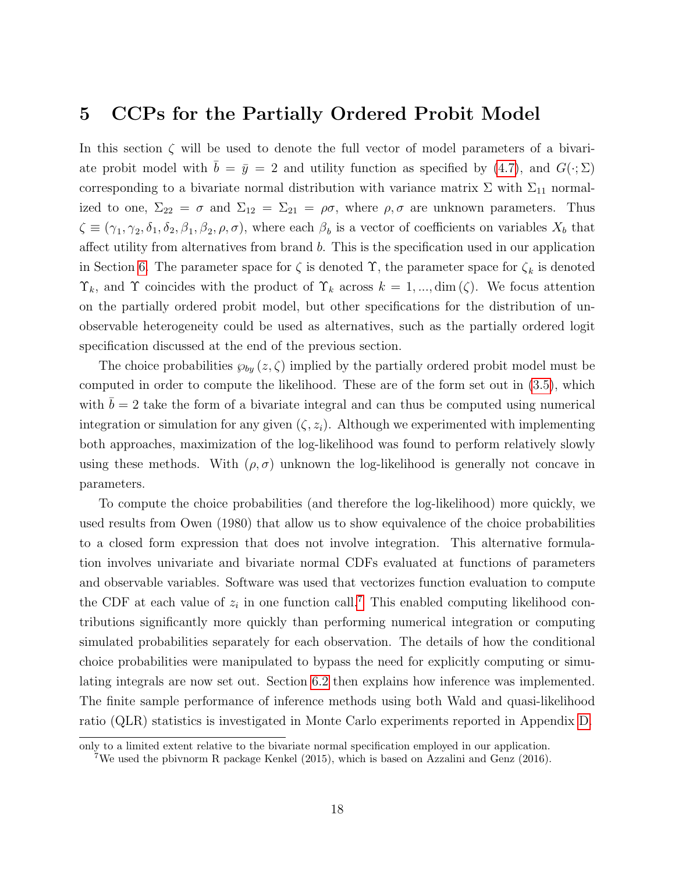### <span id="page-17-0"></span>5 CCPs for the Partially Ordered Probit Model

In this section  $\zeta$  will be used to denote the full vector of model parameters of a bivariate probit model with  $b = \bar{y} = 2$  and utility function as specified by [\(4.7\)](#page-12-3), and  $G(\cdot; \Sigma)$ corresponding to a bivariate normal distribution with variance matrix  $\Sigma$  with  $\Sigma_{11}$  normalized to one,  $\Sigma_{22} = \sigma$  and  $\Sigma_{12} = \Sigma_{21} = \rho\sigma$ , where  $\rho, \sigma$  are unknown parameters. Thus  $\zeta \equiv (\gamma_1, \gamma_2, \delta_1, \delta_2, \beta_1, \beta_2, \rho, \sigma)$ , where each  $\beta_b$  is a vector of coefficients on variables  $X_b$  that affect utility from alternatives from brand b. This is the specification used in our application in Section [6.](#page-19-0) The parameter space for  $\zeta$  is denoted  $\Upsilon$ , the parameter space for  $\zeta_k$  is denoted  $\Upsilon_k$ , and  $\Upsilon$  coincides with the product of  $\Upsilon_k$  across  $k = 1, ..., \dim(\zeta)$ . We focus attention on the partially ordered probit model, but other specifications for the distribution of unobservable heterogeneity could be used as alternatives, such as the partially ordered logit specification discussed at the end of the previous section.

The choice probabilities  $\wp_{by}(z,\zeta)$  implied by the partially ordered probit model must be computed in order to compute the likelihood. These are of the form set out in [\(3.5\)](#page-8-2), which with  $b = 2$  take the form of a bivariate integral and can thus be computed using numerical integration or simulation for any given  $(\zeta, z_i)$ . Although we experimented with implementing both approaches, maximization of the log-likelihood was found to perform relatively slowly using these methods. With  $(\rho, \sigma)$  unknown the log-likelihood is generally not concave in parameters.

To compute the choice probabilities (and therefore the log-likelihood) more quickly, we used results from Owen (1980) that allow us to show equivalence of the choice probabilities to a closed form expression that does not involve integration. This alternative formulation involves univariate and bivariate normal CDFs evaluated at functions of parameters and observable variables. Software was used that vectorizes function evaluation to compute the CDF at each value of  $z_i$  in one function call.<sup>[7](#page-17-1)</sup> This enabled computing likelihood contributions significantly more quickly than performing numerical integration or computing simulated probabilities separately for each observation. The details of how the conditional choice probabilities were manipulated to bypass the need for explicitly computing or simulating integrals are now set out. Section [6.2](#page-22-0) then explains how inference was implemented. The finite sample performance of inference methods using both Wald and quasi-likelihood ratio (QLR) statistics is investigated in Monte Carlo experiments reported in Appendix [D.](#page-43-0)

only to a limited extent relative to the bivariate normal specification employed in our application.

<span id="page-17-1"></span><sup>7</sup>We used the pbivnorm R package Kenkel (2015), which is based on Azzalini and Genz (2016).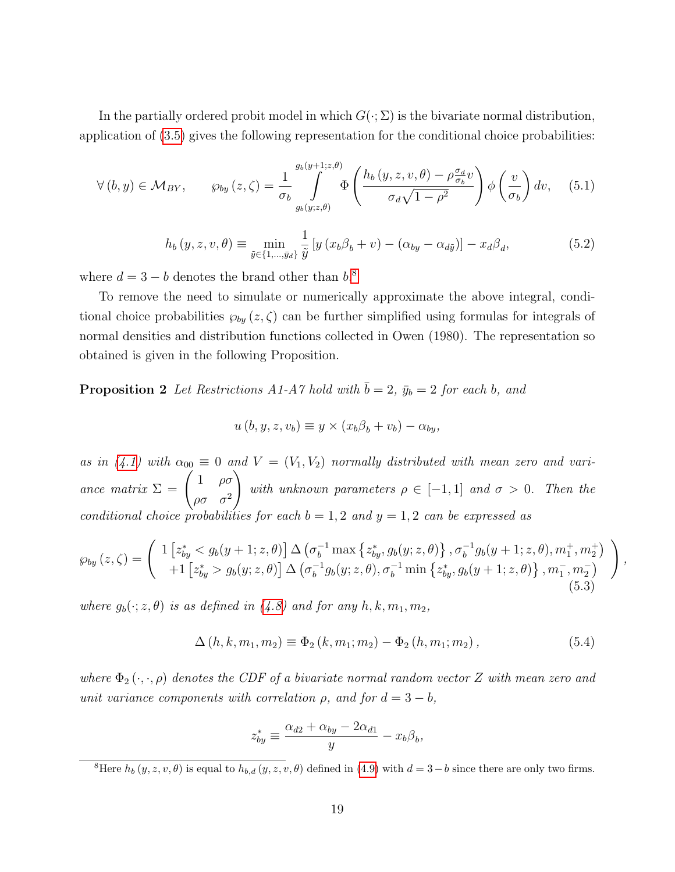In the partially ordered probit model in which  $G(\cdot;\Sigma)$  is the bivariate normal distribution, application of [\(3.5\)](#page-8-2) gives the following representation for the conditional choice probabilities:

$$
\forall (b, y) \in \mathcal{M}_{BY}, \qquad \wp_{by}(z, \zeta) = \frac{1}{\sigma_b} \int_{g_b(y; z, \theta)}^{g_b(y+1; z, \theta)} \Phi\left(\frac{h_b(y, z, v, \theta) - \rho \frac{\sigma_d}{\sigma_b} v}{\sigma_d \sqrt{1 - \rho^2}}\right) \phi\left(\frac{v}{\sigma_b}\right) dv, \tag{5.1}
$$

<span id="page-18-4"></span><span id="page-18-3"></span>
$$
h_b(y, z, v, \theta) \equiv \min_{\tilde{y} \in \{1, \dots, \tilde{y}_d\}} \frac{1}{\tilde{y}} \left[ y \left( x_b \beta_b + v \right) - \left( \alpha_{by} - \alpha_{d\tilde{y}} \right) \right] - x_d \beta_d, \tag{5.2}
$$

where  $d = 3 - b$  denotes the brand other than  $b$ <sup>[8](#page-18-0)</sup>.

To remove the need to simulate or numerically approximate the above integral, conditional choice probabilities  $\wp_{b\mu}(z,\zeta)$  can be further simplified using formulas for integrals of normal densities and distribution functions collected in Owen (1980). The representation so obtained is given in the following Proposition.

<span id="page-18-1"></span>**Proposition 2** Let Restrictions A1-A7 hold with  $\bar{b} = 2$ ,  $\bar{y}_b = 2$  for each b, and

$$
u(b, y, z, v_b) \equiv y \times (x_b \beta_b + v_b) - \alpha_{by},
$$

as in [\(4.1\)](#page-10-3) with  $\alpha_{00} \equiv 0$  and  $V = (V_1, V_2)$  normally distributed with mean zero and variance matrix  $\Sigma = \begin{pmatrix} 1 & \rho \sigma \\ 0 & \rho \end{pmatrix}$  $\rho \sigma$   $\sigma^2$  $\setminus$ with unknown parameters  $\rho \in [-1,1]$  and  $\sigma > 0$ . Then the conditional choice probabilities for each  $b = 1, 2$  and  $y = 1, 2$  can be expressed as

<span id="page-18-2"></span>
$$
\wp_{by}(z,\zeta) = \begin{pmatrix} 1 \left[ z_{by}^* < g_b(y+1;z,\theta) \right] \Delta \left( \sigma_b^{-1} \max \left\{ z_{by}^*, g_b(y;z,\theta) \right\}, \sigma_b^{-1} g_b(y+1;z,\theta), m_1^+, m_2^+ \right) \\ + 1 \left[ z_{by}^* > g_b(y;z,\theta) \right] \Delta \left( \sigma_b^{-1} g_b(y;z,\theta), \sigma_b^{-1} \min \left\{ z_{by}^*, g_b(y+1;z,\theta) \right\}, m_1^-, m_2^- \right) \end{pmatrix},
$$
\n
$$
(5.3)
$$

where  $g_b(\cdot; z, \theta)$  is as defined in [\(4.8\)](#page-13-0) and for any  $h, k, m_1, m_2$ ,

$$
\Delta(h, k, m_1, m_2) \equiv \Phi_2(k, m_1; m_2) - \Phi_2(h, m_1; m_2), \qquad (5.4)
$$

where  $\Phi_2(\cdot, \cdot, \rho)$  denotes the CDF of a bivariate normal random vector Z with mean zero and unit variance components with correlation  $\rho$ , and for  $d = 3 - b$ ,

$$
z_{by}^* \equiv \frac{\alpha_{d2} + \alpha_{by} - 2\alpha_{d1}}{y} - x_b \beta_b,
$$

<span id="page-18-0"></span><sup>&</sup>lt;sup>8</sup>Here  $h_b(y, z, v, \theta)$  is equal to  $h_{b,d}(y, z, v, \theta)$  defined in [\(4.9\)](#page-13-1) with  $d = 3-b$  since there are only two firms.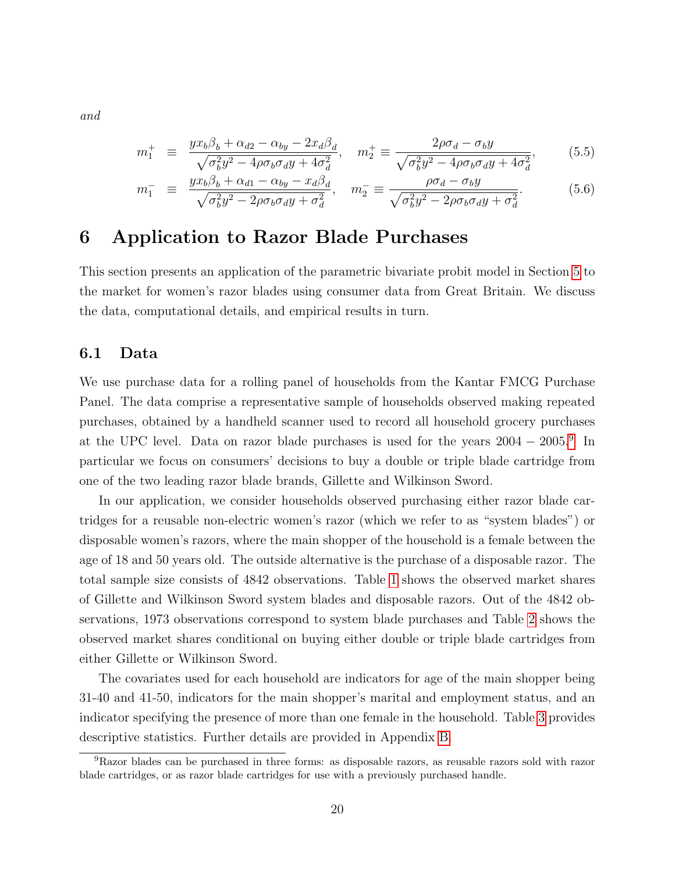and

<span id="page-19-2"></span>
$$
m_1^+ \equiv \frac{yx_b\beta_b + \alpha_{d2} - \alpha_{by} - 2x_d\beta_d}{\sqrt{\sigma_b^2 y^2 - 4\rho \sigma_b \sigma_d y + 4\sigma_d^2}}, \quad m_2^+ \equiv \frac{2\rho \sigma_d - \sigma_b y}{\sqrt{\sigma_b^2 y^2 - 4\rho \sigma_b \sigma_d y + 4\sigma_d^2}},
$$
(5.5)

$$
m_1^- \equiv \frac{yx_b\beta_b + \alpha_{d1} - \alpha_{by} - x_d\beta_d}{\sqrt{\sigma_b^2 y^2 - 2\rho\sigma_b\sigma_d y + \sigma_d^2}}, \quad m_2^- \equiv \frac{\rho\sigma_d - \sigma_b y}{\sqrt{\sigma_b^2 y^2 - 2\rho\sigma_b\sigma_d y + \sigma_d^2}}.
$$
 (5.6)

## <span id="page-19-0"></span>6 Application to Razor Blade Purchases

This section presents an application of the parametric bivariate probit model in Section [5](#page-17-0) to the market for women's razor blades using consumer data from Great Britain. We discuss the data, computational details, and empirical results in turn.

#### 6.1 Data

We use purchase data for a rolling panel of households from the Kantar FMCG Purchase Panel. The data comprise a representative sample of households observed making repeated purchases, obtained by a handheld scanner used to record all household grocery purchases at the UPC level. Data on razor blade purchases is used for the years 2004 − 2005.[9](#page-19-1) In particular we focus on consumers' decisions to buy a double or triple blade cartridge from one of the two leading razor blade brands, Gillette and Wilkinson Sword.

In our application, we consider households observed purchasing either razor blade cartridges for a reusable non-electric women's razor (which we refer to as "system blades") or disposable women's razors, where the main shopper of the household is a female between the age of 18 and 50 years old. The outside alternative is the purchase of a disposable razor. The total sample size consists of 4842 observations. Table [1](#page-20-0) shows the observed market shares of Gillette and Wilkinson Sword system blades and disposable razors. Out of the 4842 observations, 1973 observations correspond to system blade purchases and Table [2](#page-20-1) shows the observed market shares conditional on buying either double or triple blade cartridges from either Gillette or Wilkinson Sword.

The covariates used for each household are indicators for age of the main shopper being 31-40 and 41-50, indicators for the main shopper's marital and employment status, and an indicator specifying the presence of more than one female in the household. Table [3](#page-20-2) provides descriptive statistics. Further details are provided in Appendix [B.](#page-38-0)

<span id="page-19-1"></span><sup>9</sup>Razor blades can be purchased in three forms: as disposable razors, as reusable razors sold with razor blade cartridges, or as razor blade cartridges for use with a previously purchased handle.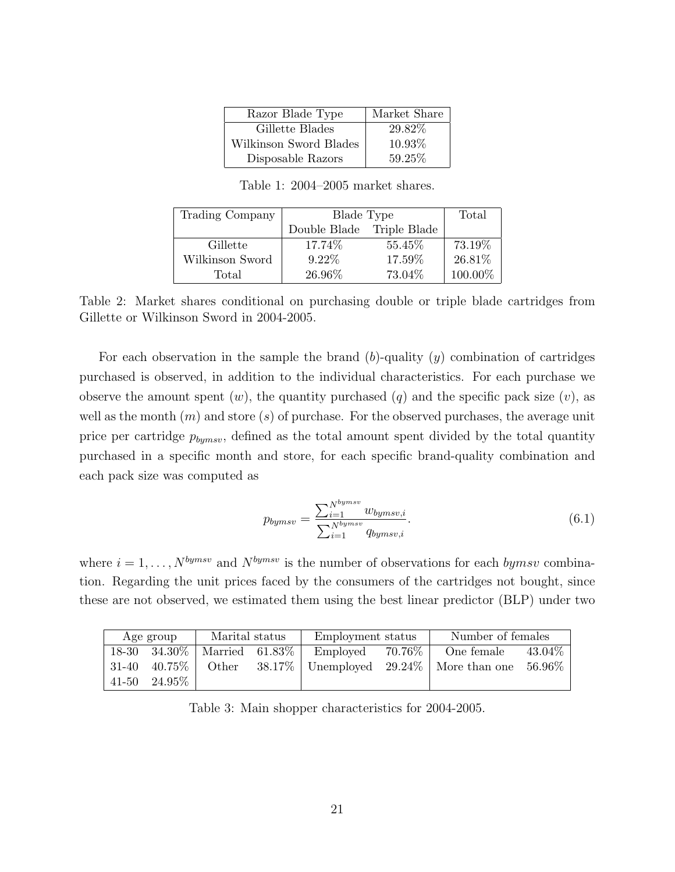| Razor Blade Type       | Market Share |
|------------------------|--------------|
| Gillette Blades        | 29.82%       |
| Wilkinson Sword Blades | 10.93%       |
| Disposable Razors      | 59.25%       |

Table 1: 2004–2005 market shares.

<span id="page-20-1"></span><span id="page-20-0"></span>

| Trading Company | Blade Type                | Total   |         |
|-----------------|---------------------------|---------|---------|
|                 | Double Blade Triple Blade |         |         |
| Gillette        | 17.74\%                   | 55.45\% | 73.19%  |
| Wilkinson Sword | $9.22\%$                  | 17.59%  | 26.81\% |
| Total           | 26.96%                    | 73.04%  | 100.00% |

Table 2: Market shares conditional on purchasing double or triple blade cartridges from Gillette or Wilkinson Sword in 2004-2005.

For each observation in the sample the brand  $(b)$ -quality  $(y)$  combination of cartridges purchased is observed, in addition to the individual characteristics. For each purchase we observe the amount spent  $(w)$ , the quantity purchased  $(q)$  and the specific pack size  $(v)$ , as well as the month  $(m)$  and store  $(s)$  of purchase. For the observed purchases, the average unit price per cartridge  $p_{bymsv}$ , defined as the total amount spent divided by the total quantity purchased in a specific month and store, for each specific brand-quality combination and each pack size was computed as

<span id="page-20-3"></span>
$$
p_{bymsv} = \frac{\sum_{i=1}^{N^{bymsv}} w_{bymsv,i}}{\sum_{i=1}^{N^{bymsv}} q_{bymsv,i}}.
$$
\n(6.1)

where  $i = 1, ..., N^{bymsv}$  and  $N^{bymsv}$  is the number of observations for each bymsv combination. Regarding the unit prices faced by the consumers of the cartridges not bought, since these are not observed, we estimated them using the best linear predictor (BLP) under two

<span id="page-20-2"></span>

|           | Age group         | Marital status    |           | Employment status |           | Number of females                  |        |
|-----------|-------------------|-------------------|-----------|-------------------|-----------|------------------------------------|--------|
|           | $18-30$ $34.30\%$ | Married $61.83\%$ |           | Employed          | $70.76\%$ | One female                         | 43.04% |
| 31-40     | $40.75\%$         | Other             | $38.17\%$ |                   |           | Unemployed $29.24\%$ More than one | 56.96% |
| $41 - 50$ | $24.95\%$         |                   |           |                   |           |                                    |        |

Table 3: Main shopper characteristics for 2004-2005.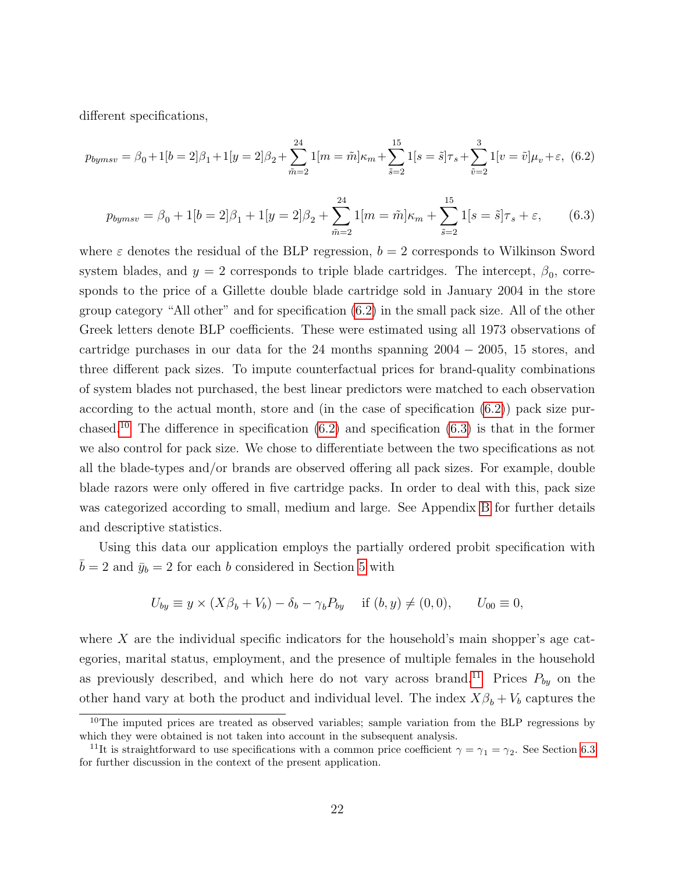different specifications,

<span id="page-21-0"></span>
$$
p_{bymsv} = \beta_0 + 1[b = 2]\beta_1 + 1[y = 2]\beta_2 + \sum_{\tilde{m}=2}^{24} 1[m = \tilde{m}]\kappa_m + \sum_{\tilde{s}=2}^{15} 1[s = \tilde{s}]\tau_s + \sum_{\tilde{v}=2}^{3} 1[v = \tilde{v}]\mu_v + \varepsilon, \tag{6.2}
$$

<span id="page-21-2"></span>
$$
p_{bymsv} = \beta_0 + 1[b = 2]\beta_1 + 1[y = 2]\beta_2 + \sum_{\tilde{m}=2}^{24} 1[m = \tilde{m}]\kappa_m + \sum_{\tilde{s}=2}^{15} 1[s = \tilde{s}]\tau_s + \varepsilon,
$$
 (6.3)

where  $\varepsilon$  denotes the residual of the BLP regression,  $b = 2$  corresponds to Wilkinson Sword system blades, and  $y = 2$  corresponds to triple blade cartridges. The intercept,  $\beta_0$ , corresponds to the price of a Gillette double blade cartridge sold in January 2004 in the store group category "All other" and for specification [\(6.2\)](#page-21-0) in the small pack size. All of the other Greek letters denote BLP coefficients. These were estimated using all 1973 observations of cartridge purchases in our data for the 24 months spanning  $2004 - 2005$ , 15 stores, and three different pack sizes. To impute counterfactual prices for brand-quality combinations of system blades not purchased, the best linear predictors were matched to each observation according to the actual month, store and (in the case of specification [\(6.2\)](#page-21-0)) pack size pur-chased.<sup>[10](#page-21-1)</sup> The difference in specification  $(6.2)$  and specification  $(6.3)$  is that in the former we also control for pack size. We chose to differentiate between the two specifications as not all the blade-types and/or brands are observed offering all pack sizes. For example, double blade razors were only offered in five cartridge packs. In order to deal with this, pack size was categorized according to small, medium and large. See Appendix [B](#page-38-0) for further details and descriptive statistics.

Using this data our application employs the partially ordered probit specification with  $\bar{b} = 2$  and  $\bar{y}_b = 2$  for each b considered in Section [5](#page-17-0) with

$$
U_{by} \equiv y \times (X\beta_b + V_b) - \delta_b - \gamma_b P_{by} \quad \text{if } (b, y) \neq (0, 0), \qquad U_{00} \equiv 0,
$$

where  $X$  are the individual specific indicators for the household's main shopper's age categories, marital status, employment, and the presence of multiple females in the household as previously described, and which here do not vary across brand.<sup>[11](#page-21-3)</sup> Prices  $P_{by}$  on the other hand vary at both the product and individual level. The index  $X\beta_b + V_b$  captures the

<span id="page-21-1"></span> $10$ The imputed prices are treated as observed variables; sample variation from the BLP regressions by which they were obtained is not taken into account in the subsequent analysis.

<span id="page-21-3"></span><sup>&</sup>lt;sup>11</sup>It is straightforward to use specifications with a common price coefficient  $\gamma = \gamma_1 = \gamma_2$ . See Section [6.3](#page-23-0) for further discussion in the context of the present application.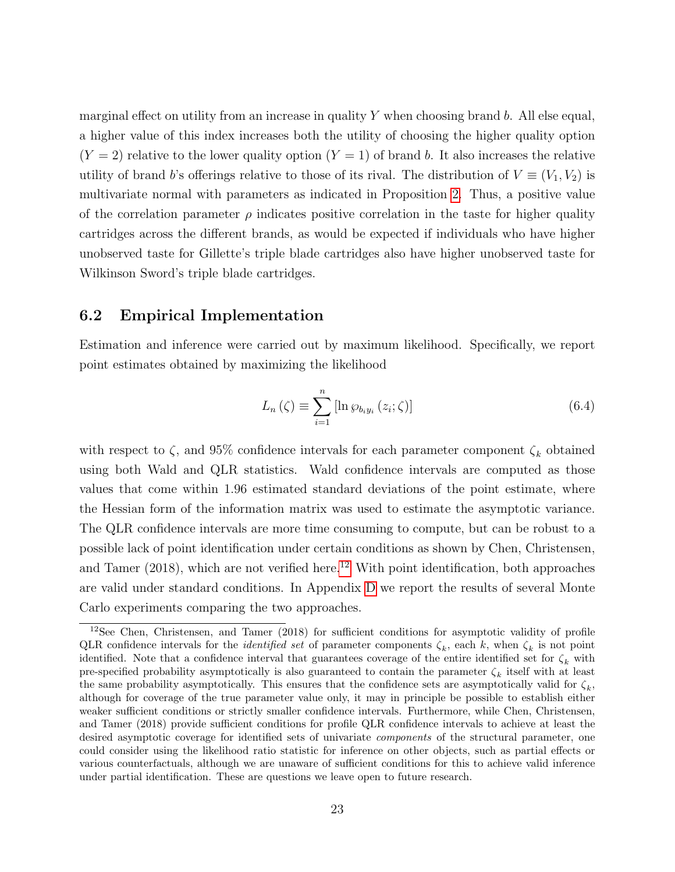marginal effect on utility from an increase in quality  $Y$  when choosing brand b. All else equal, a higher value of this index increases both the utility of choosing the higher quality option  $(Y = 2)$  relative to the lower quality option  $(Y = 1)$  of brand b. It also increases the relative utility of brand b's offerings relative to those of its rival. The distribution of  $V \equiv (V_1, V_2)$  is multivariate normal with parameters as indicated in Proposition [2.](#page-18-1) Thus, a positive value of the correlation parameter  $\rho$  indicates positive correlation in the taste for higher quality cartridges across the different brands, as would be expected if individuals who have higher unobserved taste for Gillette's triple blade cartridges also have higher unobserved taste for Wilkinson Sword's triple blade cartridges.

#### <span id="page-22-0"></span>6.2 Empirical Implementation

Estimation and inference were carried out by maximum likelihood. Specifically, we report point estimates obtained by maximizing the likelihood

<span id="page-22-2"></span>
$$
L_n(\zeta) \equiv \sum_{i=1}^n \left[ \ln \wp_{b_i y_i} \left( z_i; \zeta \right) \right] \tag{6.4}
$$

with respect to  $\zeta$ , and 95% confidence intervals for each parameter component  $\zeta_k$  obtained using both Wald and QLR statistics. Wald confidence intervals are computed as those values that come within 1.96 estimated standard deviations of the point estimate, where the Hessian form of the information matrix was used to estimate the asymptotic variance. The QLR confidence intervals are more time consuming to compute, but can be robust to a possible lack of point identification under certain conditions as shown by Chen, Christensen, and Tamer  $(2018)$ , which are not verified here.<sup>[12](#page-22-1)</sup> With point identification, both approaches are valid under standard conditions. In Appendix [D](#page-43-0) we report the results of several Monte Carlo experiments comparing the two approaches.

<span id="page-22-1"></span><sup>12</sup>See Chen, Christensen, and Tamer (2018) for sufficient conditions for asymptotic validity of profile QLR confidence intervals for the *identified set* of parameter components  $\zeta_k$ , each k, when  $\zeta_k$  is not point identified. Note that a confidence interval that guarantees coverage of the entire identified set for  $\zeta_k$  with pre-specified probability asymptotically is also guaranteed to contain the parameter  $\zeta_k$  itself with at least the same probability asymptotically. This ensures that the confidence sets are asymptotically valid for  $\zeta_k$ , although for coverage of the true parameter value only, it may in principle be possible to establish either weaker sufficient conditions or strictly smaller confidence intervals. Furthermore, while Chen, Christensen, and Tamer (2018) provide sufficient conditions for profile QLR confidence intervals to achieve at least the desired asymptotic coverage for identified sets of univariate *components* of the structural parameter, one could consider using the likelihood ratio statistic for inference on other objects, such as partial effects or various counterfactuals, although we are unaware of sufficient conditions for this to achieve valid inference under partial identification. These are questions we leave open to future research.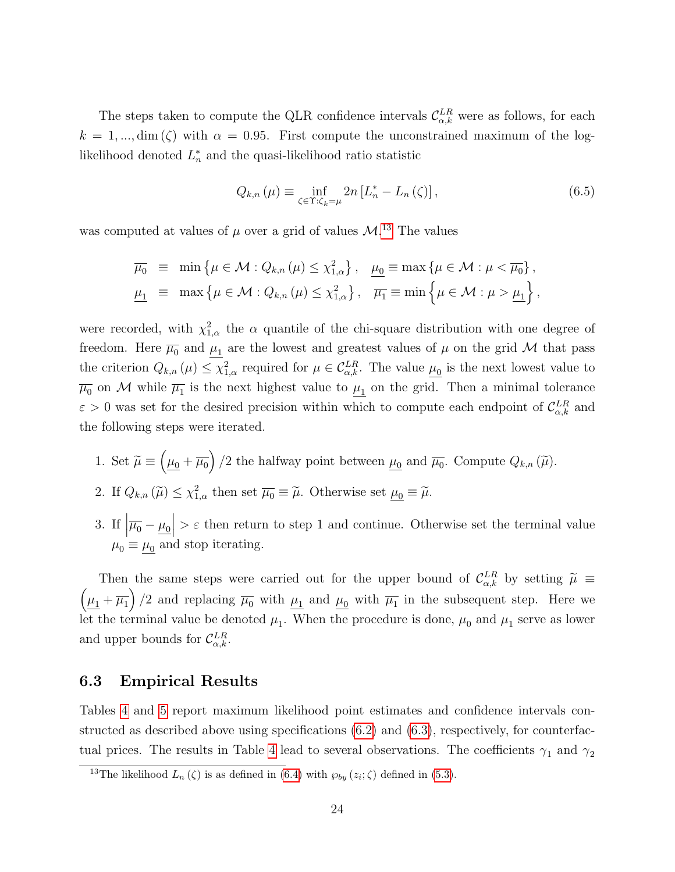The steps taken to compute the QLR confidence intervals  $\mathcal{C}_{\alpha,k}^{LR}$  were as follows, for each  $k = 1, ..., dim(\zeta)$  with  $\alpha = 0.95$ . First compute the unconstrained maximum of the loglikelihood denoted  $L_n^*$  and the quasi-likelihood ratio statistic

<span id="page-23-2"></span>
$$
Q_{k,n}(\mu) \equiv \inf_{\zeta \in \Upsilon: \zeta_k = \mu} 2n \left[ L_n^* - L_n(\zeta) \right],\tag{6.5}
$$

was computed at values of  $\mu$  over a grid of values  $\mathcal{M}$ <sup>[13](#page-23-1)</sup>. The values

$$
\overline{\mu_0} \equiv \min \{ \mu \in \mathcal{M} : Q_{k,n}(\mu) \leq \chi_{1,\alpha}^2 \}, \quad \underline{\mu_0} \equiv \max \{ \mu \in \mathcal{M} : \mu < \overline{\mu_0} \},
$$
\n
$$
\underline{\mu_1} \equiv \max \{ \mu \in \mathcal{M} : Q_{k,n}(\mu) \leq \chi_{1,\alpha}^2 \}, \quad \overline{\mu_1} \equiv \min \left\{ \mu \in \mathcal{M} : \mu > \underline{\mu_1} \right\},
$$

were recorded, with  $\chi^2_{1,\alpha}$  the  $\alpha$  quantile of the chi-square distribution with one degree of freedom. Here  $\overline{\mu_0}$  and  $\underline{\mu_1}$  are the lowest and greatest values of  $\mu$  on the grid M that pass the criterion  $Q_{k,n}(\mu) \leq \chi^2_{1,\alpha}$  required for  $\mu \in C_{\alpha,k}^{LR}$ . The value  $\mu_0$  is the next lowest value to  $\overline{\mu_0}$  on M while  $\overline{\mu_1}$  is the next highest value to  $\mu_1$  on the grid. Then a minimal tolerance  $\varepsilon > 0$  was set for the desired precision within which to compute each endpoint of  $\mathcal{C}_{\alpha,k}^{LR}$  and the following steps were iterated.

- 1. Set  $\widetilde{\mu} \equiv \left(\underline{\mu_0} + \overline{\mu_0}\right)/2$  the halfway point between  $\underline{\mu_0}$  and  $\overline{\mu_0}$ . Compute  $Q_{k,n}(\widetilde{\mu})$ .
- 2. If  $Q_{k,n}(\widetilde{\mu}) \leq \chi^2_{1,\alpha}$  then set  $\overline{\mu_0} \equiv \widetilde{\mu}$ . Otherwise set  $\underline{\mu_0} \equiv \widetilde{\mu}$ .
- 3. If  $\left|\overline{\mu_0} \underline{\mu_0}\right|$  $\epsilon$  then return to step 1 and continue. Otherwise set the terminal value  $\mu_0 \equiv \mu_0$  and stop iterating.

Then the same steps were carried out for the upper bound of  $C_{\alpha,k}^{LR}$  by setting  $\tilde{\mu} \equiv$  $(\mu_1 + \overline{\mu_1})/2$  and replacing  $\overline{\mu_0}$  with  $\mu_1$  and  $\mu_0$  with  $\overline{\mu_1}$  in the subsequent step. Here we let the terminal value be denoted  $\mu_1$ . When the procedure is done,  $\mu_0$  and  $\mu_1$  serve as lower and upper bounds for  $\mathcal{C}_{\alpha,k}^{LR}$ .

#### <span id="page-23-0"></span>6.3 Empirical Results

Tables [4](#page-26-0) and [5](#page-26-1) report maximum likelihood point estimates and confidence intervals constructed as described above using specifications [\(6.2\)](#page-21-0) and [\(6.3\)](#page-21-2), respectively, for counterfac-tual prices. The results in Table [4](#page-26-0) lead to several observations. The coefficients  $\gamma_1$  and  $\gamma_2$ 

<span id="page-23-1"></span><sup>&</sup>lt;sup>13</sup>The likelihood  $L_n(\zeta)$  is as defined in [\(6.4\)](#page-22-2) with  $\wp_{by}(z_i;\zeta)$  defined in [\(5.3\)](#page-18-2).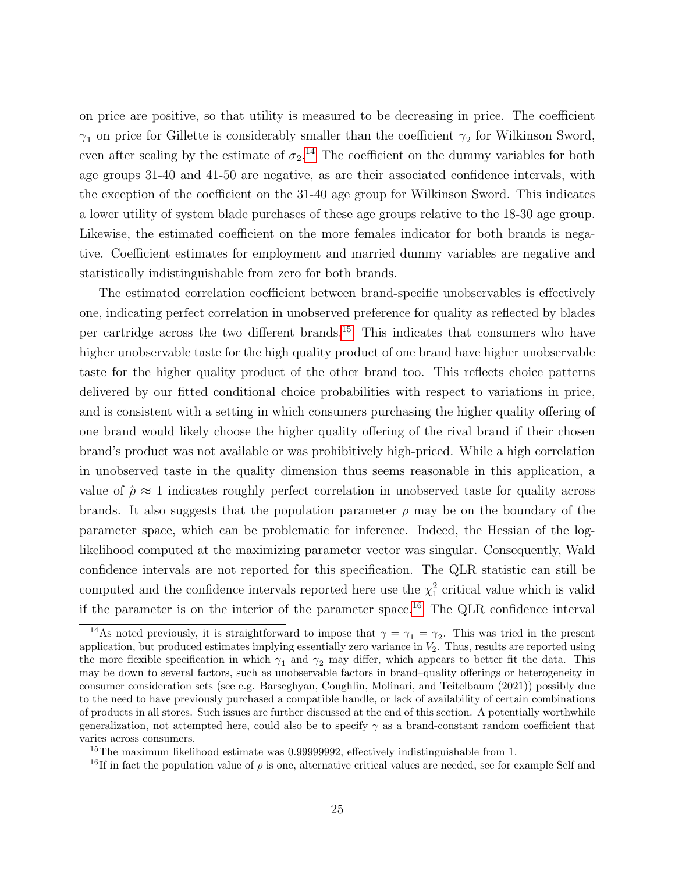on price are positive, so that utility is measured to be decreasing in price. The coefficient  $\gamma_1$  on price for Gillette is considerably smaller than the coefficient  $\gamma_2$  for Wilkinson Sword, even after scaling by the estimate of  $\sigma_2$ .<sup>[14](#page-24-0)</sup> The coefficient on the dummy variables for both age groups 31-40 and 41-50 are negative, as are their associated confidence intervals, with the exception of the coefficient on the 31-40 age group for Wilkinson Sword. This indicates a lower utility of system blade purchases of these age groups relative to the 18-30 age group. Likewise, the estimated coefficient on the more females indicator for both brands is negative. Coefficient estimates for employment and married dummy variables are negative and statistically indistinguishable from zero for both brands.

The estimated correlation coefficient between brand-specific unobservables is effectively one, indicating perfect correlation in unobserved preference for quality as reflected by blades per cartridge across the two different brands.[15](#page-24-1) This indicates that consumers who have higher unobservable taste for the high quality product of one brand have higher unobservable taste for the higher quality product of the other brand too. This reflects choice patterns delivered by our fitted conditional choice probabilities with respect to variations in price, and is consistent with a setting in which consumers purchasing the higher quality offering of one brand would likely choose the higher quality offering of the rival brand if their chosen brand's product was not available or was prohibitively high-priced. While a high correlation in unobserved taste in the quality dimension thus seems reasonable in this application, a value of  $\hat{\rho} \approx 1$  indicates roughly perfect correlation in unobserved taste for quality across brands. It also suggests that the population parameter  $\rho$  may be on the boundary of the parameter space, which can be problematic for inference. Indeed, the Hessian of the loglikelihood computed at the maximizing parameter vector was singular. Consequently, Wald confidence intervals are not reported for this specification. The QLR statistic can still be computed and the confidence intervals reported here use the  $\chi^2$  critical value which is valid if the parameter is on the interior of the parameter space.<sup>[16](#page-24-2)</sup> The QLR confidence interval

<span id="page-24-0"></span><sup>&</sup>lt;sup>14</sup>As noted previously, it is straightforward to impose that  $\gamma = \gamma_1 = \gamma_2$ . This was tried in the present application, but produced estimates implying essentially zero variance in  $V_2$ . Thus, results are reported using the more flexible specification in which  $\gamma_1$  and  $\gamma_2$  may differ, which appears to better fit the data. This may be down to several factors, such as unobservable factors in brand–quality offerings or heterogeneity in consumer consideration sets (see e.g. Barseghyan, Coughlin, Molinari, and Teitelbaum (2021)) possibly due to the need to have previously purchased a compatible handle, or lack of availability of certain combinations of products in all stores. Such issues are further discussed at the end of this section. A potentially worthwhile generalization, not attempted here, could also be to specify  $\gamma$  as a brand-constant random coefficient that varies across consumers.

<span id="page-24-1"></span><sup>&</sup>lt;sup>15</sup>The maximum likelihood estimate was 0.99999992, effectively indistinguishable from 1.

<span id="page-24-2"></span><sup>&</sup>lt;sup>16</sup>If in fact the population value of  $\rho$  is one, alternative critical values are needed, see for example Self and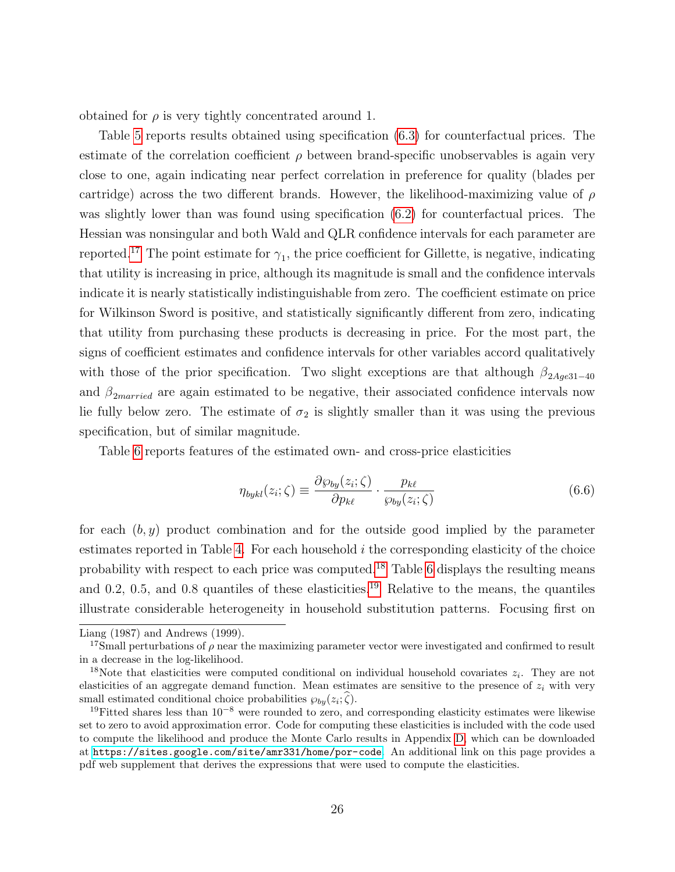obtained for  $\rho$  is very tightly concentrated around 1.

Table [5](#page-26-1) reports results obtained using specification [\(6.3\)](#page-21-2) for counterfactual prices. The estimate of the correlation coefficient  $\rho$  between brand-specific unobservables is again very close to one, again indicating near perfect correlation in preference for quality (blades per cartridge) across the two different brands. However, the likelihood-maximizing value of  $\rho$ was slightly lower than was found using specification [\(6.2\)](#page-21-0) for counterfactual prices. The Hessian was nonsingular and both Wald and QLR confidence intervals for each parameter are reported.<sup>[17](#page-25-0)</sup> The point estimate for  $\gamma_1$ , the price coefficient for Gillette, is negative, indicating that utility is increasing in price, although its magnitude is small and the confidence intervals indicate it is nearly statistically indistinguishable from zero. The coefficient estimate on price for Wilkinson Sword is positive, and statistically significantly different from zero, indicating that utility from purchasing these products is decreasing in price. For the most part, the signs of coefficient estimates and confidence intervals for other variables accord qualitatively with those of the prior specification. Two slight exceptions are that although  $\beta_{2Aqe31-40}$ and  $\beta_{2married}$  are again estimated to be negative, their associated confidence intervals now lie fully below zero. The estimate of  $\sigma_2$  is slightly smaller than it was using the previous specification, but of similar magnitude.

Table [6](#page-30-1) reports features of the estimated own- and cross-price elasticities

<span id="page-25-3"></span>
$$
\eta_{bykl}(z_i;\zeta) \equiv \frac{\partial \wp_{by}(z_i;\zeta)}{\partial p_{k\ell}} \cdot \frac{p_{k\ell}}{\wp_{by}(z_i;\zeta)} \tag{6.6}
$$

for each  $(b, y)$  product combination and for the outside good implied by the parameter estimates reported in Table [4.](#page-26-0) For each household  $i$  the corresponding elasticity of the choice probability with respect to each price was computed.[18](#page-25-1) Table [6](#page-30-1) displays the resulting means and 0.2, 0.5, and 0.8 quantiles of these elasticities.<sup>[19](#page-25-2)</sup> Relative to the means, the quantiles illustrate considerable heterogeneity in household substitution patterns. Focusing first on

Liang (1987) and Andrews (1999).

<span id="page-25-0"></span><sup>&</sup>lt;sup>17</sup>Small perturbations of  $\rho$  near the maximizing parameter vector were investigated and confirmed to result in a decrease in the log-likelihood.

<span id="page-25-1"></span><sup>&</sup>lt;sup>18</sup>Note that elasticities were computed conditional on individual household covariates  $z_i$ . They are not elasticities of an aggregate demand function. Mean estimates are sensitive to the presence of  $z_i$  with very small estimated conditional choice probabilities  $\wp_{by}(z_i;\zeta)$ .

<span id="page-25-2"></span><sup>&</sup>lt;sup>19</sup>Fitted shares less than  $10^{-8}$  were rounded to zero, and corresponding elasticity estimates were likewise set to zero to avoid approximation error. Code for computing these elasticities is included with the code used to compute the likelihood and produce the Monte Carlo results in Appendix [D,](#page-43-0) which can be downloaded at <https://sites.google.com/site/amr331/home/por-code>. An additional link on this page provides a pdf web supplement that derives the expressions that were used to compute the elasticities.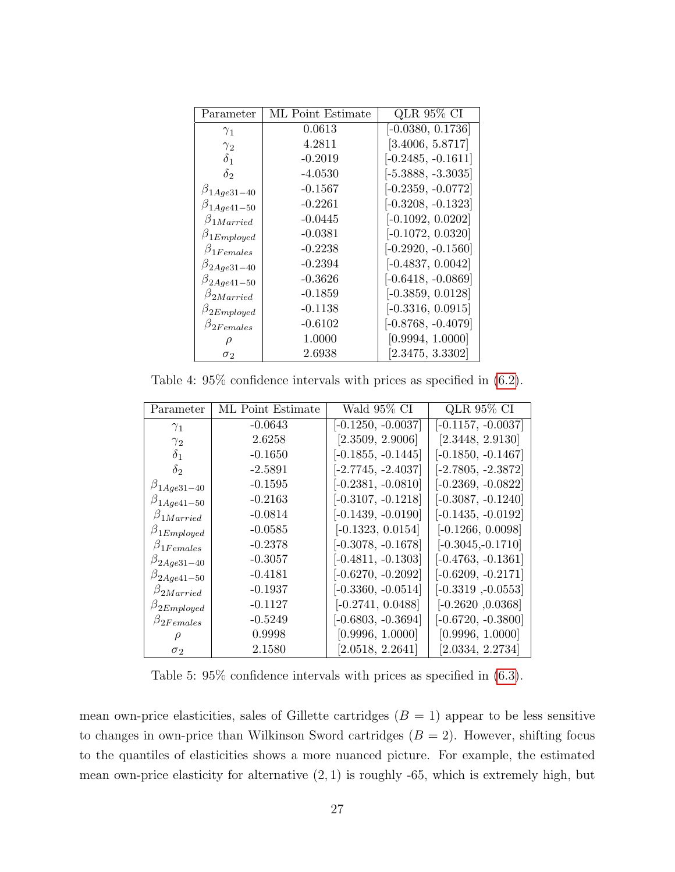<span id="page-26-0"></span>

| Parameter           | ML Point Estimate | QLR 95% CI           |
|---------------------|-------------------|----------------------|
| $\gamma_1$          | 0.0613            | $[-0.0380, 0.1736]$  |
| $\gamma_{2}$        | 4.2811            | [3.4006, 5.8717]     |
| $\delta_1$          | $-0.2019$         | $[-0.2485, -0.1611]$ |
| $\delta_2$          | $-4.0530$         | $[-5.3888, -3.3035]$ |
| $\beta_{1Age31-40}$ | $-0.1567$         | $[-0.2359, -0.0772]$ |
| $\beta_{1Age41-50}$ | $-0.2261$         | $[-0.3208, -0.1323]$ |
| $\beta_{1Married}$  | $-0.0445$         | $[-0.1092, 0.0202]$  |
| $\beta_{1Emploged}$ | $-0.0381$         | $[-0.1072, 0.0320]$  |
| $\beta_{1Females}$  | $-0.2238$         | $[-0.2920, -0.1560]$ |
| $\beta_{2Aqe31-40}$ | $-0.2394$         | $[-0.4837, 0.0042]$  |
| $\beta_{2Age41-50}$ | $-0.3626$         | $[-0.6418, -0.0869]$ |
| $\beta_{2Married}$  | $-0.1859$         | $[-0.3859, 0.0128]$  |
| $\beta_{2Employed}$ | $-0.1138$         | $[-0.3316, 0.0915]$  |
| $\beta_{2Females}$  | $-0.6102$         | $[-0.8768, -0.4079]$ |
|                     | 1.0000            | [0.9994, 1.0000]     |
| $\sigma_2$          | 2.6938            | [2.3475, 3.3302]     |

Table 4: 95% confidence intervals with prices as specified in [\(6.2\)](#page-21-0).

<span id="page-26-1"></span>

| Parameter           | ML Point Estimate | Wald 95% CI          | QLR 95% CI           |
|---------------------|-------------------|----------------------|----------------------|
| $\gamma_1$          | $-0.0643$         | $[-0.1250, -0.0037]$ | $[-0.1157, -0.0037]$ |
| $\gamma_2$          | 2.6258            | [2.3509, 2.9006]     | [2.3448, 2.9130]     |
| $\delta_1$          | $-0.1650$         | $[-0.1855, -0.1445]$ | $[-0.1850, -0.1467]$ |
| $\delta_2$          | $-2.5891$         | $[-2.7745, -2.4037]$ | $[-2.7805, -2.3872]$ |
| $\beta_{1Age31-40}$ | $-0.1595$         | $[-0.2381, -0.0810]$ | $[-0.2369, -0.0822]$ |
| $\beta_{1Age41-50}$ | $-0.2163$         | $[-0.3107, -0.1218]$ | $[-0.3087, -0.1240]$ |
| $\beta_{1Married}$  | $-0.0814$         | $[-0.1439, -0.0190]$ | $[-0.1435, -0.0192]$ |
| $\beta_{1Employd}$  | $-0.0585$         | $[-0.1323, 0.0154]$  | $[-0.1266, 0.0098]$  |
| $\beta_{1Females}$  | $-0.2378$         | $[-0.3078, -0.1678]$ | $[-0.3045, -0.1710]$ |
| $\beta_{2Age31-40}$ | $-0.3057$         | $[-0.4811, -0.1303]$ | $[-0.4763, -0.1361]$ |
| $\beta_{2Age41-50}$ | $-0.4181$         | $[-0.6270, -0.2092]$ | $[-0.6209, -0.2171]$ |
| $\beta_{2Married}$  | $-0.1937$         | $[-0.3360, -0.0514]$ | $[-0.3319, -0.0553]$ |
| $\beta_{2Employed}$ | $-0.1127$         | $[-0.2741, 0.0488]$  | $[-0.2620, 0.0368]$  |
| $\beta_{2Females}$  | $-0.5249$         | $[-0.6803, -0.3694]$ | $[-0.6720, -0.3800]$ |
|                     | 0.9998            | [0.9996, 1.0000]     | [0.9996, 1.0000]     |
| $\sigma_2$          | 2.1580            | [2.0518, 2.2641]     | [2.0334, 2.2734]     |

Table 5: 95% confidence intervals with prices as specified in [\(6.3\)](#page-21-2).

mean own-price elasticities, sales of Gillette cartridges  $(B = 1)$  appear to be less sensitive to changes in own-price than Wilkinson Sword cartridges  $(B = 2)$ . However, shifting focus to the quantiles of elasticities shows a more nuanced picture. For example, the estimated mean own-price elasticity for alternative  $(2, 1)$  is roughly -65, which is extremely high, but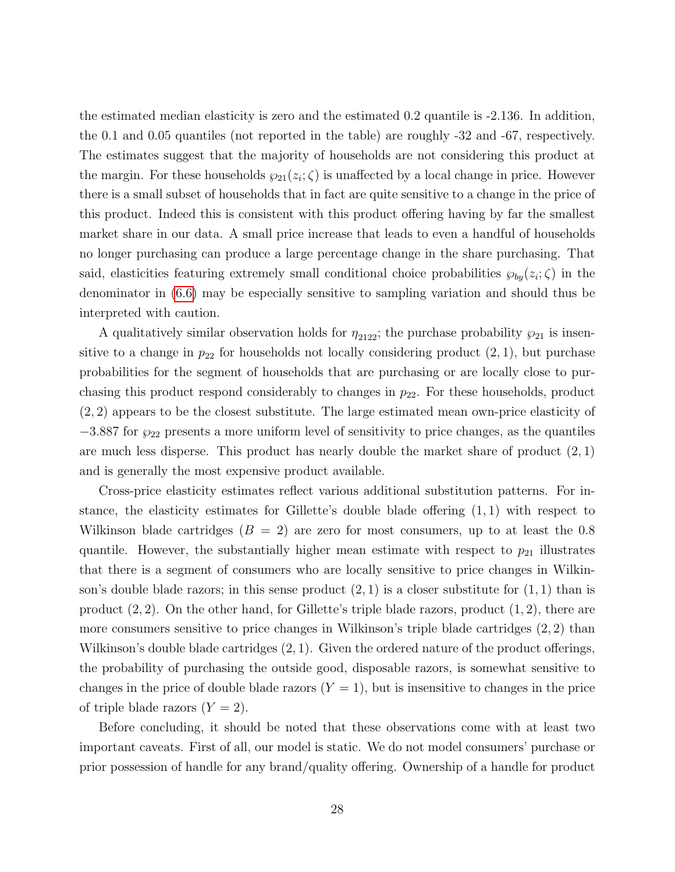the estimated median elasticity is zero and the estimated 0.2 quantile is -2.136. In addition, the 0.1 and 0.05 quantiles (not reported in the table) are roughly -32 and -67, respectively. The estimates suggest that the majority of households are not considering this product at the margin. For these households  $\wp_{21}(z_i;\zeta)$  is unaffected by a local change in price. However there is a small subset of households that in fact are quite sensitive to a change in the price of this product. Indeed this is consistent with this product offering having by far the smallest market share in our data. A small price increase that leads to even a handful of households no longer purchasing can produce a large percentage change in the share purchasing. That said, elasticities featuring extremely small conditional choice probabilities  $\wp_{by}(z_i;\zeta)$  in the denominator in [\(6.6\)](#page-25-3) may be especially sensitive to sampling variation and should thus be interpreted with caution.

A qualitatively similar observation holds for  $\eta_{2122}$ ; the purchase probability  $\wp_{21}$  is insensitive to a change in  $p_{22}$  for households not locally considering product  $(2, 1)$ , but purchase probabilities for the segment of households that are purchasing or are locally close to purchasing this product respond considerably to changes in  $p_{22}$ . For these households, product (2, 2) appears to be the closest substitute. The large estimated mean own-price elasticity of  $-3.887$  for  $\wp_{22}$  presents a more uniform level of sensitivity to price changes, as the quantiles are much less disperse. This product has nearly double the market share of product  $(2, 1)$ and is generally the most expensive product available.

Cross-price elasticity estimates reflect various additional substitution patterns. For instance, the elasticity estimates for Gillette's double blade offering (1, 1) with respect to Wilkinson blade cartridges  $(B = 2)$  are zero for most consumers, up to at least the 0.8 quantile. However, the substantially higher mean estimate with respect to  $p_{21}$  illustrates that there is a segment of consumers who are locally sensitive to price changes in Wilkinson's double blade razors; in this sense product  $(2,1)$  is a closer substitute for  $(1,1)$  than is product  $(2, 2)$ . On the other hand, for Gillette's triple blade razors, product  $(1, 2)$ , there are more consumers sensitive to price changes in Wilkinson's triple blade cartridges (2, 2) than Wilkinson's double blade cartridges (2, 1). Given the ordered nature of the product offerings, the probability of purchasing the outside good, disposable razors, is somewhat sensitive to changes in the price of double blade razors  $(Y = 1)$ , but is insensitive to changes in the price of triple blade razors  $(Y = 2)$ .

Before concluding, it should be noted that these observations come with at least two important caveats. First of all, our model is static. We do not model consumers' purchase or prior possession of handle for any brand/quality offering. Ownership of a handle for product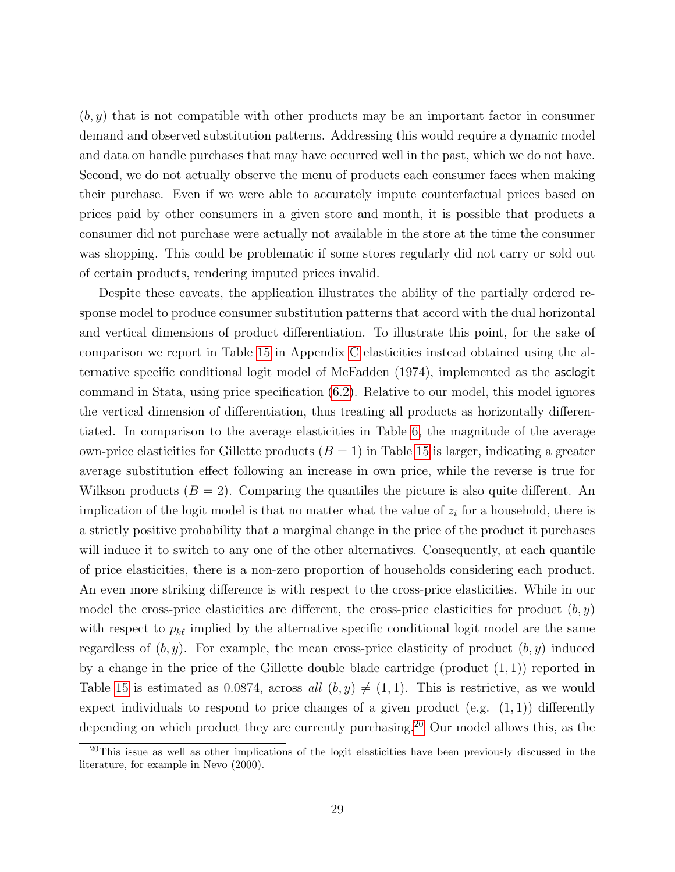$(b, y)$  that is not compatible with other products may be an important factor in consumer demand and observed substitution patterns. Addressing this would require a dynamic model and data on handle purchases that may have occurred well in the past, which we do not have. Second, we do not actually observe the menu of products each consumer faces when making their purchase. Even if we were able to accurately impute counterfactual prices based on prices paid by other consumers in a given store and month, it is possible that products a consumer did not purchase were actually not available in the store at the time the consumer was shopping. This could be problematic if some stores regularly did not carry or sold out of certain products, rendering imputed prices invalid.

Despite these caveats, the application illustrates the ability of the partially ordered response model to produce consumer substitution patterns that accord with the dual horizontal and vertical dimensions of product differentiation. To illustrate this point, for the sake of comparison we report in Table [15](#page-44-0) in Appendix [C](#page-41-0) elasticities instead obtained using the alternative specific conditional logit model of McFadden (1974), implemented as the asclogit command in Stata, using price specification [\(6.2\)](#page-21-0). Relative to our model, this model ignores the vertical dimension of differentiation, thus treating all products as horizontally differentiated. In comparison to the average elasticities in Table [6,](#page-30-1) the magnitude of the average own-price elasticities for Gillette products  $(B = 1)$  in Table [15](#page-44-0) is larger, indicating a greater average substitution effect following an increase in own price, while the reverse is true for Wilkson products  $(B = 2)$ . Comparing the quantiles the picture is also quite different. An implication of the logit model is that no matter what the value of  $z_i$  for a household, there is a strictly positive probability that a marginal change in the price of the product it purchases will induce it to switch to any one of the other alternatives. Consequently, at each quantile of price elasticities, there is a non-zero proportion of households considering each product. An even more striking difference is with respect to the cross-price elasticities. While in our model the cross-price elasticities are different, the cross-price elasticities for product  $(b, y)$ with respect to  $p_{k\ell}$  implied by the alternative specific conditional logit model are the same regardless of  $(b, y)$ . For example, the mean cross-price elasticity of product  $(b, y)$  induced by a change in the price of the Gillette double blade cartridge (product  $(1, 1)$ ) reported in Table [15](#page-44-0) is estimated as 0.0874, across all  $(b, y) \neq (1, 1)$ . This is restrictive, as we would expect individuals to respond to price changes of a given product (e.g.  $(1, 1)$ ) differently depending on which product they are currently purchasing.[20](#page-28-0) Our model allows this, as the

<span id="page-28-0"></span><sup>20</sup>This issue as well as other implications of the logit elasticities have been previously discussed in the literature, for example in Nevo (2000).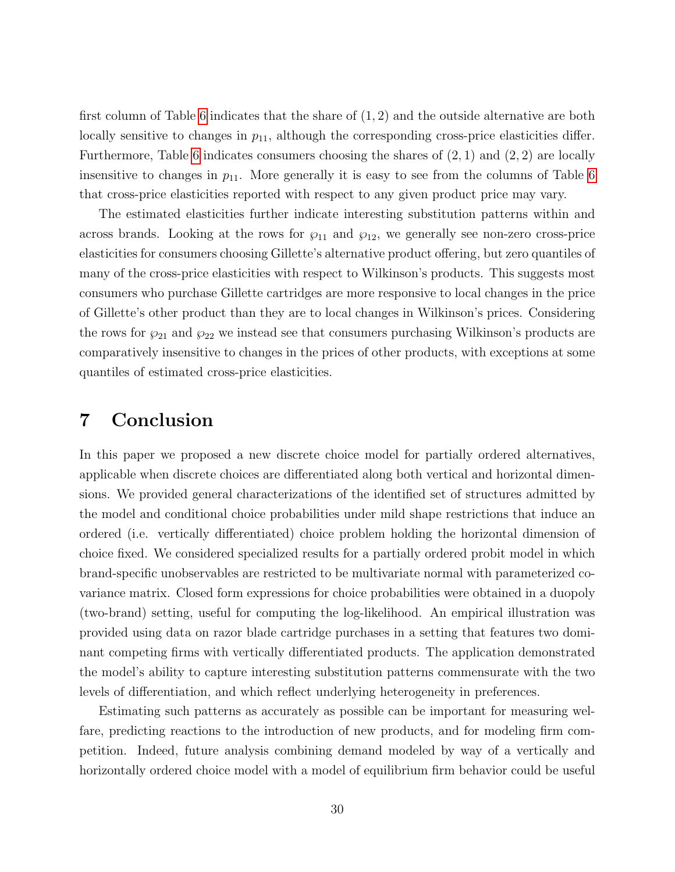first column of Table [6](#page-30-1) indicates that the share of (1, 2) and the outside alternative are both locally sensitive to changes in  $p_{11}$ , although the corresponding cross-price elasticities differ. Furthermore, Table [6](#page-30-1) indicates consumers choosing the shares of  $(2, 1)$  and  $(2, 2)$  are locally insensitive to changes in  $p_{11}$ . More generally it is easy to see from the columns of Table [6](#page-30-1) that cross-price elasticities reported with respect to any given product price may vary.

The estimated elasticities further indicate interesting substitution patterns within and across brands. Looking at the rows for  $\wp_{11}$  and  $\wp_{12}$ , we generally see non-zero cross-price elasticities for consumers choosing Gillette's alternative product offering, but zero quantiles of many of the cross-price elasticities with respect to Wilkinson's products. This suggests most consumers who purchase Gillette cartridges are more responsive to local changes in the price of Gillette's other product than they are to local changes in Wilkinson's prices. Considering the rows for  $\wp_{21}$  and  $\wp_{22}$  we instead see that consumers purchasing Wilkinson's products are comparatively insensitive to changes in the prices of other products, with exceptions at some quantiles of estimated cross-price elasticities.

## <span id="page-29-0"></span>7 Conclusion

In this paper we proposed a new discrete choice model for partially ordered alternatives, applicable when discrete choices are differentiated along both vertical and horizontal dimensions. We provided general characterizations of the identified set of structures admitted by the model and conditional choice probabilities under mild shape restrictions that induce an ordered (i.e. vertically differentiated) choice problem holding the horizontal dimension of choice fixed. We considered specialized results for a partially ordered probit model in which brand-specific unobservables are restricted to be multivariate normal with parameterized covariance matrix. Closed form expressions for choice probabilities were obtained in a duopoly (two-brand) setting, useful for computing the log-likelihood. An empirical illustration was provided using data on razor blade cartridge purchases in a setting that features two dominant competing firms with vertically differentiated products. The application demonstrated the model's ability to capture interesting substitution patterns commensurate with the two levels of differentiation, and which reflect underlying heterogeneity in preferences.

Estimating such patterns as accurately as possible can be important for measuring welfare, predicting reactions to the introduction of new products, and for modeling firm competition. Indeed, future analysis combining demand modeled by way of a vertically and horizontally ordered choice model with a model of equilibrium firm behavior could be useful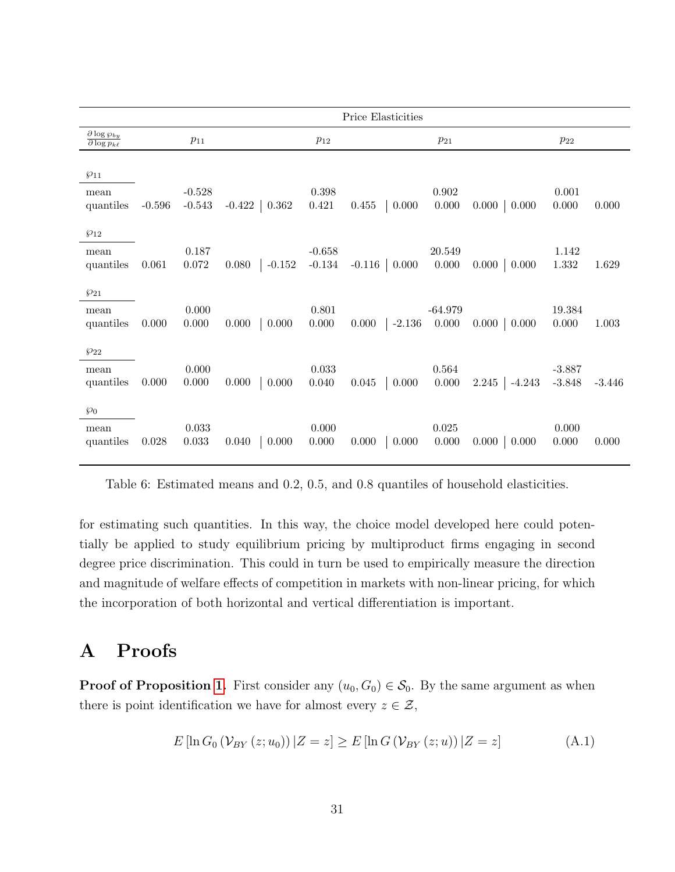<span id="page-30-1"></span>

|                                                          |          |                      |                   |                      | Price Elasticities |                      |                    |                      |          |
|----------------------------------------------------------|----------|----------------------|-------------------|----------------------|--------------------|----------------------|--------------------|----------------------|----------|
| $\frac{\partial \log \wp_{by}}{\partial \log p_{k\ell}}$ |          | $p_{11}$             |                   | $p_{12}$             |                    | $p_{21}$             |                    | $p_{22}$             |          |
| $\wp_{11}$<br>mean<br>quantiles                          | $-0.596$ | $-0.528$<br>$-0.543$ | $-0.422$   0.362  | 0.398<br>0.421       | 0.455<br>0.000     | $\,0.902\,$<br>0.000 | $0.000 \mid 0.000$ | 0.001<br>0.000       | 0.000    |
| $\wp_{12}$<br>mean<br>quantiles                          | 0.061    | 0.187<br>0.072       | $-0.152$<br>0.080 | $-0.658$<br>$-0.134$ | $-0.116$ 0.000     | 20.549<br>0.000      | $0.000 \mid 0.000$ | 1.142<br>1.332       | 1.629    |
| $\wp_{21}$<br>mean<br>quantiles                          | 0.000    | 0.000<br>0.000       | 0.000<br>0.000    | 0.801<br>0.000       | $-2.136$<br>0.000  | $-64.979$<br>0.000   | $0.000 \mid 0.000$ | 19.384<br>0.000      | 1.003    |
| $\wp_{22}$<br>mean<br>quantiles                          | 0.000    | 0.000<br>0.000       | 0.000<br>0.000    | 0.033<br>0.040       | 0.045<br>0.000     | 0.564<br>0.000       | $2.245$ -4.243     | $-3.887$<br>$-3.848$ | $-3.446$ |
| $\wp_0$<br>mean<br>quantiles                             | 0.028    | 0.033<br>0.033       | 0.000<br>0.040    | 0.000<br>0.000       | 0.000<br>0.000     | $\,0.025\,$<br>0.000 | $0.000 \mid 0.000$ | 0.000<br>0.000       | 0.000    |

Table 6: Estimated means and 0.2, 0.5, and 0.8 quantiles of household elasticities.

for estimating such quantities. In this way, the choice model developed here could potentially be applied to study equilibrium pricing by multiproduct firms engaging in second degree price discrimination. This could in turn be used to empirically measure the direction and magnitude of welfare effects of competition in markets with non-linear pricing, for which the incorporation of both horizontal and vertical differentiation is important.

## <span id="page-30-0"></span>A Proofs

**Proof of Proposition [1.](#page-9-1)** First consider any  $(u_0, G_0) \in S_0$ . By the same argument as when there is point identification we have for almost every  $z \in \mathcal{Z}$ ,

<span id="page-30-2"></span>
$$
E\left[\ln G_0\left(\mathcal{V}_{BY}\left(z;u_0\right)\right)|Z=z\right] \ge E\left[\ln G\left(\mathcal{V}_{BY}\left(z;u\right)\right)|Z=z\right] \tag{A.1}
$$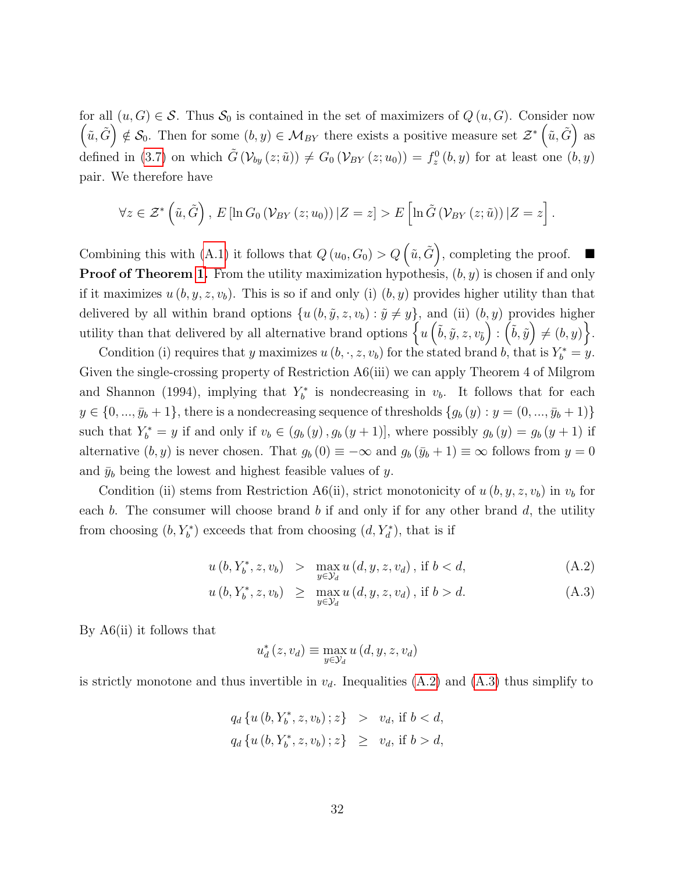for all  $(u, G) \in \mathcal{S}$ . Thus  $\mathcal{S}_0$  is contained in the set of maximizers of  $Q(u, G)$ . Consider now  $(\tilde{u}, \tilde{G}) \notin \mathcal{S}_0$ . Then for some  $(b, y) \in \mathcal{M}_{BY}$  there exists a positive measure set  $\mathcal{Z}^* (\tilde{u}, \tilde{G})$  as defined in [\(3.7\)](#page-8-3) on which  $\tilde{G}(\mathcal{V}_{by}(z;\tilde{u})) \neq G_0(\mathcal{V}_{BY}(z; u_0)) = f_z^0(b, y)$  for at least one  $(b, y)$ pair. We therefore have

$$
\forall z \in \mathcal{Z}^* \left( \tilde{u}, \tilde{G} \right), E \left[ \ln G_0 \left( \mathcal{V}_{BY} \left( z; u_0 \right) \right) \middle| Z = z \right] > E \left[ \ln \tilde{G} \left( \mathcal{V}_{BY} \left( z; \tilde{u} \right) \right) \middle| Z = z \right]
$$

.

Combining this with [\(A.1\)](#page-30-2) it follows that  $Q(u_0, G_0) > Q(\tilde{u}, \tilde{G})$ , completing the proof.  $\blacksquare$ **Proof of Theorem [1.](#page-7-3)** From the utility maximization hypothesis,  $(b, y)$  is chosen if and only if it maximizes  $u(b, y, z, v_b)$ . This is so if and only (i)  $(b, y)$  provides higher utility than that delivered by all within brand options  $\{u (b, \tilde{y}, z, v_b) : \tilde{y} \neq y\}$ , and (ii)  $(b, y)$  provides higher utility than that delivered by all alternative brand options  $\left\{ u \left( \tilde{b}, \tilde{y}, z, v_{\tilde{b}} \right) : \left( \tilde{b}, \tilde{y} \right) \neq (b, y) \right\}$ .

Condition (i) requires that y maximizes  $u(b, \cdot, z, v_b)$  for the stated brand b, that is  $Y_b^* = y$ . Given the single-crossing property of Restriction A6(iii) we can apply Theorem 4 of Milgrom and Shannon (1994), implying that  $Y_b^*$  is nondecreasing in  $v_b$ . It follows that for each  $y \in \{0, ..., \bar{y}_b + 1\}$ , there is a nondecreasing sequence of thresholds  $\{g_b(y) : y = (0, ..., \bar{y}_b + 1)\}$ such that  $Y_b^* = y$  if and only if  $v_b \in (g_b(y), g_b(y+1)]$ , where possibly  $g_b(y) = g_b(y+1)$  if alternative  $(b, y)$  is never chosen. That  $g_b(0) \equiv -\infty$  and  $g_b(\bar{y}_b + 1) \equiv \infty$  follows from  $y = 0$ and  $\bar{y}_b$  being the lowest and highest feasible values of y.

Condition (ii) stems from Restriction A6(ii), strict monotonicity of  $u(b, y, z, v_b)$  in  $v_b$  for each b. The consumer will choose brand b if and only if for any other brand  $d$ , the utility from choosing  $(b, Y_b^*)$  exceeds that from choosing  $(d, Y_d^*)$ , that is if

<span id="page-31-0"></span>
$$
u(b, Y_b^*, z, v_b) > \max_{y \in \mathcal{Y}_d} u(d, y, z, v_d), \text{ if } b < d,
$$
\n(A.2)

$$
u(b, Y_b^*, z, v_b) \ge \max_{y \in \mathcal{Y}_d} u(d, y, z, v_d), \text{ if } b > d. \tag{A.3}
$$

By A6(ii) it follows that

$$
u_d^*(z, v_d) \equiv \max_{y \in \mathcal{Y}_d} u(d, y, z, v_d)
$$

is strictly monotone and thus invertible in  $v<sub>d</sub>$ . Inequalities [\(A.2\)](#page-31-0) and [\(A.3\)](#page-31-0) thus simplify to

$$
q_d \{ u (b, Y_b^*, z, v_b) \; ; z \} > v_d, \text{ if } b < d,
$$
\n
$$
q_d \{ u (b, Y_b^*, z, v_b) \; ; z \} \geq v_d, \text{ if } b > d,
$$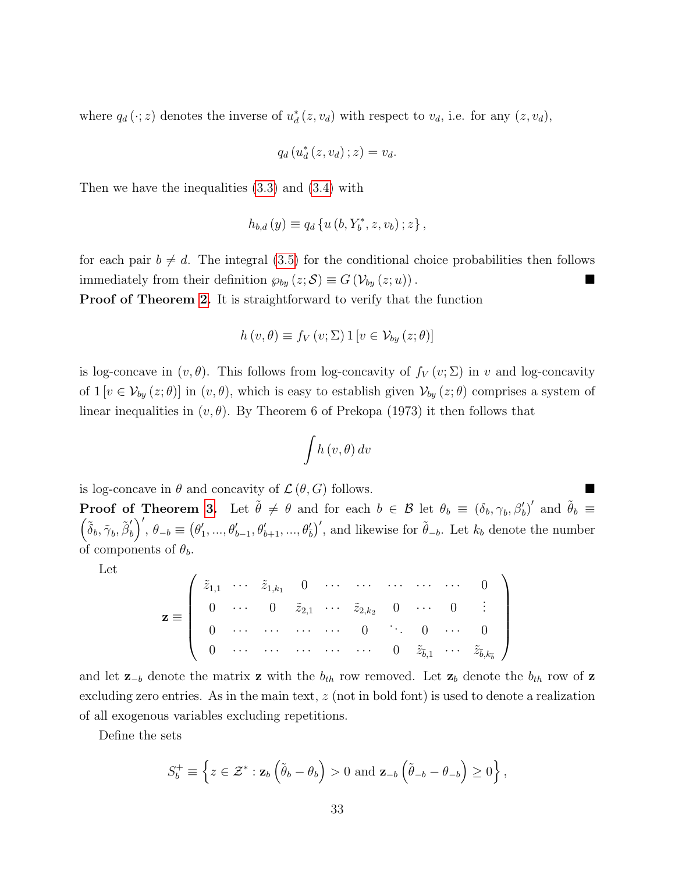where  $q_d(\cdot; z)$  denotes the inverse of  $u_d^*(z, v_d)$  with respect to  $v_d$ , i.e. for any  $(z, v_d)$ ,

$$
q_d(u_d^*(z,v_d);z) = v_d.
$$

Then we have the inequalities [\(3.3\)](#page-7-2) and [\(3.4\)](#page-7-2) with

$$
h_{b,d}(y) \equiv q_d \{ u(b, Y_b^*, z, v_b) \, ; z \},
$$

for each pair  $b \neq d$ . The integral [\(3.5\)](#page-8-2) for the conditional choice probabilities then follows immediately from their definition  $\wp_{by}(z; S) \equiv G(\mathcal{V}_{by}(z; u))$ .

**Proof of Theorem [2.](#page-14-0)** It is straightforward to verify that the function

$$
h(v, \theta) \equiv f_V(v; \Sigma) 1 [v \in \mathcal{V}_{by}(z; \theta)]
$$

is log-concave in  $(v, \theta)$ . This follows from log-concavity of  $f_V(v; \Sigma)$  in v and log-concavity of  $1 [v \in V_{by}(z; \theta)]$  in  $(v, \theta)$ , which is easy to establish given  $V_{by}(z; \theta)$  comprises a system of linear inequalities in  $(v, \theta)$ . By Theorem 6 of Prekopa (1973) it then follows that

$$
\int h\left(v,\theta\right)dv
$$

is log-concave in  $\theta$  and concavity of  $\mathcal{L}(\theta, G)$  follows.

**Proof of Theorem [3.](#page-15-0)** Let  $\tilde{\theta} \neq \theta$  and for each  $b \in \mathcal{B}$  let  $\theta_b \equiv (\delta_b, \gamma_b, \beta'_b)'$  and  $\tilde{\theta}_b \equiv$  $\left(\tilde{\delta}_b, \tilde{\gamma}_b, \tilde{\beta}'_b\right)$  $\big(\begin{smallmatrix} \prime \ b \end{smallmatrix}\big)^\prime, \, \theta_{-b} \equiv \big(\theta_1^\prime$  $\theta'_{1},...,\theta'_{b-1},\theta'_{b+1},...,\theta'_{b}$ , and likewise for  $\tilde{\theta}_{-b}$ . Let  $k_{b}$  denote the number of components of  $\theta_b$ .

Let

$$
\mathbf{z} \equiv \left( \begin{array}{ccccccccc} \tilde{z}_{1,1} & \cdots & \tilde{z}_{1,k_1} & 0 & \cdots & \cdots & \cdots & \cdots & \cdots & 0 \\ 0 & \cdots & 0 & \tilde{z}_{2,1} & \cdots & \tilde{z}_{2,k_2} & 0 & \cdots & 0 & \vdots \\ 0 & \cdots & \cdots & \cdots & \cdots & 0 & \ddots & 0 & \cdots & 0 \\ 0 & \cdots & \cdots & \cdots & \cdots & \cdots & 0 & \tilde{z}_{\bar{b},1} & \cdots & \tilde{z}_{\bar{b},k_{\bar{b}}} \end{array} \right)
$$

and let  $\mathbf{z}_{-b}$  denote the matrix z with the  $b_{th}$  row removed. Let  $\mathbf{z}_b$  denote the  $b_{th}$  row of z excluding zero entries. As in the main text, z (not in bold font) is used to denote a realization of all exogenous variables excluding repetitions.

Define the sets

$$
S_b^+ \equiv \left\{ z \in \mathcal{Z}^* : \mathbf{z}_b \left( \tilde{\theta}_b - \theta_b \right) > 0 \text{ and } \mathbf{z}_{-b} \left( \tilde{\theta}_{-b} - \theta_{-b} \right) \ge 0 \right\},\
$$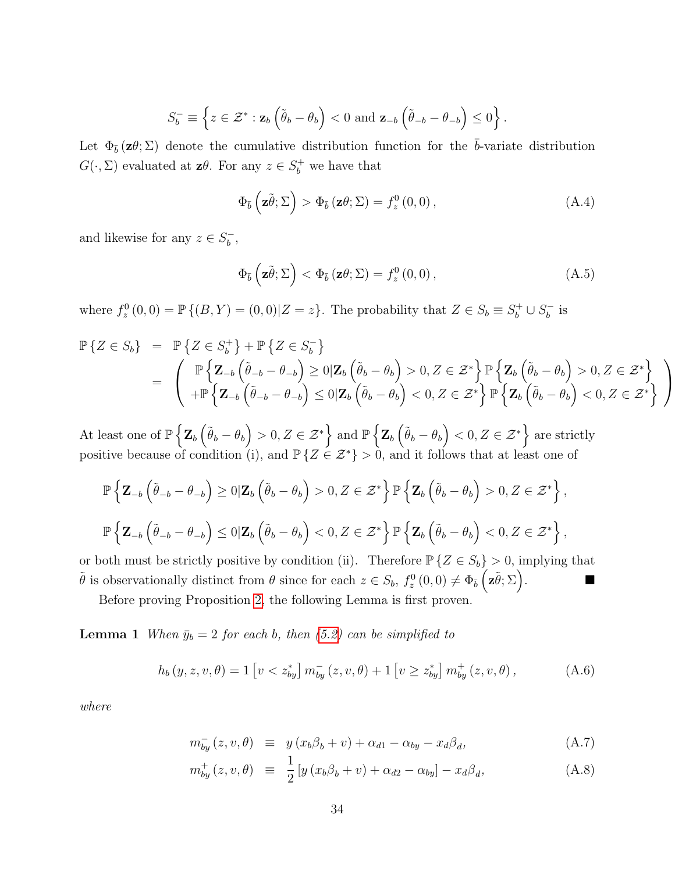$$
S_b^- \equiv \left\{ z \in \mathcal{Z}^* : \mathbf{z}_b \left( \tilde{\theta}_b - \theta_b \right) < 0 \text{ and } \mathbf{z}_{-b} \left( \tilde{\theta}_{-b} - \theta_{-b} \right) \leq 0 \right\}.
$$

Let  $\Phi_{\bar{b}}(z\theta;\Sigma)$  denote the cumulative distribution function for the  $\bar{b}$ -variate distribution  $G(\cdot, \Sigma)$  evaluated at  $\mathbf{z}\theta$ . For any  $z \in S_b^+$  we have that

$$
\Phi_{\bar{b}}\left(\mathbf{z}\tilde{\theta};\Sigma\right) > \Phi_{\bar{b}}\left(\mathbf{z}\theta;\Sigma\right) = f_z^0\left(0,0\right),\tag{A.4}
$$

and likewise for any  $z \in S_h^ _{b}^{-}$ ,

$$
\Phi_{\bar{b}}\left(\mathbf{z}\tilde{\theta};\Sigma\right) < \Phi_{\bar{b}}\left(\mathbf{z}\theta;\Sigma\right) = f_z^0\left(0,0\right),\tag{A.5}
$$

where  $f_z^0(0,0) = \mathbb{P}\{(B,Y)=(0,0)|Z=z\}$ . The probability that  $Z \in S_b \equiv S_b^+ \cup S_b^ \bar{b}$  is

$$
\mathbb{P}\left\{Z \in S_b\right\} = \mathbb{P}\left\{Z \in S_b^+\right\} + \mathbb{P}\left\{Z \in S_b^-\right\} \n= \left( \begin{array}{c} \mathbb{P}\left\{Z_{-b}\left(\tilde{\theta}_{-b} - \theta_{-b}\right) \ge 0 | \mathbf{Z}_b\left(\tilde{\theta}_b - \theta_b\right) > 0, Z \in \mathcal{Z}^* \right\} \mathbb{P}\left\{Z_b\left(\tilde{\theta}_b - \theta_b\right) > 0, Z \in \mathcal{Z}^* \right\} \\ + \mathbb{P}\left\{Z_{-b}\left(\tilde{\theta}_{-b} - \theta_{-b}\right) \le 0 | \mathbf{Z}_b\left(\tilde{\theta}_b - \theta_b\right) < 0, Z \in \mathcal{Z}^* \right\} \mathbb{P}\left\{Z_b\left(\tilde{\theta}_b - \theta_b\right) < 0, Z \in \mathcal{Z}^* \right\} \end{array} \right)
$$

At least one of  $\mathbb{P}\left\{ \mathbf{Z}_{b}\left(\tilde{\theta}_{b}-\theta_{b}\right)>0,Z\in\mathcal{Z}^{\ast}\right\}$  and  $\mathbb{P}\left\{ \mathbf{Z}_{b}\left(\tilde{\theta}_{b}-\theta_{b}\right)<0,Z\in\mathcal{Z}^{\ast}\right\}$  are strictly positive because of condition (i), and  $\mathbb{P}\{Z \in \mathcal{Z}^*\} > 0$ , and it follows that at least one of

$$
\mathbb{P}\left\{\mathbf{Z}_{-b}\left(\tilde{\theta}_{-b}-\theta_{-b}\right)\geq 0|\mathbf{Z}_{b}\left(\tilde{\theta}_{b}-\theta_{b}\right)>0,Z\in\mathcal{Z}^{*}\right\}\mathbb{P}\left\{\mathbf{Z}_{b}\left(\tilde{\theta}_{b}-\theta_{b}\right)>0,Z\in\mathcal{Z}^{*}\right\},\
$$

$$
\mathbb{P}\left\{\mathbf{Z}_{-b}\left(\tilde{\theta}_{-b}-\theta_{-b}\right)\leq 0|\mathbf{Z}_{b}\left(\tilde{\theta}_{b}-\theta_{b}\right)<0,Z\in\mathcal{Z}^{*}\right\}\mathbb{P}\left\{\mathbf{Z}_{b}\left(\tilde{\theta}_{b}-\theta_{b}\right)<0,Z\in\mathcal{Z}^{*}\right\},\
$$

or both must be strictly positive by condition (ii). Therefore  $\mathbb{P}\{Z \in S_b\} > 0$ , implying that  $\tilde{\theta}$  is observationally distinct from  $\theta$  since for each  $z \in S_b$ ,  $f_z^0(0,0) \neq \Phi_{\bar{b}}\left(z\tilde{\theta}; \Sigma\right)$ .

Before proving Proposition [2,](#page-18-1) the following Lemma is first proven.

**Lemma 1** When  $\bar{y}_b = 2$  for each b, then [\(5.2\)](#page-18-3) can be simplified to

<span id="page-33-0"></span>
$$
h_b(y, z, v, \theta) = 1 \left[ v < z_{by}^* \right] m_{by}^-(z, v, \theta) + 1 \left[ v \ge z_{by}^* \right] m_{by}^+(z, v, \theta) , \tag{A.6}
$$

where

<span id="page-33-1"></span>
$$
m_{by}^{-}(z,v,\theta) \equiv y(x_b\beta_b+v) + \alpha_{d1} - \alpha_{by} - x_d\beta_d, \qquad (A.7)
$$

$$
m_{by}^{+}(z,v,\theta) \equiv \frac{1}{2} \left[ y \left( x_b \beta_b + v \right) + \alpha_{d2} - \alpha_{by} \right] - x_d \beta_d, \tag{A.8}
$$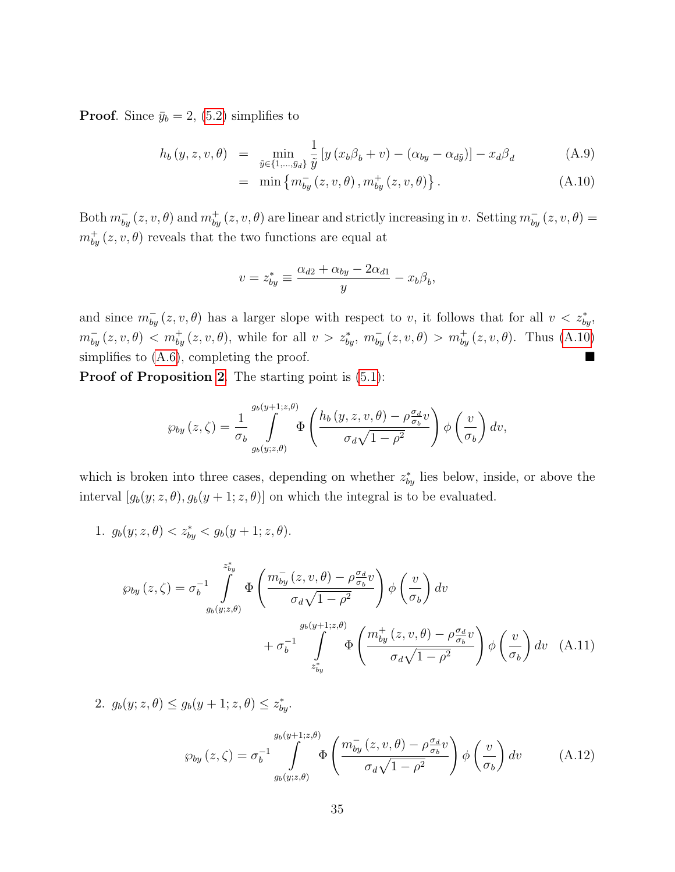**Proof.** Since  $\bar{y}_b = 2$ , [\(5.2\)](#page-18-3) simplifies to

<span id="page-34-0"></span>
$$
h_b(y, z, v, \theta) = \min_{\tilde{y} \in \{1, \dots, \tilde{y}_d\}} \frac{1}{\tilde{y}} \left[ y \left( x_b \beta_b + v \right) - \left( \alpha_{by} - \alpha_{d\tilde{y}} \right) \right] - x_d \beta_d \tag{A.9}
$$

= min 
$$
\{m_{by}^{-}(z, v, \theta), m_{by}^{+}(z, v, \theta)\}
$$
. (A.10)

Both  $m_{by}^-(z, v, \theta)$  and  $m_{by}^+(z, v, \theta)$  are linear and strictly increasing in v. Setting  $m_{by}^-(z, v, \theta)$  =  $m_{by}^{+}(z, v, \theta)$  reveals that the two functions are equal at

$$
v = z_{by}^* \equiv \frac{\alpha_{d2} + \alpha_{by} - 2\alpha_{d1}}{y} - x_b \beta_b,
$$

and since  $m_{by}^-(z, v, \theta)$  has a larger slope with respect to v, it follows that for all  $v < z_{by}^*$ ,  $m_{by}^{-}(z, v, \theta) < m_{by}^{+}(z, v, \theta)$ , while for all  $v > z_{by}^{*}$ ,  $m_{by}^{-}(z, v, \theta) > m_{by}^{+}(z, v, \theta)$ . Thus [\(A.10\)](#page-34-0) simplifies to  $(A.6)$ , completing the proof.

Proof of Proposition [2](#page-18-1). The starting point is  $(5.1)$ :

$$
\wp_{by}(z,\zeta) = \frac{1}{\sigma_b} \int_{g_b(y,z,\theta)}^{g_b(y+1;z,\theta)} \Phi\left(\frac{h_b(y,z,v,\theta) - \rho \frac{\sigma_d}{\sigma_b}v}{\sigma_d\sqrt{1-\rho^2}}\right) \phi\left(\frac{v}{\sigma_b}\right) dv,
$$

which is broken into three cases, depending on whether  $z_{by}^{*}$  lies below, inside, or above the interval  $[g_b(y; z, \theta), g_b(y + 1; z, \theta)]$  on which the integral is to be evaluated.

1.  $g_b(y; z, \theta) < z_{by}^* < g_b(y+1; z, \theta)$ .

$$
\wp_{by}(z,\zeta) = \sigma_b^{-1} \int_{g_b(y;z,\theta)}^{z_{by}^*} \Phi\left(\frac{m_{by}^-(z,v,\theta) - \rho_{\sigma_b}^{\sigma_d}v}{\sigma_d\sqrt{1-\rho^2}}\right) \phi\left(\frac{v}{\sigma_b}\right) dv + \sigma_b^{-1} \int_{z_{by}^*}^{g_b(y+1;z,\theta)} \Phi\left(\frac{m_{by}^+(z,v,\theta) - \rho_{\sigma_b}^{\sigma_d}v}{\sigma_d\sqrt{1-\rho^2}}\right) \phi\left(\frac{v}{\sigma_b}\right) dv \quad (A.11)
$$

2.  $g_b(y; z, \theta) \le g_b(y+1; z, \theta) \le z_{by}^*$ .

<span id="page-34-1"></span>
$$
\wp_{by}(z,\zeta) = \sigma_b^{-1} \int\limits_{g_b(y;z,\theta)}^{g_b(y+1;z,\theta)} \Phi\left(\frac{m_{by}^-(z,v,\theta) - \rho \frac{\sigma_d}{\sigma_b}v}{\sigma_d\sqrt{1-\rho^2}}\right) \phi\left(\frac{v}{\sigma_b}\right) dv \tag{A.12}
$$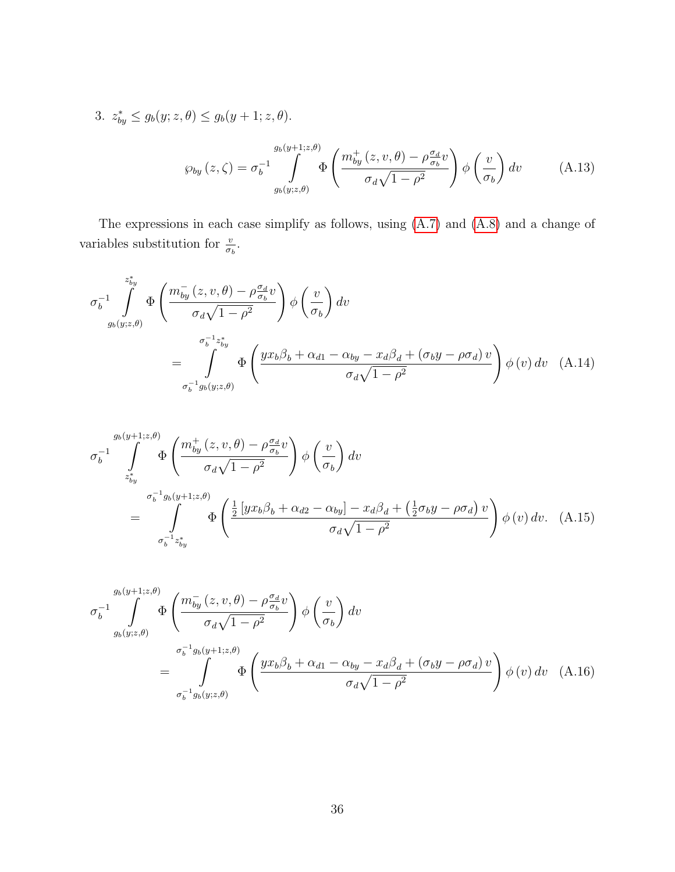<span id="page-35-1"></span>3. 
$$
z_{by}^* \le g_b(y; z, \theta) \le g_b(y+1; z, \theta).
$$
  
\n
$$
\wp_{by}(z,\zeta) = \sigma_b^{-1} \int_{g_b(y; z, \theta)}^{g_b(y+1; z, \theta)} \Phi\left(\frac{m_{by}^+(z, v, \theta) - \rho_{\sigma_b}^{q} v}{\sigma_d \sqrt{1 - \rho^2}}\right) \phi\left(\frac{v}{\sigma_b}\right) dv \tag{A.13}
$$

The expressions in each case simplify as follows, using [\(A.7\)](#page-33-1) and [\(A.8\)](#page-33-1) and a change of variables substitution for  $\frac{v}{\sigma_b}$ .

<span id="page-35-0"></span>
$$
\sigma_b^{-1} \int_{g_b(y;z,\theta)}^{z_{by}^*} \Phi\left(\frac{m_{by}^-(z,v,\theta) - \rho_{\sigma_b}^{\sigma_d}v}{\sigma_d\sqrt{1-\rho^2}}\right) \phi\left(\frac{v}{\sigma_b}\right) dv
$$
\n
$$
= \int_{\sigma_b^{-1}g_b(y;z,\theta)}^{\sigma_b^{-1}z_{by}^*} \Phi\left(\frac{yx_b\beta_b + \alpha_{d1} - \alpha_{by} - x_d\beta_d + (\sigma_b y - \rho_{d})v}{\sigma_d\sqrt{1-\rho^2}}\right) \phi(v) dv \quad (A.14)
$$

$$
\sigma_b^{-1} \int_{z_{by}^*}^{g_b(y+1;z,\theta)} \Phi\left(\frac{m_{by}^+(z,v,\theta) - \rho_{\sigma_b}^{\sigma_d}v}{\sigma_d\sqrt{1-\rho^2}}\right) \phi\left(\frac{v}{\sigma_b}\right) dv
$$
\n
$$
= \int_{\sigma_b^{-1}z_{by}^*}^{\sigma_b^{-1}g_b(y+1;z,\theta)} \Phi\left(\frac{\frac{1}{2}\left[yx_b\beta_b + \alpha_{d2} - \alpha_{by}\right] - x_d\beta_d + \left(\frac{1}{2}\sigma_b y - \rho\sigma_d\right)v}{\sigma_d\sqrt{1-\rho^2}}\right) \phi\left(v\right) dv. \quad (A.15)
$$

$$
\sigma_b^{-1} \int_{g_b(y;z,\theta)}^{g_b(y+1;z,\theta)} \Phi\left(\frac{m_{by}^-(z,v,\theta) - \rho_{\sigma_b}^{\sigma_d}v}{\sigma_d\sqrt{1-\rho^2}}\right) \phi\left(\frac{v}{\sigma_b}\right) dv
$$
\n
$$
= \int_{\sigma_b^{-1}g_b(y;z,\theta)}^{\sigma_b^{-1}g_b(y+1;z,\theta)} \Phi\left(\frac{yx_b\beta_b + \alpha_{d1} - \alpha_{by} - x_d\beta_d + (\sigma_b y - \rho_{d})v}{\sigma_d\sqrt{1-\rho^2}}\right) \phi(v) dv \quad (A.16)
$$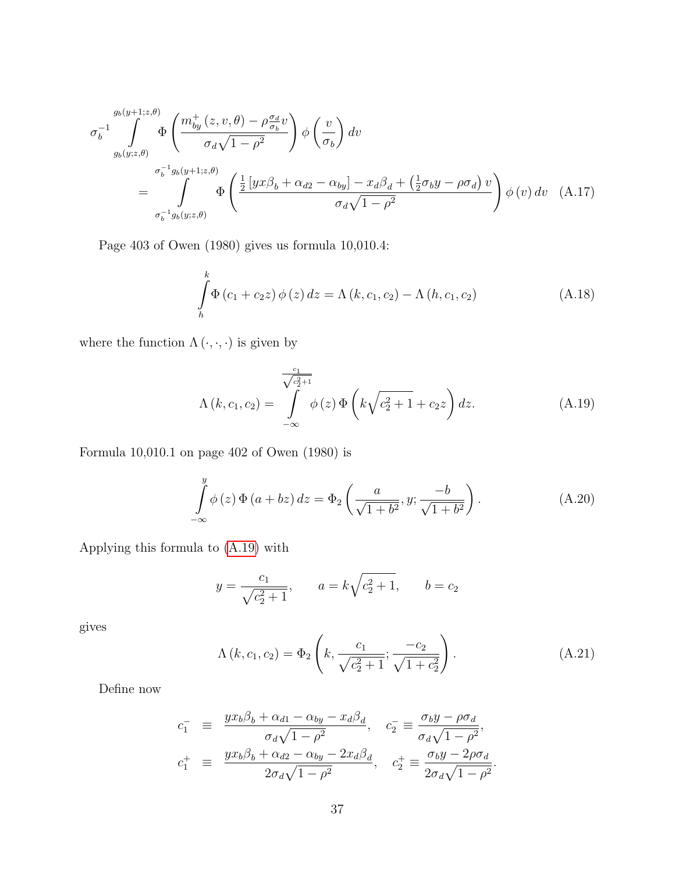$$
\sigma_b^{-1} \int_{g_b(y;z,\theta)}^{g_b(y+1;z,\theta)} \Phi\left(\frac{m_{by}^+(z,v,\theta) - \rho_{\sigma_b}^{\sigma_d}v}{\sigma_d\sqrt{1-\rho^2}}\right) \phi\left(\frac{v}{\sigma_b}\right) dv
$$
\n
$$
= \int_{\sigma_b^{-1}g_b(y;z,\theta)}^{\sigma_b^{-1}g_b(y+1;z,\theta)} \Phi\left(\frac{\frac{1}{2}\left[yx\beta_b + \alpha_{d2} - \alpha_{by}\right] - x_d\beta_d + \left(\frac{1}{2}\sigma_by - \rho_{\sigma_d}\right)v}{\sigma_d\sqrt{1-\rho^2}}\right) \phi(v) dv \quad (A.17)
$$

Page 403 of Owen (1980) gives us formula 10,010.4:

<span id="page-36-2"></span><span id="page-36-1"></span>
$$
\int_{h}^{k} \Phi(c_1 + c_2 z) \phi(z) dz = \Lambda(k, c_1, c_2) - \Lambda(h, c_1, c_2)
$$
\n(A.18)

where the function  $\Lambda\left(\cdot,\cdot,\cdot\right)$  is given by

<span id="page-36-0"></span>
$$
\Lambda(k, c_1, c_2) = \int_{-\infty}^{\frac{c_1}{\sqrt{c_2^2 + 1}}} \phi(z) \Phi\left(k\sqrt{c_2^2 + 1} + c_2 z\right) dz.
$$
\n(A.19)

Formula 10,010.1 on page 402 of Owen (1980) is

$$
\int_{-\infty}^{y} \phi(z) \, \Phi(a + bz) \, dz = \Phi_2 \left( \frac{a}{\sqrt{1 + b^2}}, y; \frac{-b}{\sqrt{1 + b^2}} \right). \tag{A.20}
$$

Applying this formula to [\(A.19\)](#page-36-0) with

$$
y = \frac{c_1}{\sqrt{c_2^2 + 1}},
$$
  $a = k\sqrt{c_2^2 + 1},$   $b = c_2$ 

gives

<span id="page-36-3"></span>
$$
\Lambda(k, c_1, c_2) = \Phi_2\left(k, \frac{c_1}{\sqrt{c_2^2 + 1}}; \frac{-c_2}{\sqrt{1 + c_2^2}}\right).
$$
\n(A.21)

Define now

$$
c_1^- \equiv \frac{yx_b\beta_b + \alpha_{d1} - \alpha_{by} - x_d\beta_d}{\sigma_d\sqrt{1 - \rho^2}}, \quad c_2^- \equiv \frac{\sigma_b y - \rho\sigma_d}{\sigma_d\sqrt{1 - \rho^2}},
$$
  

$$
c_1^+ \equiv \frac{yx_b\beta_b + \alpha_{d2} - \alpha_{by} - 2x_d\beta_d}{2\sigma_d\sqrt{1 - \rho^2}}, \quad c_2^+ \equiv \frac{\sigma_b y - 2\rho\sigma_d}{2\sigma_d\sqrt{1 - \rho^2}}.
$$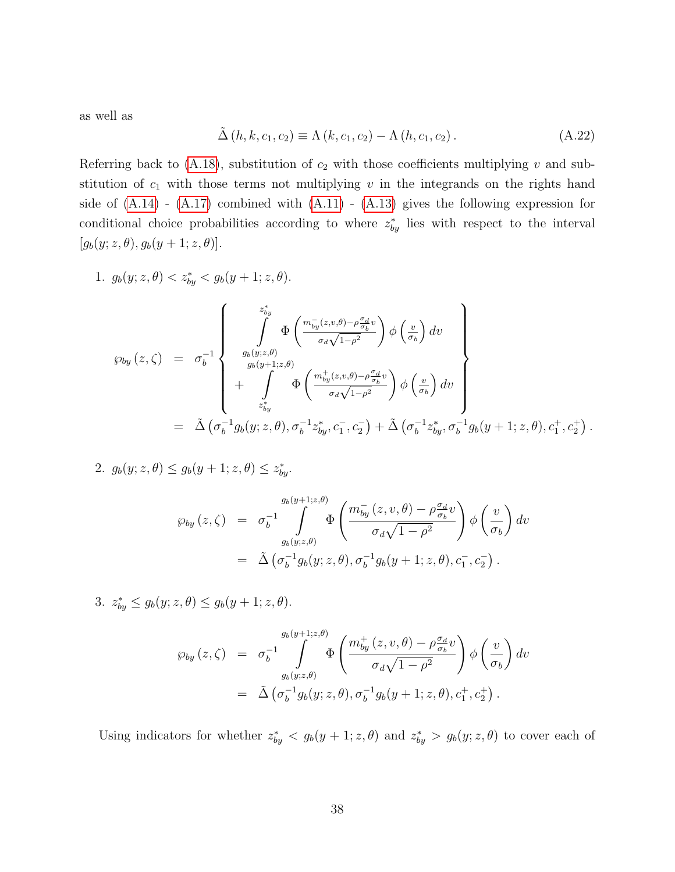as well as

<span id="page-37-0"></span>
$$
\tilde{\Delta}(h,k,c_1,c_2) \equiv \Lambda(k,c_1,c_2) - \Lambda(h,c_1,c_2). \tag{A.22}
$$

Referring back to [\(A.18\)](#page-36-1), substitution of  $c_2$  with those coefficients multiplying v and substitution of  $c_1$  with those terms not multiplying  $v$  in the integrands on the rights hand side of  $(A.14)$  -  $(A.17)$  combined with  $(A.11)$  -  $(A.13)$  gives the following expression for conditional choice probabilities according to where  $z_{by}^*$  lies with respect to the interval  $[g_b(y; z, \theta), g_b(y + 1; z, \theta)].$ 

1. 
$$
g_b(y; z, \theta) < z_{by}^* < g_b(y+1; z, \theta).
$$
  
\n
$$
\wp_{by}(z,\zeta) = \sigma_b^{-1} \left\{ \begin{array}{l} z_{by}^* \\ \int \limits_{g_b(y; z, \theta)} \Phi\left(\frac{m_{by}^-(z, v, \theta) - \rho \frac{\sigma_d}{\sigma_b} v}{\sigma_d \sqrt{1 - \rho^2}}\right) \phi\left(\frac{v}{\sigma_b}\right) dv \\ + \int \limits_{g_{by}^+(y+1; z, \theta)} \Phi\left(\frac{m_{by}^+(z, v, \theta) - \rho \frac{\sigma_d}{\sigma_b} v}{\sigma_d \sqrt{1 - \rho^2}}\right) \phi\left(\frac{v}{\sigma_b}\right) dv \end{array} \right\}
$$
\n
$$
= \tilde{\Delta} \left(\sigma_b^{-1} g_b(y; z, \theta), \sigma_b^{-1} z_{by}^*, c_1^-, c_2^- \right) + \tilde{\Delta} \left(\sigma_b^{-1} z_{by}^*, \sigma_b^{-1} g_b(y+1; z, \theta), c_1^+, c_2^+ \right).
$$

2. 
$$
g_b(y; z, \theta) \le g_b(y+1; z, \theta) \le z_{by}^*
$$
.

$$
\wp_{by}(z,\zeta) = \sigma_b^{-1} \int_{g_b(y;z,\theta)}^{g_b(y+1;z,\theta)} \Phi\left(\frac{m_{by}^-(z,v,\theta) - \rho \frac{\sigma_d}{\sigma_b}v}{\sigma_d\sqrt{1-\rho^2}}\right) \phi\left(\frac{v}{\sigma_b}\right) dv
$$
  
=  $\tilde{\Delta} \left(\sigma_b^{-1} g_b(y;z,\theta), \sigma_b^{-1} g_b(y+1;z,\theta), c_1^-, c_2^-\right).$ 

3.  $z_{by}^* \leq g_b(y; z, \theta) \leq g_b(y+1; z, \theta)$ .

$$
\wp_{by}(z,\zeta) = \sigma_b^{-1} \int_{g_b(y;z,\theta)}^{g_b(y+1;z,\theta)} \Phi\left(\frac{m_{by}^+(z,v,\theta) - \rho \frac{\sigma_d}{\sigma_b}v}{\sigma_d\sqrt{1-\rho^2}}\right) \phi\left(\frac{v}{\sigma_b}\right) dv
$$
  
=  $\tilde{\Delta} \left(\sigma_b^{-1} g_b(y;z,\theta), \sigma_b^{-1} g_b(y+1;z,\theta), c_1^+, c_2^+\right).$ 

Using indicators for whether  $z_{by}^* < g_b(y+1; z, \theta)$  and  $z_{by}^* > g_b(y; z, \theta)$  to cover each of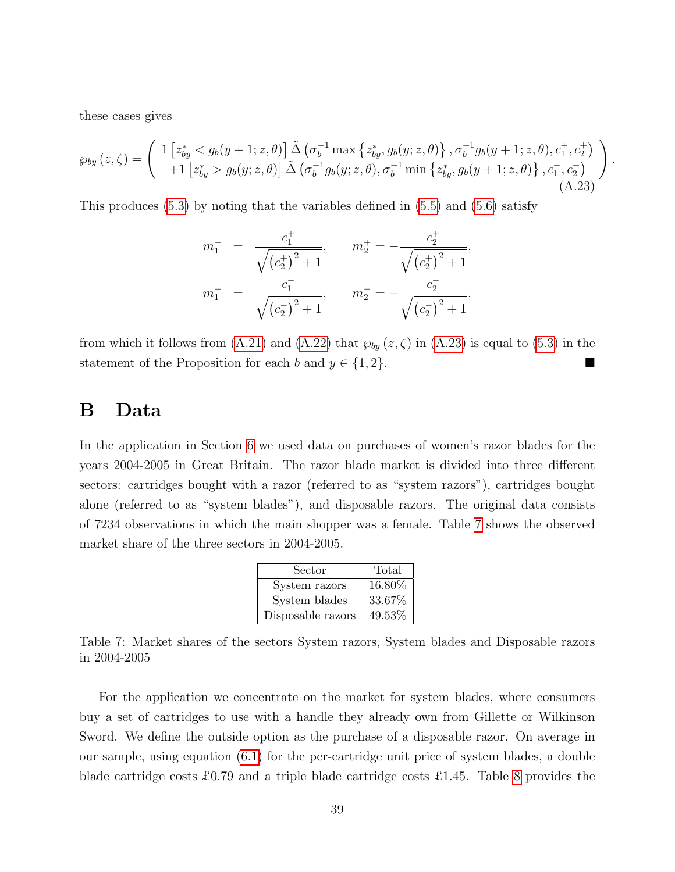these cases gives

<span id="page-38-1"></span>
$$
\wp_{by}(z,\zeta) = \begin{pmatrix} 1 \left[ z_{by}^* < g_b(y+1;z,\theta) \right] \tilde{\Delta} \left( \sigma_b^{-1} \max \left\{ z_{by}^*, g_b(y;z,\theta) \right\}, \sigma_b^{-1} g_b(y+1;z,\theta), c_1^+, c_2^+ \right) \\ + 1 \left[ z_{by}^* > g_b(y;z,\theta) \right] \tilde{\Delta} \left( \sigma_b^{-1} g_b(y;z,\theta), \sigma_b^{-1} \min \left\{ z_{by}^*, g_b(y+1;z,\theta) \right\}, c_1^-, c_2^- \right) \end{pmatrix} . \tag{A.23}
$$

,

This produces [\(5.3\)](#page-18-2) by noting that the variables defined in [\(5.5\)](#page-19-2) and [\(5.6\)](#page-19-2) satisfy

$$
m_1^+ = \frac{c_1^+}{\sqrt{(c_2^+)^2 + 1}}, \qquad m_2^+ = -\frac{c_2^+}{\sqrt{(c_2^+)^2 + 1}},
$$
  

$$
m_1^- = \frac{c_1^-}{\sqrt{(c_2^-)^2 + 1}}, \qquad m_2^- = -\frac{c_2^-}{\sqrt{(c_2^-)^2 + 1}},
$$

from which it follows from [\(A.21\)](#page-36-3) and [\(A.22\)](#page-37-0) that  $\wp_{by}(z,\zeta)$  in [\(A.23\)](#page-38-1) is equal to [\(5.3\)](#page-18-2) in the statement of the Proposition for each b and  $y \in \{1, 2\}$ .

## <span id="page-38-0"></span>B Data

In the application in Section [6](#page-19-0) we used data on purchases of women's razor blades for the years 2004-2005 in Great Britain. The razor blade market is divided into three different sectors: cartridges bought with a razor (referred to as "system razors"), cartridges bought alone (referred to as "system blades"), and disposable razors. The original data consists of 7234 observations in which the main shopper was a female. Table [7](#page-38-2) shows the observed market share of the three sectors in 2004-2005.

| Sector            | Total  |
|-------------------|--------|
| System razors     | 16.80% |
| System blades     | 33.67% |
| Disposable razors | 49.53% |

<span id="page-38-2"></span>Table 7: Market shares of the sectors System razors, System blades and Disposable razors in 2004-2005

For the application we concentrate on the market for system blades, where consumers buy a set of cartridges to use with a handle they already own from Gillette or Wilkinson Sword. We define the outside option as the purchase of a disposable razor. On average in our sample, using equation [\(6.1\)](#page-20-3) for the per-cartridge unit price of system blades, a double blade cartridge costs £0.79 and a triple blade cartridge costs £1.45. Table [8](#page-39-0) provides the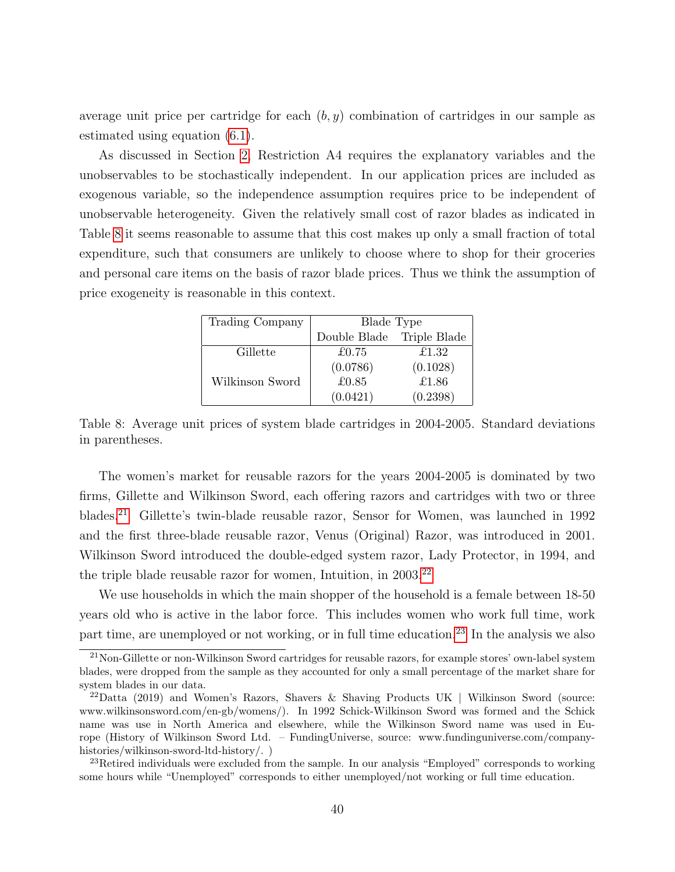average unit price per cartridge for each  $(b, y)$  combination of cartridges in our sample as estimated using equation [\(6.1\)](#page-20-3).

As discussed in Section [2,](#page-4-0) Restriction A4 requires the explanatory variables and the unobservables to be stochastically independent. In our application prices are included as exogenous variable, so the independence assumption requires price to be independent of unobservable heterogeneity. Given the relatively small cost of razor blades as indicated in Table [8](#page-39-0) it seems reasonable to assume that this cost makes up only a small fraction of total expenditure, such that consumers are unlikely to choose where to shop for their groceries and personal care items on the basis of razor blade prices. Thus we think the assumption of price exogeneity is reasonable in this context.

| Trading Company | Blade Type   |              |
|-----------------|--------------|--------------|
|                 | Double Blade | Triple Blade |
| Gillette        | £0.75        | £1.32        |
|                 | (0.0786)     | (0.1028)     |
| Wilkinson Sword | £0.85        | £1.86        |
|                 | (0.0421)     | (0.2398)     |

<span id="page-39-0"></span>Table 8: Average unit prices of system blade cartridges in 2004-2005. Standard deviations in parentheses.

The women's market for reusable razors for the years 2004-2005 is dominated by two firms, Gillette and Wilkinson Sword, each offering razors and cartridges with two or three blades.[21](#page-39-1) Gillette's twin-blade reusable razor, Sensor for Women, was launched in 1992 and the first three-blade reusable razor, Venus (Original) Razor, was introduced in 2001. Wilkinson Sword introduced the double-edged system razor, Lady Protector, in 1994, and the triple blade reusable razor for women, Intuition, in 2003.<sup>[22](#page-39-2)</sup>

We use households in which the main shopper of the household is a female between  $18-50$ years old who is active in the labor force. This includes women who work full time, work part time, are unemployed or not working, or in full time education.<sup>[23](#page-39-3)</sup> In the analysis we also

<span id="page-39-1"></span><sup>&</sup>lt;sup>21</sup>Non-Gillette or non-Wilkinson Sword cartridges for reusable razors, for example stores' own-label system blades, were dropped from the sample as they accounted for only a small percentage of the market share for system blades in our data.

<span id="page-39-2"></span><sup>22</sup>Datta (2019) and Women's Razors, Shavers & Shaving Products UK | Wilkinson Sword (source: www.wilkinsonsword.com/en-gb/womens/). In 1992 Schick-Wilkinson Sword was formed and the Schick name was use in North America and elsewhere, while the Wilkinson Sword name was used in Europe (History of Wilkinson Sword Ltd. – FundingUniverse, source: www.fundinguniverse.com/companyhistories/wilkinson-sword-ltd-history/. )

<span id="page-39-3"></span> $23$ Retired individuals were excluded from the sample. In our analysis "Employed" corresponds to working some hours while "Unemployed" corresponds to either unemployed/not working or full time education.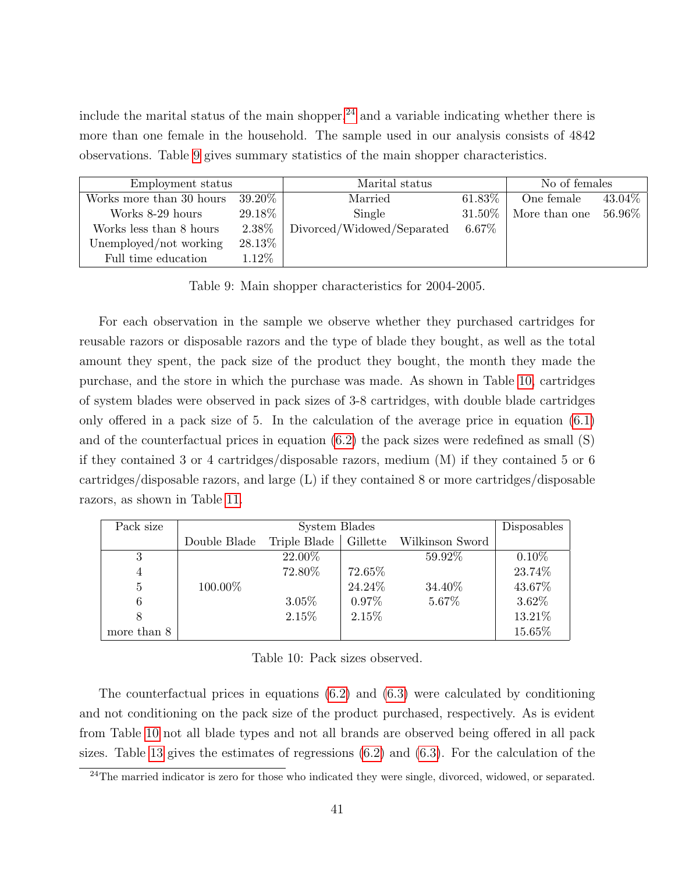include the marital status of the main shopper,  $^{24}$  $^{24}$  $^{24}$  and a variable indicating whether there is more than one female in the household. The sample used in our analysis consists of 4842 observations. Table [9](#page-40-1) gives summary statistics of the main shopper characteristics.

<span id="page-40-1"></span>

| Employment status        |           | Marital status             |           | No of females |           |
|--------------------------|-----------|----------------------------|-----------|---------------|-----------|
| Works more than 30 hours | $39.20\%$ | Married                    | $61.83\%$ | One female    | $43.04\%$ |
| Works 8-29 hours         | 29.18%    | Single                     | 31.50%    | More than one | $56.96\%$ |
| Works less than 8 hours  | 2.38%     | Divorced/Widowed/Separated | $6.67\%$  |               |           |
| Unemployed/not working   | 28.13%    |                            |           |               |           |
| Full time education      | 1.12%     |                            |           |               |           |

Table 9: Main shopper characteristics for 2004-2005.

For each observation in the sample we observe whether they purchased cartridges for reusable razors or disposable razors and the type of blade they bought, as well as the total amount they spent, the pack size of the product they bought, the month they made the purchase, and the store in which the purchase was made. As shown in Table [10,](#page-40-2) cartridges of system blades were observed in pack sizes of 3-8 cartridges, with double blade cartridges only offered in a pack size of 5. In the calculation of the average price in equation [\(6.1\)](#page-20-3) and of the counterfactual prices in equation  $(6.2)$  the pack sizes were redefined as small  $(S)$ if they contained 3 or 4 cartridges/disposable razors, medium (M) if they contained 5 or 6 cartridges/disposable razors, and large (L) if they contained 8 or more cartridges/disposable razors, as shown in Table [11.](#page-41-1)

<span id="page-40-2"></span>

| Pack size   |              | System Blades |          |                                         |          |  |  |
|-------------|--------------|---------------|----------|-----------------------------------------|----------|--|--|
|             | Double Blade |               |          | Triple Blade   Gillette Wilkinson Sword |          |  |  |
| 3           |              | 22.00%        |          | 59.92%                                  | $0.10\%$ |  |  |
| 4           |              | 72.80%        | 72.65%   |                                         | 23.74%   |  |  |
| 5           | 100.00%      |               | 24.24\%  | 34.40%                                  | 43.67%   |  |  |
| 6           |              | $3.05\%$      | $0.97\%$ | 5.67%                                   | $3.62\%$ |  |  |
| 8           |              | 2.15%         | 2.15%    |                                         | 13.21%   |  |  |
| more than 8 |              |               |          |                                         | 15.65%   |  |  |

Table 10: Pack sizes observed.

The counterfactual prices in equations [\(6.2\)](#page-21-0) and [\(6.3\)](#page-21-2) were calculated by conditioning and not conditioning on the pack size of the product purchased, respectively. As is evident from Table [10](#page-40-2) not all blade types and not all brands are observed being offered in all pack sizes. Table [13](#page-42-0) gives the estimates of regressions  $(6.2)$  and  $(6.3)$ . For the calculation of the

<span id="page-40-0"></span> $24$ The married indicator is zero for those who indicated they were single, divorced, widowed, or separated.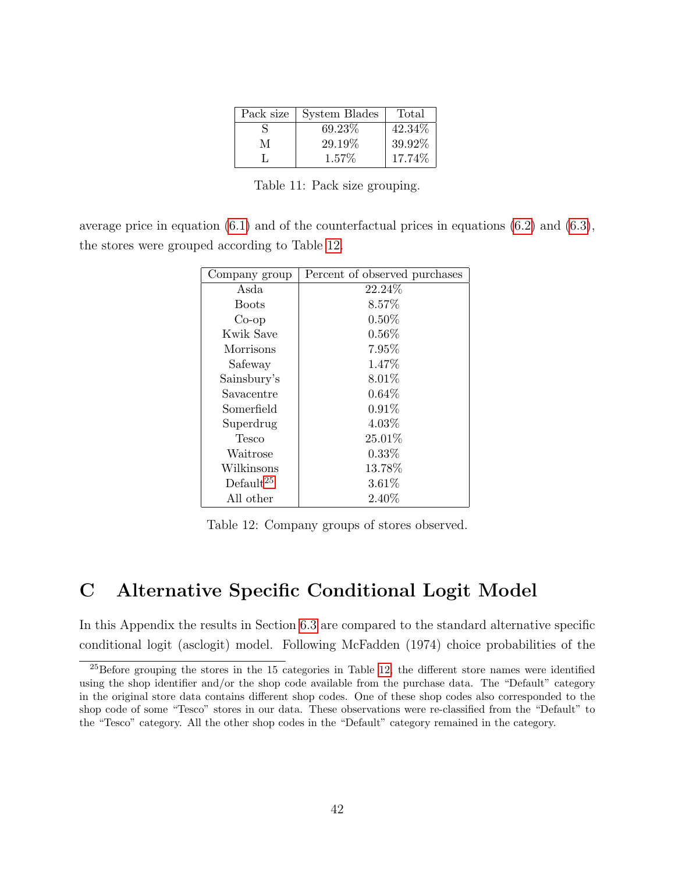|   | Pack size   System Blades | Total   |
|---|---------------------------|---------|
| S | 69.23\%                   | 42.34\% |
| М | 29.19%                    | 39.92%  |
|   | $1.57\%$                  | 17.74%  |

Table 11: Pack size grouping.

<span id="page-41-2"></span><span id="page-41-1"></span>average price in equation  $(6.1)$  and of the counterfactual prices in equations  $(6.2)$  and  $(6.3)$ , the stores were grouped according to Table [12.](#page-41-2)

| Company group | Percent of observed purchases |
|---------------|-------------------------------|
| Asda          | 22.24\%                       |
| <b>Boots</b>  | 8.57%                         |
| $Co$ -op      | $0.50\%$                      |
| Kwik Save     | $0.56\%$                      |
| Morrisons     | $7.95\%$                      |
| Safeway       | 1.47%                         |
| Sainsbury's   | $8.01\%$                      |
| Savacentre    | 0.64%                         |
| Somerfield    | $0.91\%$                      |
| Superdrug     | $4.03\%$                      |
| Tesco         | 25.01%                        |
| Waitrose      | $0.33\%$                      |
| Wilkinsons    | 13.78%                        |
| Default $25$  | 3.61%                         |
| All other     | 2.40%                         |

Table 12: Company groups of stores observed.

## <span id="page-41-0"></span>C Alternative Specific Conditional Logit Model

In this Appendix the results in Section [6.3](#page-23-0) are compared to the standard alternative specific conditional logit (asclogit) model. Following McFadden (1974) choice probabilities of the

<span id="page-41-3"></span><sup>&</sup>lt;sup>25</sup>Before grouping the stores in the 15 categories in Table [12,](#page-41-2) the different store names were identified using the shop identifier and/or the shop code available from the purchase data. The "Default" category in the original store data contains different shop codes. One of these shop codes also corresponded to the shop code of some "Tesco" stores in our data. These observations were re-classified from the "Default" to the "Tesco" category. All the other shop codes in the "Default" category remained in the category.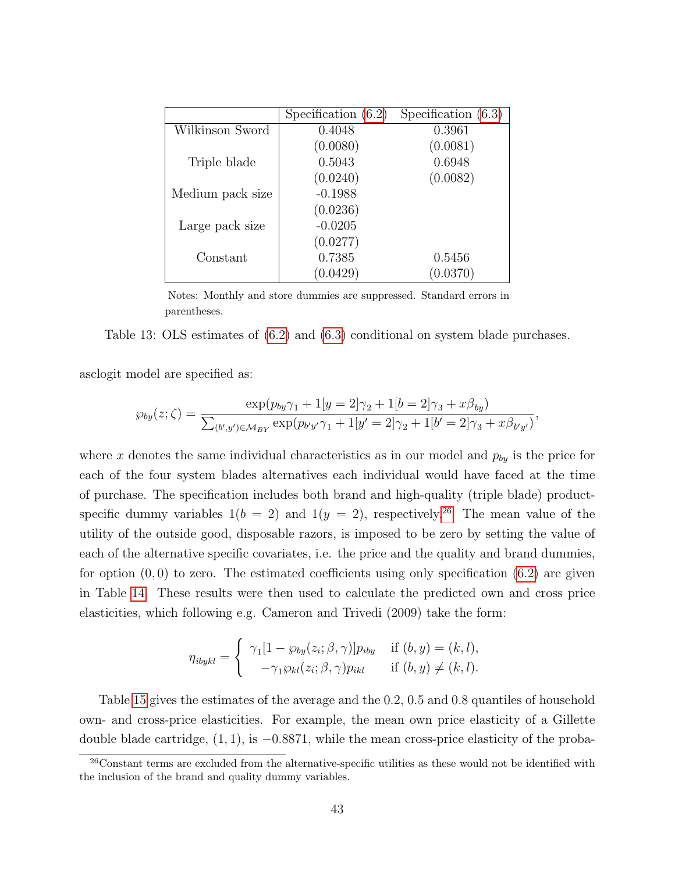<span id="page-42-0"></span>

|                  | Specification $(6.2)$ | Specification $(6.3)$ |
|------------------|-----------------------|-----------------------|
| Wilkinson Sword  | 0.4048                | 0.3961                |
|                  | (0.0080)              | (0.0081)              |
| Triple blade     | 0.5043                | 0.6948                |
|                  | (0.0240)              | (0.0082)              |
| Medium pack size | $-0.1988$             |                       |
|                  | (0.0236)              |                       |
| Large pack size  | $-0.0205$             |                       |
|                  | (0.0277)              |                       |
| Constant         | 0.7385                | 0.5456                |
|                  | (0.0429)              | (0.0370)              |

Notes: Monthly and store dummies are suppressed. Standard errors in parentheses.

Table 13: OLS estimates of [\(6.2\)](#page-21-0) and [\(6.3\)](#page-21-2) conditional on system blade purchases.

asclogit model are specified as:

$$
\wp_{by}(z;\zeta) = \frac{\exp(p_{by}\gamma_1 + 1[y=2]\gamma_2 + 1[b=2]\gamma_3 + x\beta_{by})}{\sum_{(b',y')\in\mathcal{M}_{BY}} \exp(p_{b'y'}\gamma_1 + 1[y'=2]\gamma_2 + 1[b'=2]\gamma_3 + x\beta_{b'y'})},
$$

where x denotes the same individual characteristics as in our model and  $p_{by}$  is the price for each of the four system blades alternatives each individual would have faced at the time of purchase. The specification includes both brand and high-quality (triple blade) productspecific dummy variables  $1(b = 2)$  and  $1(y = 2)$ , respectively.<sup>[26](#page-42-1)</sup> The mean value of the utility of the outside good, disposable razors, is imposed to be zero by setting the value of each of the alternative specific covariates, i.e. the price and the quality and brand dummies, for option  $(0,0)$  to zero. The estimated coefficients using only specification  $(6.2)$  are given in Table [14.](#page-43-1) These results were then used to calculate the predicted own and cross price elasticities, which following e.g. Cameron and Trivedi (2009) take the form:

$$
\eta_{ibykl} = \begin{cases} \gamma_1[1 - \wp_{by}(z_i; \beta, \gamma)]p_{iby} & \text{if } (b, y) = (k, l), \\ -\gamma_1 \wp_{kl}(z_i; \beta, \gamma)p_{ikl} & \text{if } (b, y) \neq (k, l). \end{cases}
$$

Table [15](#page-44-0) gives the estimates of the average and the 0.2, 0.5 and 0.8 quantiles of household own- and cross-price elasticities. For example, the mean own price elasticity of a Gillette double blade cartridge, (1, 1), is −0.8871, while the mean cross-price elasticity of the proba-

<span id="page-42-1"></span><sup>&</sup>lt;sup>26</sup>Constant terms are excluded from the alternative-specific utilities as these would not be identified with the inclusion of the brand and quality dummy variables.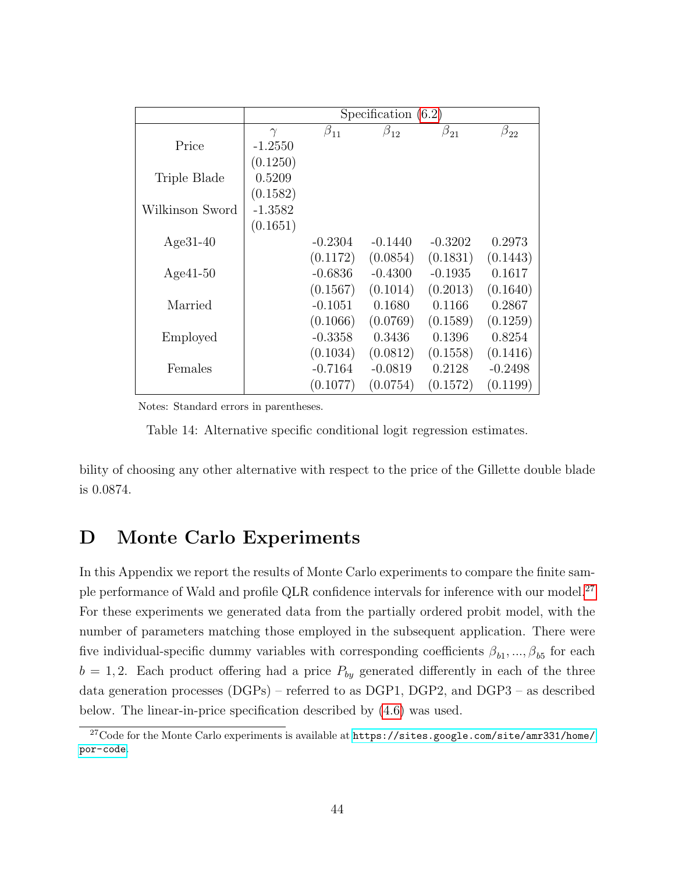<span id="page-43-1"></span>

|                 |           | Specification $(6.2)$ |              |              |              |  |  |  |  |  |  |
|-----------------|-----------|-----------------------|--------------|--------------|--------------|--|--|--|--|--|--|
|                 | $\gamma$  | $\beta_{11}$          | $\beta_{12}$ | $\beta_{21}$ | $\beta_{22}$ |  |  |  |  |  |  |
| Price           | $-1.2550$ |                       |              |              |              |  |  |  |  |  |  |
|                 | (0.1250)  |                       |              |              |              |  |  |  |  |  |  |
| Triple Blade    | 0.5209    |                       |              |              |              |  |  |  |  |  |  |
|                 | (0.1582)  |                       |              |              |              |  |  |  |  |  |  |
| Wilkinson Sword | $-1.3582$ |                       |              |              |              |  |  |  |  |  |  |
|                 | (0.1651)  |                       |              |              |              |  |  |  |  |  |  |
| $Age31-40$      |           | $-0.2304$             | $-0.1440$    | $-0.3202$    | 0.2973       |  |  |  |  |  |  |
|                 |           | (0.1172)              | (0.0854)     | (0.1831)     | (0.1443)     |  |  |  |  |  |  |
| $Age41-50$      |           | $-0.6836$             | $-0.4300$    | $-0.1935$    | 0.1617       |  |  |  |  |  |  |
|                 |           | (0.1567)              | (0.1014)     | (0.2013)     | (0.1640)     |  |  |  |  |  |  |
| Married         |           | $-0.1051$             | 0.1680       | 0.1166       | 0.2867       |  |  |  |  |  |  |
|                 |           | (0.1066)              | (0.0769)     | (0.1589)     | (0.1259)     |  |  |  |  |  |  |
| Employed        |           | $-0.3358$             | 0.3436       | 0.1396       | 0.8254       |  |  |  |  |  |  |
|                 |           | (0.1034)              | (0.0812)     | (0.1558)     | (0.1416)     |  |  |  |  |  |  |
| Females         |           | $-0.7164$             | $-0.0819$    | 0.2128       | $-0.2498$    |  |  |  |  |  |  |
|                 |           | (0.1077)              | (0.0754)     | (0.1572)     | (0.1199)     |  |  |  |  |  |  |

Notes: Standard errors in parentheses.

Table 14: Alternative specific conditional logit regression estimates.

bility of choosing any other alternative with respect to the price of the Gillette double blade is 0.0874.

## <span id="page-43-0"></span>D Monte Carlo Experiments

In this Appendix we report the results of Monte Carlo experiments to compare the finite sam-ple performance of Wald and profile QLR confidence intervals for inference with our model.<sup>[27](#page-43-2)</sup> For these experiments we generated data from the partially ordered probit model, with the number of parameters matching those employed in the subsequent application. There were five individual-specific dummy variables with corresponding coefficients  $\beta_{b_1},...,\beta_{b_5}$  for each  $b = 1, 2$ . Each product offering had a price  $P_{by}$  generated differently in each of the three data generation processes (DGPs) – referred to as DGP1, DGP2, and DGP3 – as described below. The linear-in-price specification described by [\(4.6\)](#page-12-0) was used.

<span id="page-43-2"></span><sup>27</sup>Code for the Monte Carlo experiments is available at [https://sites.google.com/site/amr331/home/](https://sites.google.com/site/amr331/home/por-code) [por-code](https://sites.google.com/site/amr331/home/por-code).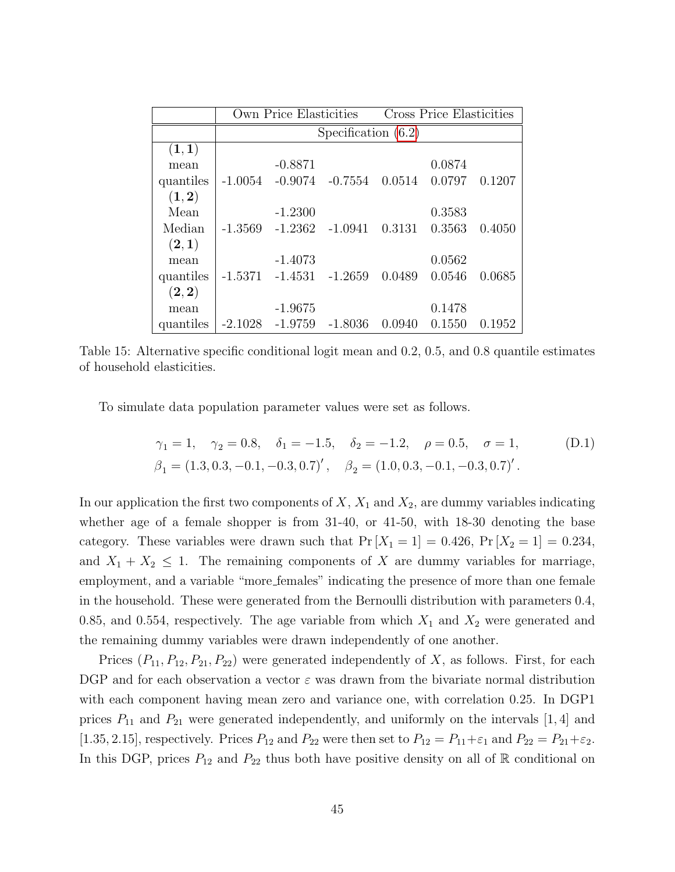<span id="page-44-0"></span>

|           |                       | Own Price Elasticities |           | Cross Price Elasticities |        |        |  |  |  |  |  |
|-----------|-----------------------|------------------------|-----------|--------------------------|--------|--------|--|--|--|--|--|
|           | Specification $(6.2)$ |                        |           |                          |        |        |  |  |  |  |  |
| (1,1)     |                       |                        |           |                          |        |        |  |  |  |  |  |
| mean      |                       | $-0.8871$              |           |                          | 0.0874 |        |  |  |  |  |  |
| quantiles | -1.0054               | $-0.9074$              | $-0.7554$ | 0.0514                   | 0.0797 | 0.1207 |  |  |  |  |  |
| (1, 2)    |                       |                        |           |                          |        |        |  |  |  |  |  |
| Mean      |                       | $-1.2300$              |           |                          | 0.3583 |        |  |  |  |  |  |
| Median    | $-1.3569$             | $-1.2362$              | -1.0941   | 0.3131                   | 0.3563 | 0.4050 |  |  |  |  |  |
| (2,1)     |                       |                        |           |                          |        |        |  |  |  |  |  |
| mean      |                       | $-1.4073$              |           |                          | 0.0562 |        |  |  |  |  |  |
| quantiles | -1.5371               | $-1.4531$              | $-1.2659$ | 0.0489                   | 0.0546 | 0.0685 |  |  |  |  |  |
| (2, 2)    |                       |                        |           |                          |        |        |  |  |  |  |  |
| mean      |                       | $-1.9675$              |           |                          | 0.1478 |        |  |  |  |  |  |
| quantiles | $-2.1028$             | $-1.9759$              | -1.8036   | (0.0940)                 | 0.1550 | 0.1952 |  |  |  |  |  |

Table 15: Alternative specific conditional logit mean and 0.2, 0.5, and 0.8 quantile estimates of household elasticities.

To simulate data population parameter values were set as follows.

$$
\gamma_1 = 1, \quad \gamma_2 = 0.8, \quad \delta_1 = -1.5, \quad \delta_2 = -1.2, \quad \rho = 0.5, \quad \sigma = 1,
$$
\n $\beta_1 = (1.3, 0.3, -0.1, -0.3, 0.7)', \quad \beta_2 = (1.0, 0.3, -0.1, -0.3, 0.7)'$ 

In our application the first two components of  $X$ ,  $X_1$  and  $X_2$ , are dummy variables indicating whether age of a female shopper is from 31-40, or 41-50, with 18-30 denoting the base category. These variables were drawn such that  $Pr[X_1 = 1] = 0.426$ ,  $Pr[X_2 = 1] = 0.234$ , and  $X_1 + X_2 \leq 1$ . The remaining components of X are dummy variables for marriage, employment, and a variable "more females" indicating the presence of more than one female in the household. These were generated from the Bernoulli distribution with parameters 0.4, 0.85, and 0.554, respectively. The age variable from which  $X_1$  and  $X_2$  were generated and the remaining dummy variables were drawn independently of one another.

Prices  $(P_{11}, P_{12}, P_{21}, P_{22})$  were generated independently of X, as follows. First, for each DGP and for each observation a vector  $\varepsilon$  was drawn from the bivariate normal distribution with each component having mean zero and variance one, with correlation 0.25. In DGP1 prices  $P_{11}$  and  $P_{21}$  were generated independently, and uniformly on the intervals [1, 4] and [1.35, 2.15], respectively. Prices  $P_{12}$  and  $P_{22}$  were then set to  $P_{12} = P_{11} + \varepsilon_1$  and  $P_{22} = P_{21} + \varepsilon_2$ . In this DGP, prices  $P_{12}$  and  $P_{22}$  thus both have positive density on all of R conditional on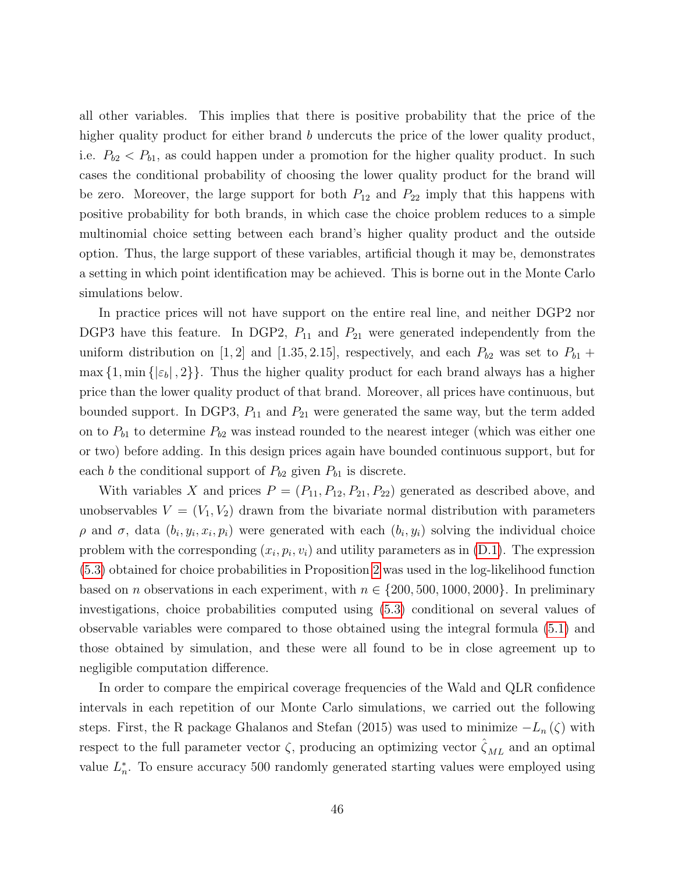all other variables. This implies that there is positive probability that the price of the higher quality product for either brand b undercuts the price of the lower quality product, i.e.  $P_{b2} < P_{b1}$ , as could happen under a promotion for the higher quality product. In such cases the conditional probability of choosing the lower quality product for the brand will be zero. Moreover, the large support for both  $P_{12}$  and  $P_{22}$  imply that this happens with positive probability for both brands, in which case the choice problem reduces to a simple multinomial choice setting between each brand's higher quality product and the outside option. Thus, the large support of these variables, artificial though it may be, demonstrates a setting in which point identification may be achieved. This is borne out in the Monte Carlo simulations below.

In practice prices will not have support on the entire real line, and neither DGP2 nor DGP3 have this feature. In DGP2,  $P_{11}$  and  $P_{21}$  were generated independently from the uniform distribution on [1, 2] and [1.35, 2.15], respectively, and each  $P_{b2}$  was set to  $P_{b1}$  +  $\max\{1, \min\{|\varepsilon_b|, 2\}\}.$  Thus the higher quality product for each brand always has a higher price than the lower quality product of that brand. Moreover, all prices have continuous, but bounded support. In DGP3,  $P_{11}$  and  $P_{21}$  were generated the same way, but the term added on to  $P_{b1}$  to determine  $P_{b2}$  was instead rounded to the nearest integer (which was either one or two) before adding. In this design prices again have bounded continuous support, but for each b the conditional support of  $P_{b2}$  given  $P_{b1}$  is discrete.

With variables X and prices  $P = (P_{11}, P_{12}, P_{21}, P_{22})$  generated as described above, and unobservables  $V = (V_1, V_2)$  drawn from the bivariate normal distribution with parameters  $ρ$  and  $σ$ , data  $(b_i, y_i, x_i, p_i)$  were generated with each  $(b_i, y_i)$  solving the individual choice problem with the corresponding  $(x_i, p_i, v_i)$  and utility parameters as in  $(D.1)$ . The expression [\(5.3\)](#page-18-2) obtained for choice probabilities in Proposition [2](#page-18-1) was used in the log-likelihood function based on *n* observations in each experiment, with  $n \in \{200, 500, 1000, 2000\}$ . In preliminary investigations, choice probabilities computed using [\(5.3\)](#page-18-2) conditional on several values of observable variables were compared to those obtained using the integral formula [\(5.1\)](#page-18-4) and those obtained by simulation, and these were all found to be in close agreement up to negligible computation difference.

In order to compare the empirical coverage frequencies of the Wald and QLR confidence intervals in each repetition of our Monte Carlo simulations, we carried out the following steps. First, the R package Ghalanos and Stefan (2015) was used to minimize  $-L_n(\zeta)$  with respect to the full parameter vector  $\zeta$ , producing an optimizing vector  $\hat{\zeta}_{ML}$  and an optimal value  $L_n^*$ . To ensure accuracy 500 randomly generated starting values were employed using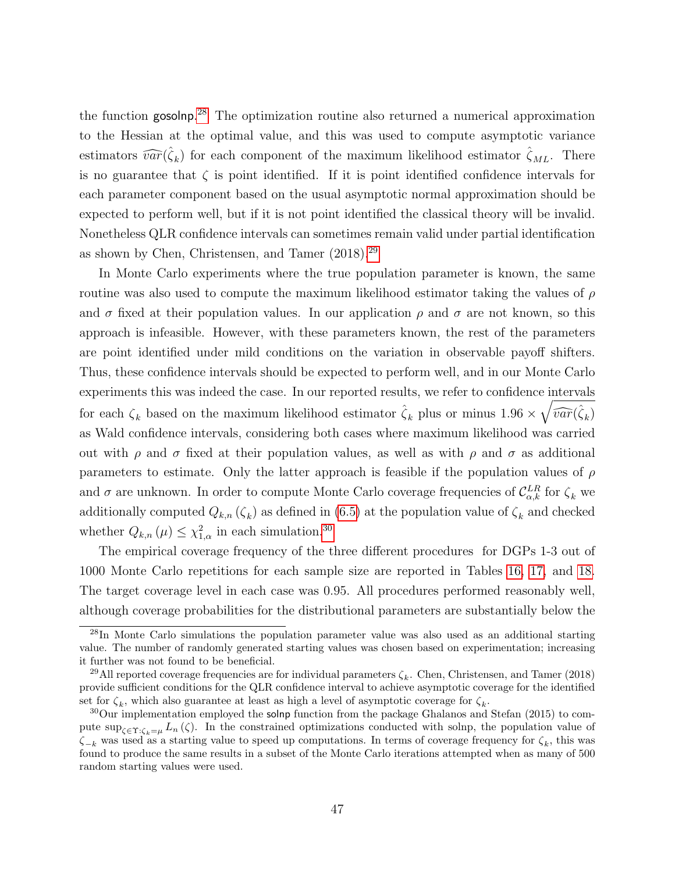the function gosolnp. [28](#page-46-0) The optimization routine also returned a numerical approximation to the Hessian at the optimal value, and this was used to compute asymptotic variance estimators  $\widehat{var}(\hat{\zeta}_k)$  for each component of the maximum likelihood estimator  $\hat{\zeta}_{ML}$ . There is no guarantee that  $\zeta$  is point identified. If it is point identified confidence intervals for each parameter component based on the usual asymptotic normal approximation should be expected to perform well, but if it is not point identified the classical theory will be invalid. Nonetheless QLR confidence intervals can sometimes remain valid under partial identification as shown by Chen, Christensen, and Tamer (2018).[29](#page-46-1)

In Monte Carlo experiments where the true population parameter is known, the same routine was also used to compute the maximum likelihood estimator taking the values of  $\rho$ and  $\sigma$  fixed at their population values. In our application  $\rho$  and  $\sigma$  are not known, so this approach is infeasible. However, with these parameters known, the rest of the parameters are point identified under mild conditions on the variation in observable payoff shifters. Thus, these confidence intervals should be expected to perform well, and in our Monte Carlo experiments this was indeed the case. In our reported results, we refer to confidence intervals for each  $\zeta_k$  based on the maximum likelihood estimator  $\hat{\zeta}_k$  plus or minus  $1.96 \times \sqrt{\widehat{var}(\hat{\zeta}_k)}$ as Wald confidence intervals, considering both cases where maximum likelihood was carried out with  $\rho$  and  $\sigma$  fixed at their population values, as well as with  $\rho$  and  $\sigma$  as additional parameters to estimate. Only the latter approach is feasible if the population values of  $\rho$ and  $\sigma$  are unknown. In order to compute Monte Carlo coverage frequencies of  $\mathcal{C}_{\alpha,k}^{LR}$  for  $\zeta_k$  we additionally computed  $Q_{k,n}$  ( $\zeta_k$ ) as defined in [\(6.5\)](#page-23-2) at the population value of  $\zeta_k$  and checked whether  $Q_{k,n}(\mu) \leq \chi^2_{1,\alpha}$  in each simulation.<sup>[30](#page-46-2)</sup>

The empirical coverage frequency of the three different procedures for DGPs 1-3 out of 1000 Monte Carlo repetitions for each sample size are reported in Tables [16,](#page-47-0) [17,](#page-48-0) and [18.](#page-49-0) The target coverage level in each case was 0.95. All procedures performed reasonably well, although coverage probabilities for the distributional parameters are substantially below the

<span id="page-46-0"></span><sup>28</sup>In Monte Carlo simulations the population parameter value was also used as an additional starting value. The number of randomly generated starting values was chosen based on experimentation; increasing it further was not found to be beneficial.

<span id="page-46-1"></span><sup>&</sup>lt;sup>29</sup>All reported coverage frequencies are for individual parameters  $\zeta_k$ . Chen, Christensen, and Tamer (2018) provide sufficient conditions for the QLR confidence interval to achieve asymptotic coverage for the identified set for  $\zeta_k$ , which also guarantee at least as high a level of asymptotic coverage for  $\zeta_k$ .

<span id="page-46-2"></span> $30$ Our implementation employed the solnp function from the package Ghalanos and Stefan (2015) to compute  $\sup_{\zeta \in \Upsilon: \zeta_k = \mu} L_n(\zeta)$ . In the constrained optimizations conducted with solnp, the population value of  $\zeta_{-k}$  was used as a starting value to speed up computations. In terms of coverage frequency for  $\zeta_k$ , this was found to produce the same results in a subset of the Monte Carlo iterations attempted when as many of 500 random starting values were used.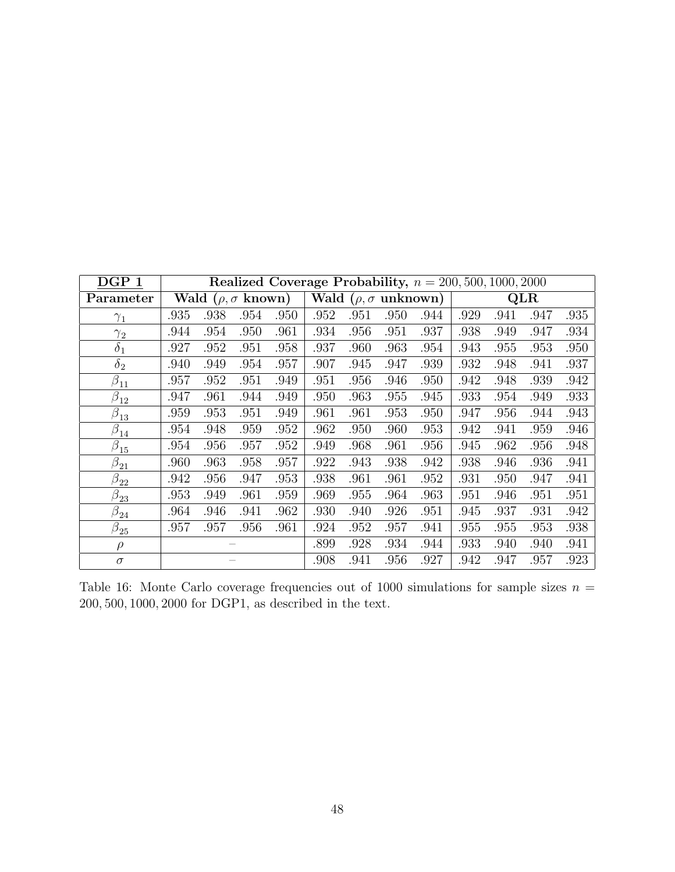<span id="page-47-0"></span>

| DGP <sub>1</sub>     | Realized Coverage Probability, $n = 200, 500, 1000, 2000$ |      |      |      |                                |      |      |      |      |      |      |      |
|----------------------|-----------------------------------------------------------|------|------|------|--------------------------------|------|------|------|------|------|------|------|
| Parameter            | Wald ( $\rho, \sigma$ known)                              |      |      |      | Wald ( $\rho, \sigma$ unknown) |      |      |      | QLR  |      |      |      |
| $\gamma_1$           | .935                                                      | .938 | .954 | .950 | .952                           | .951 | .950 | .944 | .929 | .941 | .947 | .935 |
| $\gamma_2$           | .944                                                      | .954 | .950 | .961 | .934                           | .956 | .951 | .937 | .938 | .949 | .947 | .934 |
| $\delta_1$           | .927                                                      | .952 | .951 | .958 | .937                           | .960 | .963 | .954 | .943 | .955 | .953 | .950 |
| $\delta_2$           | .940                                                      | .949 | .954 | .957 | .907                           | .945 | .947 | .939 | .932 | .948 | .941 | .937 |
| $\beta_{11}$         | .957                                                      | .952 | .951 | .949 | .951                           | .956 | .946 | .950 | .942 | .948 | .939 | .942 |
| $\beta_{12}$         | .947                                                      | .961 | .944 | .949 | .950                           | .963 | .955 | .945 | .933 | .954 | .949 | .933 |
| $\beta_{13}$         | .959                                                      | .953 | .951 | .949 | .961                           | .961 | .953 | .950 | .947 | .956 | .944 | .943 |
| $\beta_{14}$         | .954                                                      | .948 | .959 | .952 | .962                           | .950 | .960 | .953 | .942 | .941 | .959 | .946 |
| $\beta_{15}$         | .954                                                      | .956 | .957 | .952 | .949                           | .968 | .961 | .956 | .945 | .962 | .956 | .948 |
| $\beta_{21}$         | .960                                                      | .963 | .958 | .957 | .922                           | .943 | .938 | .942 | .938 | .946 | .936 | .941 |
| $\beta_{22}$         | .942                                                      | .956 | .947 | .953 | .938                           | .961 | .961 | .952 | .931 | .950 | .947 | .941 |
| $\tilde{\beta}_{23}$ | .953                                                      | .949 | .961 | .959 | .969                           | .955 | .964 | .963 | .951 | .946 | .951 | .951 |
| $\beta_{24}$         | .964                                                      | .946 | .941 | .962 | .930                           | .940 | .926 | .951 | .945 | .937 | .931 | .942 |
| $\beta_{25}$         | .957                                                      | .957 | .956 | .961 | .924                           | .952 | .957 | .941 | .955 | .955 | .953 | .938 |
| $\rho$               |                                                           |      |      |      | .899                           | .928 | .934 | .944 | .933 | .940 | .940 | .941 |
| $\sigma$             |                                                           |      |      |      | .908                           | .941 | .956 | .927 | .942 | .947 | .957 | .923 |

Table 16: Monte Carlo coverage frequencies out of 1000 simulations for sample sizes  $n =$ 200, 500, 1000, 2000 for DGP1, as described in the text.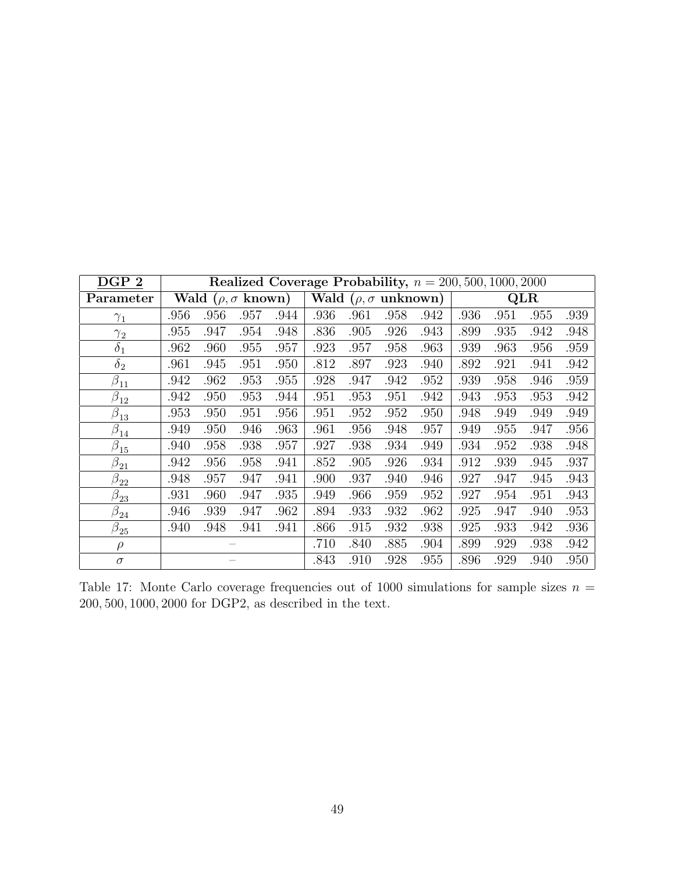<span id="page-48-0"></span>

| DGP <sub>2</sub>               | Realized Coverage Probability, $n = 200, 500, 1000, 2000$ |      |      |      |                                |      |      |      |      |      |      |      |
|--------------------------------|-----------------------------------------------------------|------|------|------|--------------------------------|------|------|------|------|------|------|------|
| Parameter                      | Wald ( $\rho, \sigma$ known)                              |      |      |      | Wald ( $\rho, \sigma$ unknown) |      |      |      | QLR  |      |      |      |
| $\gamma_1$                     | .956                                                      | .956 | .957 | .944 | .936                           | .961 | .958 | .942 | .936 | .951 | .955 | .939 |
| $\gamma_2$                     | .955                                                      | .947 | .954 | .948 | .836                           | .905 | .926 | .943 | .899 | .935 | .942 | .948 |
| $\delta_1$                     | .962                                                      | .960 | .955 | .957 | .923                           | .957 | .958 | .963 | .939 | .963 | .956 | .959 |
| $\delta_2$                     | .961                                                      | .945 | .951 | .950 | .812                           | .897 | .923 | .940 | .892 | .921 | .941 | .942 |
| $\beta_{11}$                   | .942                                                      | .962 | .953 | .955 | .928                           | .947 | .942 | .952 | .939 | .958 | .946 | .959 |
| $\beta_{12}$                   | .942                                                      | .950 | .953 | .944 | .951                           | .953 | .951 | .942 | .943 | .953 | .953 | .942 |
| $\beta_{13}$                   | .953                                                      | .950 | .951 | .956 | .951                           | .952 | .952 | .950 | .948 | .949 | .949 | .949 |
| $\beta_{14}$                   | .949                                                      | .950 | .946 | .963 | .961                           | .956 | .948 | .957 | .949 | .955 | .947 | .956 |
| $\beta_{15}$                   | .940                                                      | .958 | .938 | .957 | .927                           | .938 | .934 | .949 | .934 | .952 | .938 | .948 |
| $\beta_{21}$                   | .942                                                      | .956 | .958 | .941 | .852                           | .905 | .926 | .934 | .912 | .939 | .945 | .937 |
| $\beta_{22}$                   | .948                                                      | .957 | .947 | .941 | .900                           | .937 | .940 | .946 | .927 | .947 | .945 | .943 |
| $\bar{\beta}_{\underline{23}}$ | .931                                                      | .960 | .947 | .935 | .949                           | .966 | .959 | .952 | .927 | .954 | .951 | .943 |
| $\beta_{24}$                   | .946                                                      | .939 | .947 | .962 | .894                           | .933 | .932 | .962 | .925 | .947 | .940 | .953 |
| $\beta_{25}$                   | .940                                                      | .948 | .941 | .941 | .866                           | .915 | .932 | .938 | .925 | .933 | .942 | .936 |
| $\rho$                         |                                                           |      |      |      | .710                           | .840 | .885 | .904 | .899 | .929 | .938 | .942 |
| $\sigma$                       |                                                           |      |      |      | .843                           | .910 | .928 | .955 | .896 | .929 | .940 | .950 |

Table 17: Monte Carlo coverage frequencies out of 1000 simulations for sample sizes  $n =$ 200, 500, 1000, 2000 for DGP2, as described in the text.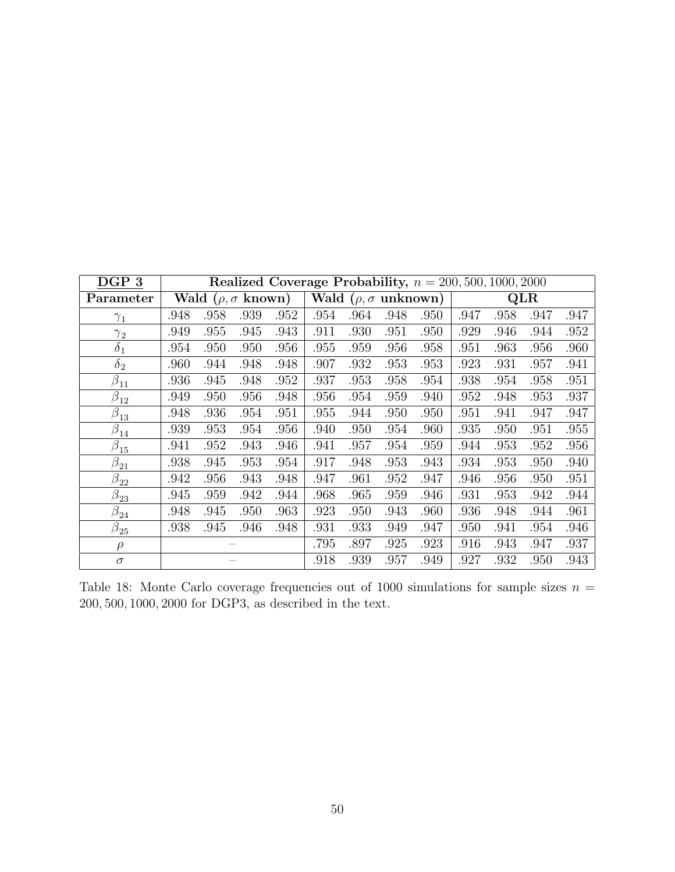<span id="page-49-0"></span>

| $\bf DGP\ 3$ | Realized Coverage Probability, $n = 200, 500, 1000, 2000$ |      |      |      |                                |      |      |      |      |      |      |      |
|--------------|-----------------------------------------------------------|------|------|------|--------------------------------|------|------|------|------|------|------|------|
| Parameter    | Wald ( $\rho, \sigma$ known)                              |      |      |      | Wald ( $\rho, \sigma$ unknown) |      |      |      | QLR  |      |      |      |
| $\gamma_1$   | .948                                                      | .958 | .939 | .952 | .954                           | .964 | .948 | .950 | .947 | .958 | .947 | .947 |
| $\gamma_2$   | .949                                                      | .955 | .945 | .943 | .911                           | .930 | .951 | .950 | .929 | .946 | .944 | .952 |
| $\delta_1$   | .954                                                      | .950 | .950 | .956 | .955                           | .959 | .956 | .958 | .951 | .963 | .956 | .960 |
| $\delta_2$   | .960                                                      | .944 | .948 | .948 | .907                           | .932 | .953 | .953 | .923 | .931 | .957 | .941 |
| $\beta_{11}$ | .936                                                      | .945 | .948 | .952 | .937                           | .953 | .958 | .954 | .938 | .954 | .958 | .951 |
| $\beta_{12}$ | .949                                                      | .950 | .956 | .948 | .956                           | .954 | .959 | .940 | .952 | .948 | .953 | .937 |
| $\beta_{13}$ | .948                                                      | .936 | .954 | .951 | .955                           | .944 | .950 | .950 | .951 | .941 | .947 | .947 |
| $\beta_{14}$ | .939                                                      | .953 | .954 | .956 | .940                           | .950 | .954 | .960 | .935 | .950 | .951 | .955 |
| $\beta_{15}$ | .941                                                      | .952 | .943 | .946 | .941                           | .957 | .954 | .959 | .944 | .953 | .952 | .956 |
| $\beta_{21}$ | .938                                                      | .945 | .953 | .954 | .917                           | .948 | .953 | .943 | .934 | .953 | .950 | .940 |
| $\beta_{22}$ | .942                                                      | .956 | .943 | .948 | .947                           | .961 | .952 | .947 | .946 | .956 | .950 | .951 |
| $\beta_{23}$ | .945                                                      | .959 | .942 | .944 | .968                           | .965 | .959 | .946 | .931 | .953 | .942 | .944 |
| $\beta_{24}$ | .948                                                      | .945 | .950 | .963 | .923                           | .950 | .943 | .960 | .936 | .948 | .944 | .961 |
| $\beta_{25}$ | .938                                                      | .945 | .946 | .948 | .931                           | .933 | .949 | .947 | .950 | .941 | .954 | .946 |
| $\rho$       |                                                           |      |      |      | .795                           | .897 | .925 | .923 | .916 | .943 | .947 | .937 |
| $\sigma$     |                                                           |      |      |      | .918                           | .939 | .957 | .949 | .927 | .932 | .950 | .943 |

Table 18: Monte Carlo coverage frequencies out of 1000 simulations for sample sizes  $n =$ 200, 500, 1000, 2000 for DGP3, as described in the text.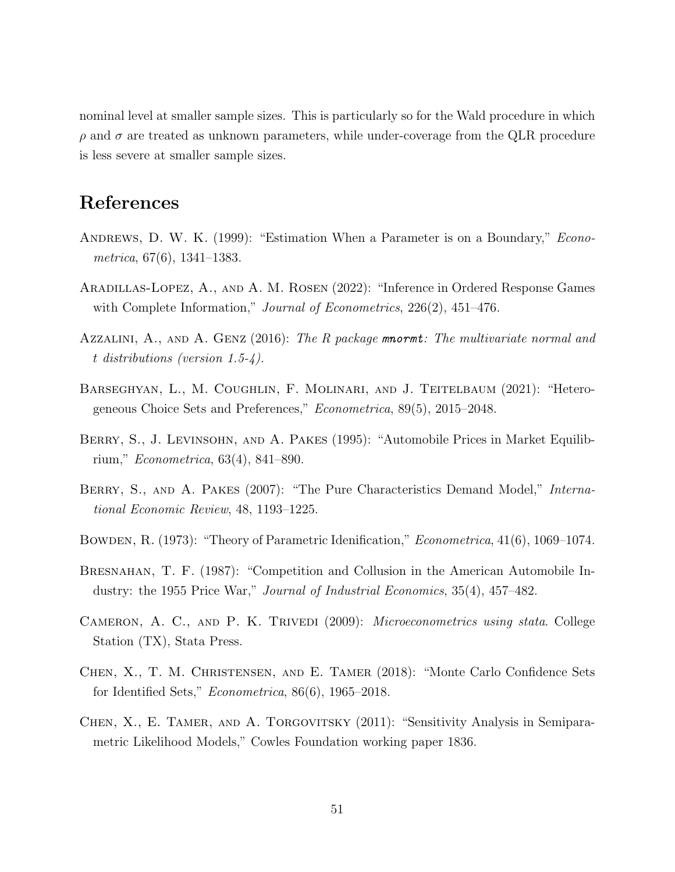nominal level at smaller sample sizes. This is particularly so for the Wald procedure in which  $\rho$  and  $\sigma$  are treated as unknown parameters, while under-coverage from the QLR procedure is less severe at smaller sample sizes.

## References

- ANDREWS, D. W. K. (1999): "Estimation When a Parameter is on a Boundary," *Econo*metrica, 67(6), 1341–1383.
- Aradillas-Lopez, A., and A. M. Rosen (2022): "Inference in Ordered Response Games with Complete Information," *Journal of Econometrics*, 226(2), 451–476.
- AZZALINI, A., AND A. GENZ (2016): The R package mnormt: The multivariate normal and t distributions (version 1.5-4).
- Barseghyan, L., M. Coughlin, F. Molinari, and J. Teitelbaum (2021): "Heterogeneous Choice Sets and Preferences," Econometrica, 89(5), 2015–2048.
- BERRY, S., J. LEVINSOHN, AND A. PAKES (1995): "Automobile Prices in Market Equilibrium," Econometrica, 63(4), 841–890.
- BERRY, S., AND A. PAKES (2007): "The Pure Characteristics Demand Model," International Economic Review, 48, 1193–1225.
- Bowden, R. (1973): "Theory of Parametric Idenification," Econometrica, 41(6), 1069–1074.
- BRESNAHAN, T. F. (1987): "Competition and Collusion in the American Automobile Industry: the 1955 Price War," Journal of Industrial Economics, 35(4), 457–482.
- CAMERON, A. C., AND P. K. TRIVEDI (2009): *Microeconometrics using stata*. College Station (TX), Stata Press.
- Chen, X., T. M. Christensen, and E. Tamer (2018): "Monte Carlo Confidence Sets for Identified Sets," Econometrica, 86(6), 1965–2018.
- CHEN, X., E. TAMER, AND A. TORGOVITSKY (2011): "Sensitivity Analysis in Semiparametric Likelihood Models," Cowles Foundation working paper 1836.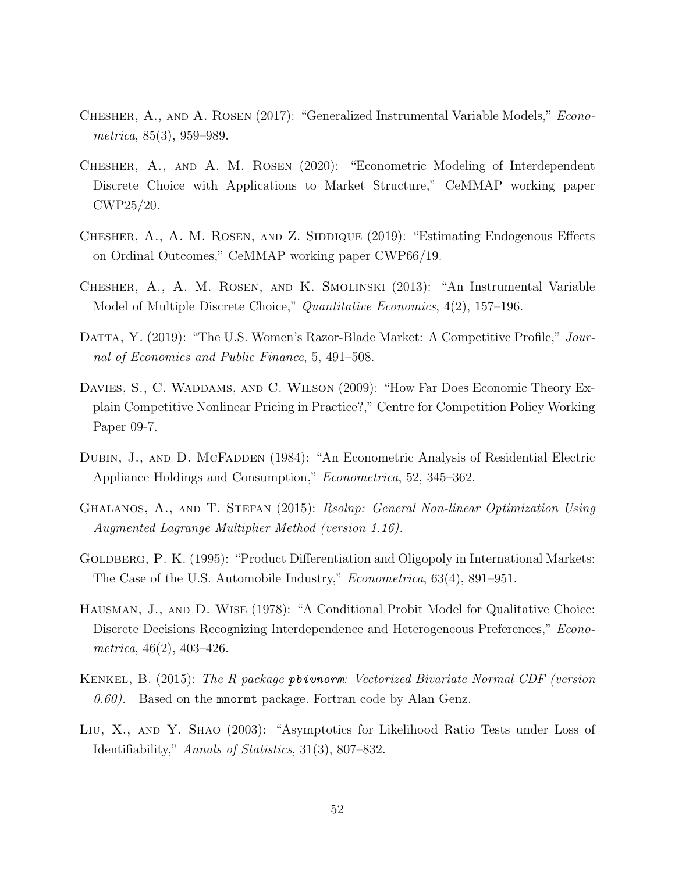- Chesher, A., and A. Rosen (2017): "Generalized Instrumental Variable Models," Econometrica, 85(3), 959–989.
- Chesher, A., and A. M. Rosen (2020): "Econometric Modeling of Interdependent Discrete Choice with Applications to Market Structure," CeMMAP working paper CWP25/20.
- CHESHER, A., A. M. ROSEN, AND Z. SIDDIQUE (2019): "Estimating Endogenous Effects on Ordinal Outcomes," CeMMAP working paper CWP66/19.
- Chesher, A., A. M. Rosen, and K. Smolinski (2013): "An Instrumental Variable Model of Multiple Discrete Choice," Quantitative Economics, 4(2), 157–196.
- DATTA, Y. (2019): "The U.S. Women's Razor-Blade Market: A Competitive Profile," Journal of Economics and Public Finance, 5, 491–508.
- DAVIES, S., C. WADDAMS, AND C. WILSON (2009): "How Far Does Economic Theory Explain Competitive Nonlinear Pricing in Practice?," Centre for Competition Policy Working Paper 09-7.
- DUBIN, J., AND D. MCFADDEN (1984): "An Econometric Analysis of Residential Electric Appliance Holdings and Consumption," Econometrica, 52, 345–362.
- GHALANOS, A., AND T. STEFAN (2015): Rsolnp: General Non-linear Optimization Using Augmented Lagrange Multiplier Method (version 1.16).
- GOLDBERG, P. K. (1995): "Product Differentiation and Oligopoly in International Markets: The Case of the U.S. Automobile Industry," Econometrica, 63(4), 891–951.
- Hausman, J., and D. Wise (1978): "A Conditional Probit Model for Qualitative Choice: Discrete Decisions Recognizing Interdependence and Heterogeneous Preferences," Econometrica, 46(2), 403–426.
- Kenkel, B. (2015): The R package pbivnorm: Vectorized Bivariate Normal CDF (version  $(0.60)$ . Based on the mnormt package. Fortran code by Alan Genz.
- Liu, X., and Y. Shao (2003): "Asymptotics for Likelihood Ratio Tests under Loss of Identifiability," Annals of Statistics, 31(3), 807–832.